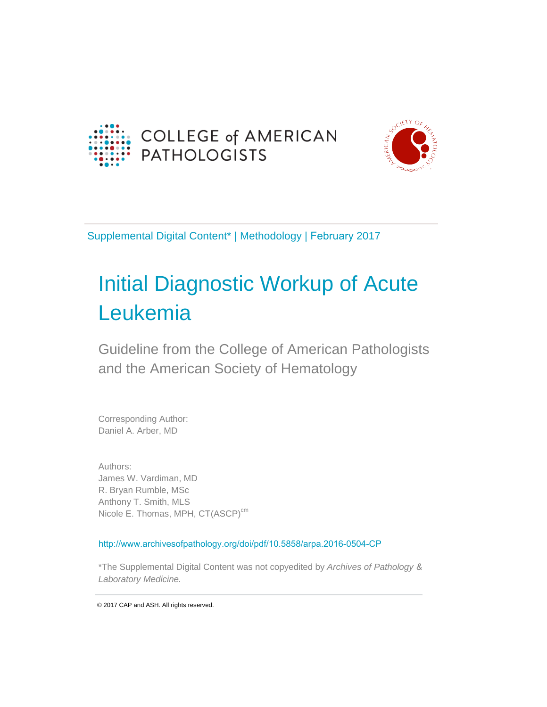



Supplemental Digital Content\* | Methodology | February 2017

# Initial Diagnostic Workup of Acute Leukemia

Guideline from the College of American Pathologists and the American Society of Hematology

Corresponding Author: Daniel A. Arber, MD

Authors: James W. Vardiman, MD R. Bryan Rumble, MSc Anthony T. Smith, MLS Nicole E. Thomas, MPH, CT(ASCP)<sup>cm</sup>

<http://www.archivesofpathology.org/doi/pdf/10.5858/arpa.2016-0504-CP>

\*The Supplemental Digital Content was not copyedited by *Archives of Pathology & Laboratory Medicine.*

© 2017 CAP and ASH. All rights reserved.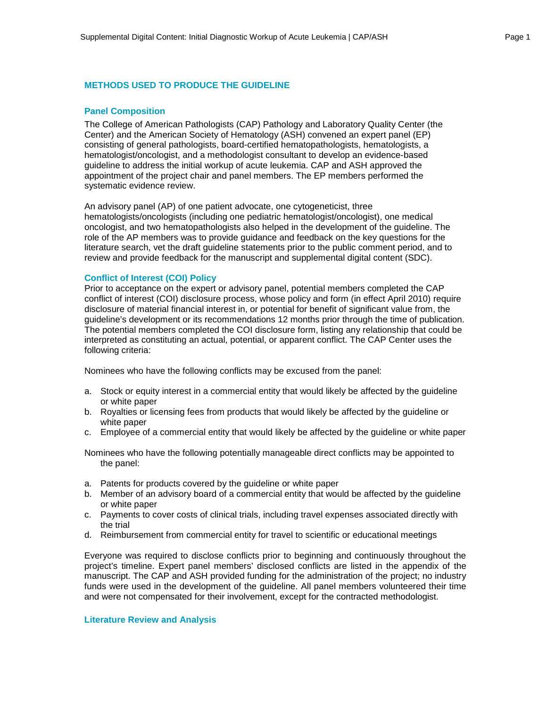#### **METHODS USED TO PRODUCE THE GUIDELINE**

#### **Panel Composition**

The College of American Pathologists (CAP) Pathology and Laboratory Quality Center (the Center) and the American Society of Hematology (ASH) convened an expert panel (EP) consisting of general pathologists, board-certified hematopathologists, hematologists, a hematologist/oncologist, and a methodologist consultant to develop an evidence-based guideline to address the initial workup of acute leukemia. CAP and ASH approved the appointment of the project chair and panel members. The EP members performed the systematic evidence review.

An advisory panel (AP) of one patient advocate, one cytogeneticist, three hematologists/oncologists (including one pediatric hematologist/oncologist), one medical oncologist, and two hematopathologists also helped in the development of the guideline. The role of the AP members was to provide guidance and feedback on the key questions for the literature search, vet the draft guideline statements prior to the public comment period, and to review and provide feedback for the manuscript and supplemental digital content (SDC).

#### **Conflict of Interest (COI) Policy**

Prior to acceptance on the expert or advisory panel, potential members completed the CAP conflict of interest (COI) disclosure process, whose policy and form (in effect April 2010) require disclosure of material financial interest in, or potential for benefit of significant value from, the guideline's development or its recommendations 12 months prior through the time of publication. The potential members completed the COI disclosure form, listing any relationship that could be interpreted as constituting an actual, potential, or apparent conflict. The CAP Center uses the following criteria:

Nominees who have the following conflicts may be excused from the panel:

- a. Stock or equity interest in a commercial entity that would likely be affected by the guideline or white paper
- b. Royalties or licensing fees from products that would likely be affected by the guideline or white paper
- c. Employee of a commercial entity that would likely be affected by the guideline or white paper

Nominees who have the following potentially manageable direct conflicts may be appointed to the panel:

- a. Patents for products covered by the guideline or white paper
- b. Member of an advisory board of a commercial entity that would be affected by the guideline or white paper
- c. Payments to cover costs of clinical trials, including travel expenses associated directly with the trial
- d. Reimbursement from commercial entity for travel to scientific or educational meetings

Everyone was required to disclose conflicts prior to beginning and continuously throughout the project's timeline. Expert panel members' disclosed conflicts are listed in the appendix of the manuscript. The CAP and ASH provided funding for the administration of the project; no industry funds were used in the development of the guideline. All panel members volunteered their time and were not compensated for their involvement, except for the contracted methodologist.

#### **Literature Review and Analysis**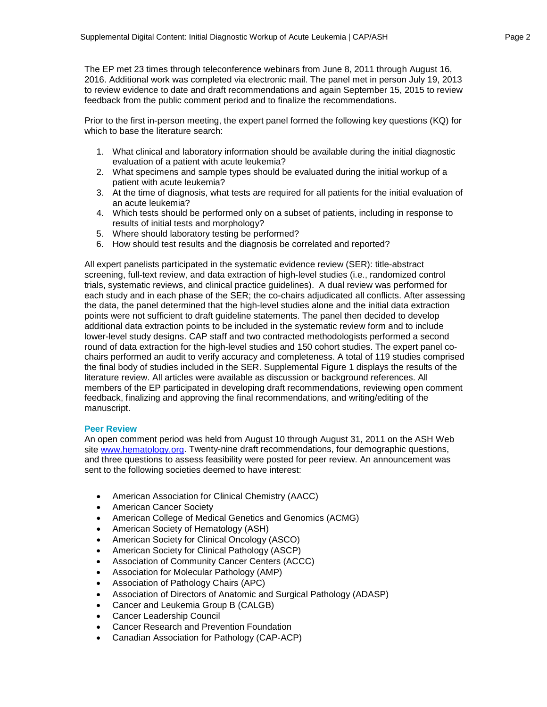The EP met 23 times through teleconference webinars from June 8, 2011 through August 16, 2016. Additional work was completed via electronic mail. The panel met in person July 19, 2013 to review evidence to date and draft recommendations and again September 15, 2015 to review feedback from the public comment period and to finalize the recommendations.

Prior to the first in-person meeting, the expert panel formed the following key questions (KQ) for which to base the literature search:

- 1. What clinical and laboratory information should be available during the initial diagnostic evaluation of a patient with acute leukemia?
- 2. What specimens and sample types should be evaluated during the initial workup of a patient with acute leukemia?
- 3. At the time of diagnosis, what tests are required for all patients for the initial evaluation of an acute leukemia?
- 4. Which tests should be performed only on a subset of patients, including in response to results of initial tests and morphology?
- 5. Where should laboratory testing be performed?
- 6. How should test results and the diagnosis be correlated and reported?

All expert panelists participated in the systematic evidence review (SER): title-abstract screening, full-text review, and data extraction of high-level studies (i.e., randomized control trials, systematic reviews, and clinical practice guidelines). A dual review was performed for each study and in each phase of the SER; the co-chairs adjudicated all conflicts. After assessing the data, the panel determined that the high-level studies alone and the initial data extraction points were not sufficient to draft guideline statements. The panel then decided to develop additional data extraction points to be included in the systematic review form and to include lower-level study designs. CAP staff and two contracted methodologists performed a second round of data extraction for the high-level studies and 150 cohort studies. The expert panel cochairs performed an audit to verify accuracy and completeness. A total of 119 studies comprised the final body of studies included in the SER. Supplemental Figure 1 displays the results of the literature review. All articles were available as discussion or background references. All members of the EP participated in developing draft recommendations, reviewing open comment feedback, finalizing and approving the final recommendations, and writing/editing of the manuscript.

#### **Peer Review**

An open comment period was held from August 10 through August 31, 2011 on the ASH Web site [www.hematology.org.](http://www.hematology.org/) Twenty-nine draft recommendations, four demographic questions, and three questions to assess feasibility were posted for peer review. An announcement was sent to the following societies deemed to have interest:

- American Association for Clinical Chemistry (AACC)
- American Cancer Society
- American College of Medical Genetics and Genomics (ACMG)
- American Society of Hematology (ASH)
- American Society for Clinical Oncology (ASCO)
- American Society for Clinical Pathology (ASCP)
- Association of Community Cancer Centers (ACCC)
- Association for Molecular Pathology (AMP)
- Association of Pathology Chairs (APC)
- Association of Directors of Anatomic and Surgical Pathology (ADASP)
- Cancer and Leukemia Group B (CALGB)
- Cancer Leadership Council
- Cancer Research and Prevention Foundation
- Canadian Association for Pathology (CAP-ACP)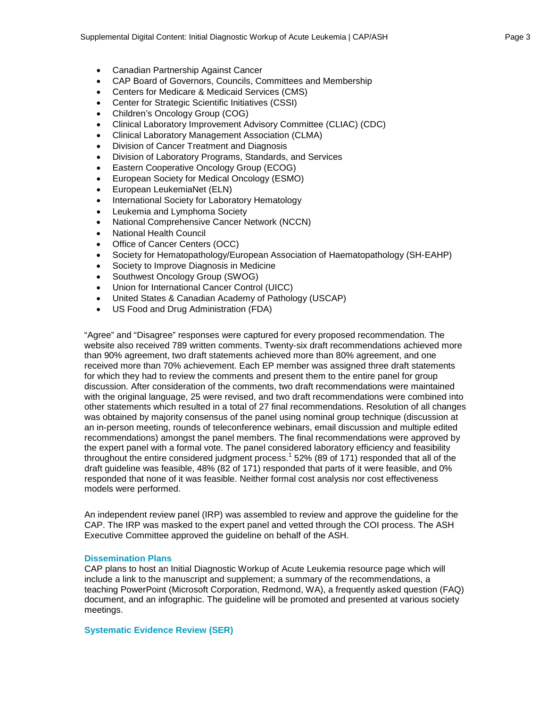- Canadian Partnership Against Cancer
- CAP Board of Governors, Councils, Committees and Membership
- Centers for Medicare & Medicaid Services (CMS)
- Center for Strategic Scientific Initiatives (CSSI)
- Children's Oncology Group (COG)
- Clinical Laboratory Improvement Advisory Committee (CLIAC) (CDC)
- Clinical Laboratory Management Association (CLMA)
- Division of Cancer Treatment and Diagnosis
- Division of Laboratory Programs, Standards, and Services
- Eastern Cooperative Oncology Group (ECOG)
- European Society for Medical Oncology (ESMO)
- European LeukemiaNet (ELN)
- International Society for Laboratory Hematology
- Leukemia and Lymphoma Society
- National Comprehensive Cancer Network (NCCN)
- National Health Council
- Office of Cancer Centers (OCC)
- Society for Hematopathology/European Association of Haematopathology (SH-EAHP)
- Society to Improve Diagnosis in Medicine
- Southwest Oncology Group (SWOG)
- Union for International Cancer Control (UICC)
- United States & Canadian Academy of Pathology (USCAP)
- US Food and Drug Administration (FDA)

"Agree" and "Disagree" responses were captured for every proposed recommendation. The website also received 789 written comments. Twenty-six draft recommendations achieved more than 90% agreement, two draft statements achieved more than 80% agreement, and one received more than 70% achievement. Each EP member was assigned three draft statements for which they had to review the comments and present them to the entire panel for group discussion. After consideration of the comments, two draft recommendations were maintained with the original language, 25 were revised, and two draft recommendations were combined into other statements which resulted in a total of 27 final recommendations. Resolution of all changes was obtained by majority consensus of the panel using nominal group technique (discussion at an in-person meeting, rounds of teleconference webinars, email discussion and multiple edited recommendations) amongst the panel members. The final recommendations were approved by the expert panel with a formal vote. The panel considered laboratory efficiency and feasibility throughout the entire considered judgment process.<sup>1</sup> 52% (89 of 171) responded that all of the draft guideline was feasible, 48% (82 of 171) responded that parts of it were feasible, and 0% responded that none of it was feasible. Neither formal cost analysis nor cost effectiveness models were performed.

An independent review panel (IRP) was assembled to review and approve the guideline for the CAP. The IRP was masked to the expert panel and vetted through the COI process. The ASH Executive Committee approved the guideline on behalf of the ASH.

#### **Dissemination Plans**

CAP plans to host an Initial Diagnostic Workup of Acute Leukemia resource page which will include a link to the manuscript and supplement; a summary of the recommendations, a teaching PowerPoint (Microsoft Corporation, Redmond, WA), a frequently asked question (FAQ) document, and an infographic. The guideline will be promoted and presented at various society meetings.

#### **Systematic Evidence Review (SER)**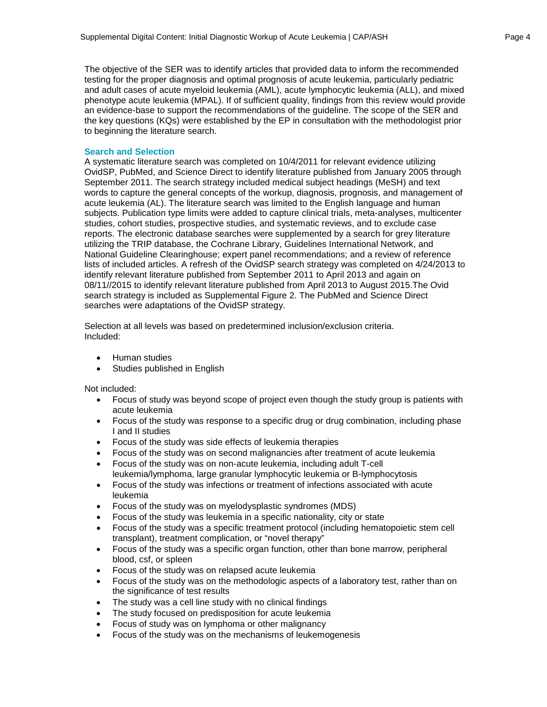The objective of the SER was to identify articles that provided data to inform the recommended testing for the proper diagnosis and optimal prognosis of acute leukemia, particularly pediatric and adult cases of acute myeloid leukemia (AML), acute lymphocytic leukemia (ALL), and mixed phenotype acute leukemia (MPAL). If of sufficient quality, findings from this review would provide an evidence-base to support the recommendations of the guideline. The scope of the SER and the key questions (KQs) were established by the EP in consultation with the methodologist prior to beginning the literature search.

#### **Search and Selection**

A systematic literature search was completed on 10/4/2011 for relevant evidence utilizing OvidSP, PubMed, and Science Direct to identify literature published from January 2005 through September 2011. The search strategy included medical subject headings (MeSH) and text words to capture the general concepts of the workup, diagnosis, prognosis, and management of acute leukemia (AL). The literature search was limited to the English language and human subjects. Publication type limits were added to capture clinical trials, meta-analyses, multicenter studies, cohort studies, prospective studies, and systematic reviews, and to exclude case reports. The electronic database searches were supplemented by a search for grey literature utilizing the TRIP database, the Cochrane Library, Guidelines International Network, and National Guideline Clearinghouse; expert panel recommendations; and a review of reference lists of included articles. A refresh of the OvidSP search strategy was completed on 4/24/2013 to identify relevant literature published from September 2011 to April 2013 and again on 08/11//2015 to identify relevant literature published from April 2013 to August 2015.The Ovid search strategy is included as Supplemental Figure 2. The PubMed and Science Direct searches were adaptations of the OvidSP strategy.

Selection at all levels was based on predetermined inclusion/exclusion criteria. Included:

- Human studies
- Studies published in English

Not included:

- Focus of study was beyond scope of project even though the study group is patients with acute leukemia
- Focus of the study was response to a specific drug or drug combination, including phase I and II studies
- Focus of the study was side effects of leukemia therapies
- Focus of the study was on second malignancies after treatment of acute leukemia
- Focus of the study was on non-acute leukemia, including adult T-cell leukemia/lymphoma, large granular lymphocytic leukemia or B-lymphocytosis
- Focus of the study was infections or treatment of infections associated with acute leukemia
- Focus of the study was on myelodysplastic syndromes (MDS)
- Focus of the study was leukemia in a specific nationality, city or state
- Focus of the study was a specific treatment protocol (including hematopoietic stem cell transplant), treatment complication, or "novel therapy"
- Focus of the study was a specific organ function, other than bone marrow, peripheral blood, csf, or spleen
- Focus of the study was on relapsed acute leukemia
- Focus of the study was on the methodologic aspects of a laboratory test, rather than on the significance of test results
- The study was a cell line study with no clinical findings
- The study focused on predisposition for acute leukemia
- Focus of study was on lymphoma or other malignancy
- Focus of the study was on the mechanisms of leukemogenesis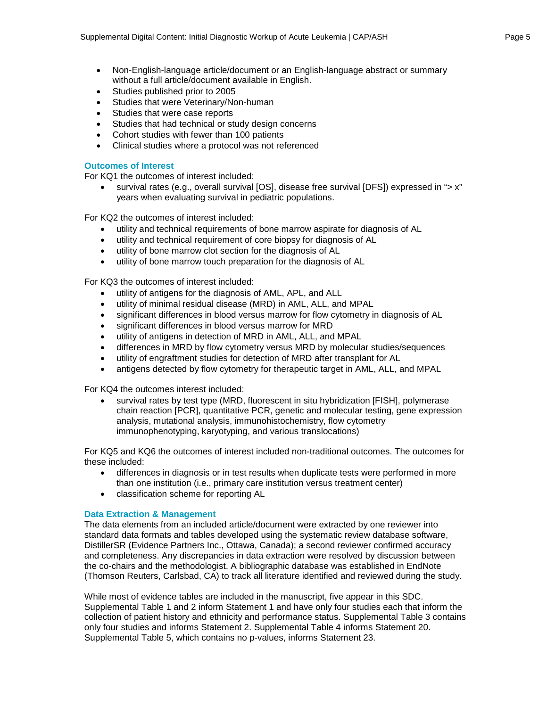- Non-English-language article/document or an English-language abstract or summary without a full article/document available in English.
- Studies published prior to 2005
- Studies that were Veterinary/Non-human
- Studies that were case reports
- Studies that had technical or study design concerns
- Cohort studies with fewer than 100 patients
- Clinical studies where a protocol was not referenced

#### **Outcomes of Interest**

For KQ1 the outcomes of interest included:

survival rates (e.g., overall survival [OS], disease free survival [DFS]) expressed in "> x" years when evaluating survival in pediatric populations.

For KQ2 the outcomes of interest included:

- utility and technical requirements of bone marrow aspirate for diagnosis of AL
- utility and technical requirement of core biopsy for diagnosis of AL
- utility of bone marrow clot section for the diagnosis of AL
- utility of bone marrow touch preparation for the diagnosis of AL

For KQ3 the outcomes of interest included:

- utility of antigens for the diagnosis of AML, APL, and ALL
- utility of minimal residual disease (MRD) in AML, ALL, and MPAL
- significant differences in blood versus marrow for flow cytometry in diagnosis of AL
- significant differences in blood versus marrow for MRD
- utility of antigens in detection of MRD in AML, ALL, and MPAL
- differences in MRD by flow cytometry versus MRD by molecular studies/sequences
- utility of engraftment studies for detection of MRD after transplant for AL
- antigens detected by flow cytometry for therapeutic target in AML, ALL, and MPAL

For KQ4 the outcomes interest included:

• survival rates by test type (MRD, fluorescent in situ hybridization [FISH], polymerase chain reaction [PCR], quantitative PCR, genetic and molecular testing, gene expression analysis, mutational analysis, immunohistochemistry, flow cytometry immunophenotyping, karyotyping, and various translocations)

For KQ5 and KQ6 the outcomes of interest included non-traditional outcomes. The outcomes for these included:

- differences in diagnosis or in test results when duplicate tests were performed in more than one institution (i.e., primary care institution versus treatment center)
- classification scheme for reporting AL

#### **Data Extraction & Management**

The data elements from an included article/document were extracted by one reviewer into standard data formats and tables developed using the systematic review database software, DistillerSR (Evidence Partners Inc., Ottawa, Canada); a second reviewer confirmed accuracy and completeness. Any discrepancies in data extraction were resolved by discussion between the co-chairs and the methodologist. A bibliographic database was established in EndNote (Thomson Reuters, Carlsbad, CA) to track all literature identified and reviewed during the study.

While most of evidence tables are included in the manuscript, five appear in this SDC. Supplemental Table 1 and 2 inform Statement 1 and have only four studies each that inform the collection of patient history and ethnicity and performance status. Supplemental Table 3 contains only four studies and informs Statement 2. Supplemental Table 4 informs Statement 20. Supplemental Table 5, which contains no p-values, informs Statement 23.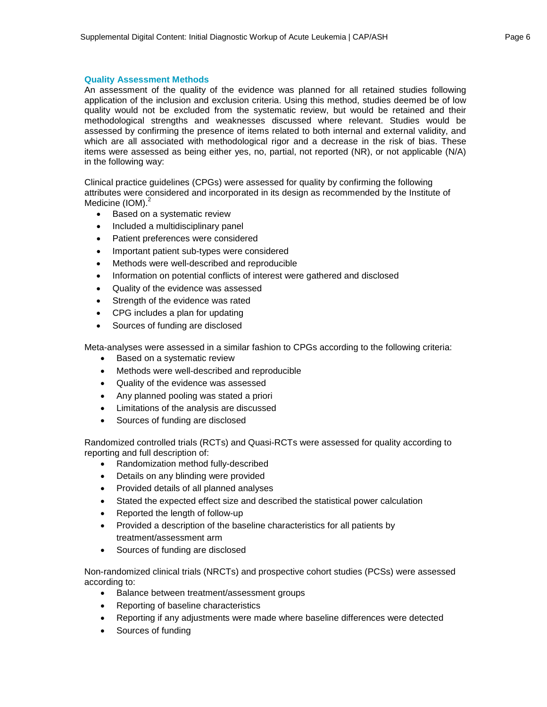#### **Quality Assessment Methods**

An assessment of the quality of the evidence was planned for all retained studies following application of the inclusion and exclusion criteria. Using this method, studies deemed be of low quality would not be excluded from the systematic review, but would be retained and their methodological strengths and weaknesses discussed where relevant. Studies would be assessed by confirming the presence of items related to both internal and external validity, and which are all associated with methodological rigor and a decrease in the risk of bias. These items were assessed as being either yes, no, partial, not reported (NR), or not applicable (N/A) in the following way:

Clinical practice guidelines (CPGs) were assessed for quality by confirming the following attributes were considered and incorporated in its design as recommended by the Institute of Medicine (IOM).<sup>2</sup>

- Based on a systematic review
- Included a multidisciplinary panel
- Patient preferences were considered
- Important patient sub-types were considered
- Methods were well-described and reproducible
- Information on potential conflicts of interest were gathered and disclosed
- Quality of the evidence was assessed
- Strength of the evidence was rated
- CPG includes a plan for updating
- Sources of funding are disclosed

Meta-analyses were assessed in a similar fashion to CPGs according to the following criteria:

- Based on a systematic review
- Methods were well-described and reproducible
- Quality of the evidence was assessed
- Any planned pooling was stated a priori
- Limitations of the analysis are discussed
- Sources of funding are disclosed

Randomized controlled trials (RCTs) and Quasi-RCTs were assessed for quality according to reporting and full description of:

- Randomization method fully-described
- Details on any blinding were provided
- Provided details of all planned analyses
- Stated the expected effect size and described the statistical power calculation
- Reported the length of follow-up
- Provided a description of the baseline characteristics for all patients by treatment/assessment arm
- Sources of funding are disclosed

Non-randomized clinical trials (NRCTs) and prospective cohort studies (PCSs) were assessed according to:

- Balance between treatment/assessment groups
- Reporting of baseline characteristics
- Reporting if any adjustments were made where baseline differences were detected
- Sources of funding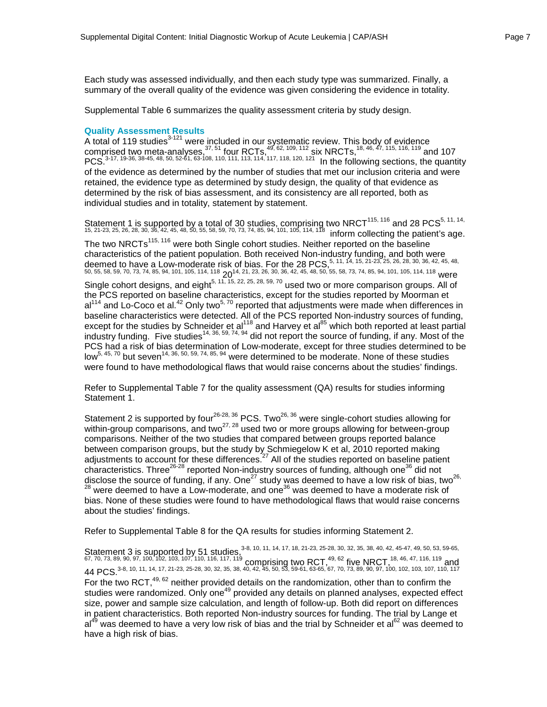Each study was assessed individually, and then each study type was summarized. Finally, a summary of the overall quality of the evidence was given considering the evidence in totality.

Supplemental Table 6 summarizes the quality assessment criteria by study design.

#### **Quality Assessment Results**

A total of 119 studies<sup>3-121</sup> were included in our systematic review. This body of evidence comprised two meta-analyses,  $37, 51$  four RCTs,  $49, 62, 109, 112$  six NRCTs,  $18, 46, 47, 115, 116, 119$  and 107 PCS.<sup>3-17, 19-36, 38-45, 48, 50, 52-61, 63-108, 110, 111, 113, 114, 117, 118, 120, 121 In the following sections, the quantity</sup> of the evidence as determined by the number of studies that met our inclusion criteria and were retained, the evidence type as determined by study design, the quality of that evidence as determined by the risk of bias assessment, and its consistency are all reported, both as individual studies and in totality, statement by statement.

Statement 1 is supported by a total of 30 studies, comprising two NRCT<sup>115, 116</sup> and 28 PCS<sup>5, 11, 14,</sup> 15, 21-23, 25, 26, 28, 30, 36, 42, 45, 48, 50, 55, 58, 59, 70, 73, 74, 85, 94, 101, 105, 114, 118 inform collecting the patient's age. The two NRCTs<sup>115, 116</sup> were both Single cohort studies. Neither reported on the baseline characteristics of the patient population. Both received Non-industry funding, and both were deemed to have a Low-moderate risk of bias. For the 28 PCS,  $5, 11, 14, 15, 21-23, 25, 26, 28, 30, 36, 42, 45, 48,$ 50, 55, 58, 59, 70, 73, 74, 85, 94, 101, 105, 114, 118  $20^{14}$ , 21, 23, 26, 30, 36, 42, 45, 48, 50, 55, 58, 73, 74, 85, 94, 101, 105, 114, 118 were Single cohort designs, and eight<sup>5, 11, 15, 22, 25, 28, 59, 70</sup> used two or more comparison groups. All of the PCS reported on baseline characteristics, except for the studies reported by Moorman et al<sup>114</sup> and Lo-Coco et al.<sup>42</sup> Only two<sup>5, 70</sup> reported that adjustments were made when differences in baseline characteristics were detected. All of the PCS reported Non-industry sources of funding, except for the studies by Schneider et al<sup>118</sup> and Harvey et al<sup>85</sup> which both reported at least partial industry funding. Five studies<sup>14, 36, 59, 74, 94</sup> did not report the source of funding, if any. Most of the PCS had a risk of bias determination of Low-moderate, except for three studies determined to be low<sup>5, 45, 70</sup> but seven<sup>14, 36, 50, 59, 74, 85, 94</sup> were determined to be moderate. None of these studies were found to have methodological flaws that would raise concerns about the studies' findings.

Refer to Supplemental Table 7 for the quality assessment (QA) results for studies informing Statement 1.

Statement 2 is supported by four<sup>26-28, 36</sup> PCS. Two<sup>26, 36</sup> were single-cohort studies allowing for within-group comparisons, and two $^{27,28}$  used two or more groups allowing for between-group comparisons. Neither of the two studies that compared between groups reported balance between comparison groups, but the study by Schmiegelow K et al, 2010 reported making adjustments to account for these differences.<sup>27</sup> All of the studies reported on baseline patient characteristics. Three<sup>26-28</sup> reported Non-industry sources of funding, although one<sup>36</sup> did not disclose the source of funding, if any. One<sup>27</sup> study was deemed to have a low risk of bias, two<sup>26,</sup> <sup>28</sup> were deemed to have a Low-moderate, and one<sup>36</sup> was deemed to have a moderate risk of bias. None of these studies were found to have methodological flaws that would raise concerns about the studies' findings.

Refer to Supplemental Table 8 for the QA results for studies informing Statement 2.

Statement 3 is supported by 51 studies,  $3-8$ ,  $10$ ,  $11$ ,  $14$ ,  $17$ ,  $18$ ,  $21-23$ ,  $25-28$ ,  $30$ ,  $32$ ,  $35$ ,  $38$ ,  $40$ ,  $42$ ,  $45-47$ ,  $49$ ,  $50$ ,  $53$ ,  $59-65$ ,  $53$ ,  $59-65$ , 67, 70, 73, 89, 90, 97, 100, 102, 103, 107, 110, 116, 117, 119 comprising two RCT,  $^{49,62}$  five NRCT,  $^{18,46,47,116,119}$  and 44 PCS.3-8, 10, 11, 14, 17, 21-23, 25-28, 30, 32, 35, 38, 40, 42, 45, 50, 53, 59-61, 63-65, 67, 70, 73, 89, 90, 97, 100, 102, 103, 107, 110, 117 For the two RCT, $49,62$  neither provided details on the randomization, other than to confirm the studies were randomized. Only one<sup>49</sup> provided any details on planned analyses, expected effect size, power and sample size calculation, and length of follow-up. Both did report on differences in patient characteristics. Both reported Non-industry sources for funding. The trial by Lange et  $al<sup>49</sup>$  was deemed to have a very low risk of bias and the trial by Schneider et al<sup>62</sup> was deemed to have a high risk of bias.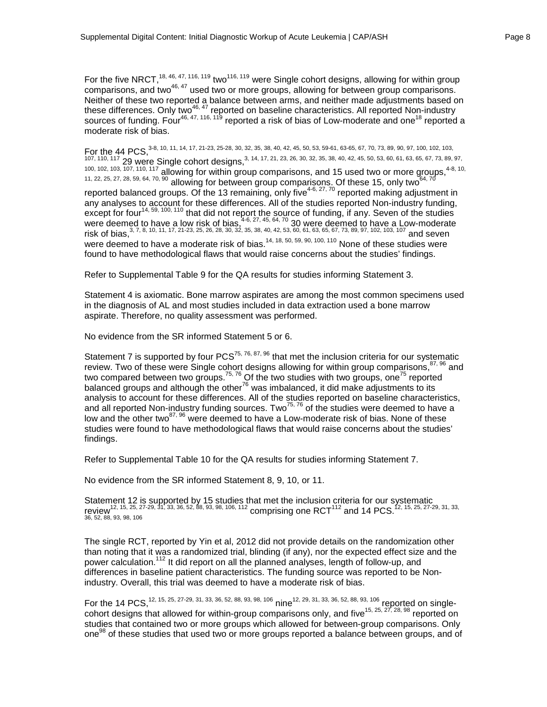For the five NRCT,<sup>18, 46, 47, 116, 119</sup> two<sup>116, 119</sup> were Single cohort designs, allowing for within group comparisons, and two<sup>46, 47</sup> used two or more groups, allowing for between group comparisons. Neither of these two reported a balance between arms, and neither made adjustments based on these differences. Only two<sup>46, 47</sup> reported on baseline characteristics. All reported Non-industry sources of funding. Four<sup>46, 47, 116, 119</sup> reported a risk of bias of Low-moderate and one<sup>18</sup> reported a moderate risk of bias.

For the 44 PCS, 3-8, 10, 11, 14, 17, 21-23, 25-28, 30, 32, 35, 38, 40, 42, 45, 50, 53, 59-61, 63-65, 67, 70, 73, 89, 90, 97, 100, 102, 103, 107, 110, 117 1 UU,<br>107, 110, 117 29 were Single cohort designs,<sup>3, 14,</sup> 17, 21, 23, 26, 30, 32, 35, 38, 40, 42, 45, 50, 53, 60, 61, 63, 65, 67, 73, 89, 97,  $100, 102, 103, 107, 110, 117$  allowing for within group comparisons, and 15 used two or more groups,  $4-8, 10$ ,  $11, 22, 25, 27, 28, 59, 64, 70, 90$  allowing for between group comparisons. Of these 15, only two  $64, 70$ reported balanced groups. Of the 13 remaining, only five<sup>4-6, 27, 70</sup> reported making adjustment in any analyses to account for these differences. All of the studies reported Non-industry funding, except for four<sup>14, 59, 100, 110</sup> that did not report the source of funding, if any. Seven of the studies were deemed to have a low risk of bias,  $4-6$ ,  $27$ ,  $45$ ,  $64$ ,  $70$  30 were deemed to have a Low-moderate risk of bias,  $3, 7, 8, 10, 11, 17, 21$ -23, 25, 26, 28, 30, 32, 35, 38, 40, 42, 53, 60, 61, 63, 65, 67, 73, 89, 97, 102, 103, 107 and seven were deemed to have a moderate risk of bias.<sup>14, 18, 50, 59, 90, 100, 110</sup> None of these studies were were found to have methodological flaws that would raise concerns about the studies' findings.

Refer to Supplemental Table 9 for the QA results for studies informing Statement 3.

Statement 4 is axiomatic. Bone marrow aspirates are among the most common specimens used in the diagnosis of AL and most studies included in data extraction used a bone marrow aspirate. Therefore, no quality assessment was performed.

No evidence from the SR informed Statement 5 or 6.

Statement 7 is supported by four  $PCS^{75, 76, 87, 96}$  that met the inclusion criteria for our systematic review. Two of these were Single cohort designs allowing for within group comparisons,  $87,96$  and two compared between two groups.<sup>75, 76</sup> Of the two studies with two groups, one<sup>75</sup> reported balanced groups and although the other<sup>76</sup> was imbalanced, it did make adjustments to its analysis to account for these differences. All of the studies reported on baseline characteristics, and all reported Non-industry funding sources. Two<sup>75, 76</sup> of the studies were deemed to have a low and the other two $^{87,96}$  were deemed to have a Low-moderate risk of bias. None of these studies were found to have methodological flaws that would raise concerns about the studies' findings.

Refer to Supplemental Table 10 for the QA results for studies informing Statement 7.

No evidence from the SR informed Statement 8, 9, 10, or 11.

Statement 12 is supported by 15 studies that met the inclusion criteria for our systematic review<sup>12, 15, 25, 27-29, 31, 33, 36, 52, 88, 93, 98, 106, 112 comprising one RCT<sup>112</sup> and 14 PCS.<sup>12, 15, 25, 27-29, 31, 33,<br>36, 52, 88, 93, 98, 106</sup></sup>

The single RCT, reported by Yin et al, 2012 did not provide details on the randomization other than noting that it was a randomized trial, blinding (if any), nor the expected effect size and the power calculation.<sup>112</sup> It did report on all the planned analyses, length of follow-up, and differences in baseline patient characteristics. The funding source was reported to be Nonindustry. Overall, this trial was deemed to have a moderate risk of bias.

For the 14 PCS, <sup>12, 15, 25, 27-29, 31, 33, 36, 52, 88, 93, 98, 106</sup> nine<sup>12, 29, 31, 33, 36, 52, 88, 93, 106 reported on single-</sup> cohort designs that allowed for within-group comparisons only, and five<sup>15, 25, 27, 28, 98</sup> reported on studies that contained two or more groups which allowed for between-group comparisons. Only one<sup>98</sup> of these studies that used two or more groups reported a balance between groups, and of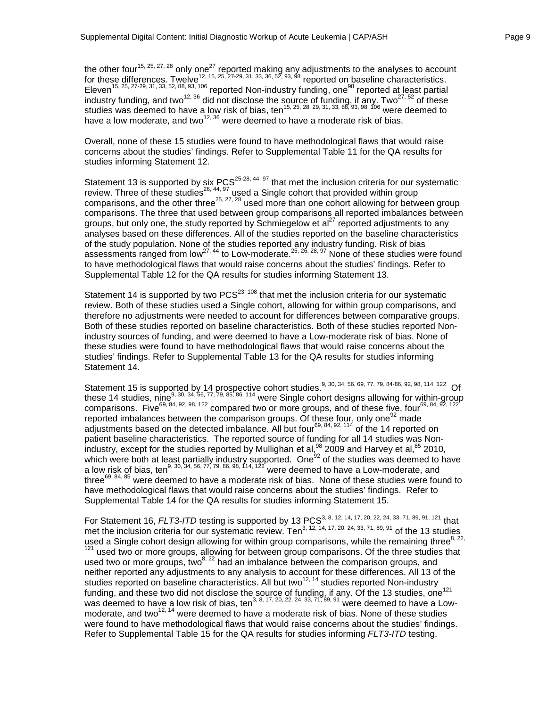the other four<sup>15, 25, 27, 28</sup> only one<sup>27</sup> reported making any adjustments to the analyses to account for these differences. Twelve<sup>12, 15, 25, 27-29, 31, 33, 36, 52, 93, 98</sup> reported on baseline characteristics. Eleven<sup>15, 25, 27-29, 31, 33, 52, 88, 93, 106</sup> reported Non-industry funding, one<sup>98</sup> reported at least partial industry funding, and two<sup>12, 36</sup> did not disclose the source of funding, if any. Two<sup>27, 52</sup> of these studies was deemed to have a low risk of bias, ten<sup>15, 25, 28, 29, 31, 33, 88, 93, 98, 106</sup> were deemed to have a low moderate, and two $^{12, 36}$  were deemed to have a moderate risk of bias.

Overall, none of these 15 studies were found to have methodological flaws that would raise concerns about the studies' findings. Refer to Supplemental Table 11 for the QA results for studies informing Statement 12.

Statement 13 is supported by six PCS<sup>25-28, 44, 97</sup> that met the inclusion criteria for our systematic review. Three of these studies<sup>26, 44, 97</sup> used a Single cohort that provided within group comparisons, and the other three<sup>25, 27, 28</sup> used more than one cohort allowing for between group comparisons. The three that used between group comparisons all reported imbalances between groups, but only one, the study reported by Schmiegelow et  $a^{27}$  reported adjustments to any analyses based on these differences. All of the studies reported on the baseline characteristics of the study population. None of the studies reported any industry funding. Risk of bias assessments ranged from low<sup>27, 44</sup> to Low-moderate.<sup>25, 26, 28, 97</sup> None of these studies were found to have methodological flaws that would raise concerns about the studies' findings. Refer to Supplemental Table 12 for the QA results for studies informing Statement 13.

Statement 14 is supported by two  $PCS<sup>23, 108</sup>$  that met the inclusion criteria for our systematic review. Both of these studies used a Single cohort, allowing for within group comparisons, and therefore no adjustments were needed to account for differences between comparative groups. Both of these studies reported on baseline characteristics. Both of these studies reported Nonindustry sources of funding, and were deemed to have a Low-moderate risk of bias. None of these studies were found to have methodological flaws that would raise concerns about the studies' findings. Refer to Supplemental Table 13 for the QA results for studies informing Statement 14.

Statement 15 is supported by 14 prospective cohort studies.<sup>9, 30, 34, 56, 69, 77, 79, 84-86, 92, 98, 114, 122</sup> Of these 14 studies, nine<sup>9, 30, 34, 56, 77, 79, 85, 86, 114</sup> were Single cohort designs allowing for within-group comparisons. Five<sup>69, 84, 92, 98, 122</sup> compared two or more groups, and of these five, four<sup>69, 84, 92, 122</sup> reported imbalances between the comparison groups. Of these four, only one  $92$  made adjustments based on the detected imbalance. All but four<sup>69, 84, 92, 114</sup> of the 14 reported on patient baseline characteristics. The reported source of funding for all 14 studies was Nonindustry, except for the studies reported by Mullighan et al, $^{98}$  2009 and Harvey et al, $^{85}$  2010, which were both at least partially industry supported. One<sup>92</sup> of the studies was deemed to have a low risk of bias, ten<sup>9, 30, 34, 56, 77, 79, 86, 98, 114, 122</sup> were deemed to have a Low-moderate, and three<sup>69, 84, 85</sup> were deemed to have a moderate risk of bias. None of these studies were found to have methodological flaws that would raise concerns about the studies' findings. Refer to Supplemental Table 14 for the QA results for studies informing Statement 15.

For Statement 16, *FLT3-ITD* testing is supported by 13 PCS<sup>3, 8, 12, 14, 17, 20, 22, 24, 33, 71, 89, 91, 121 that</sup> met the inclusion criteria for our systematic review. Ten<sup>3, 12, 14, 17, 20, 24, 33, 71, 89, 91</sup> of the 13 studies used a Single cohort design allowing for within group comparisons, while the remaining three  $8,22$ , 121 used two or more groups, allowing for between group comparisons. Of the three studies that used two or more groups, two $^{8, 22}$  had an imbalance between the comparison groups, and neither reported any adjustments to any analysis to account for these differences. All 13 of the studies reported on baseline characteristics. All but two<sup>12, 14</sup> studies reported Non-industry funding, and these two did not disclose the source of funding, if any. Of the 13 studies, one<sup>121</sup> was deemed to have a low risk of bias, ten<sup>3, 8, 17, 20, 22, 24, 33, 71, 89, 91</sup> were deemed to have a Lowmoderate, and two<sup>12, 14</sup> were deemed to have a moderate risk of bias. None of these studies were found to have methodological flaws that would raise concerns about the studies' findings. Refer to Supplemental Table 15 for the QA results for studies informing *FLT3-ITD* testing.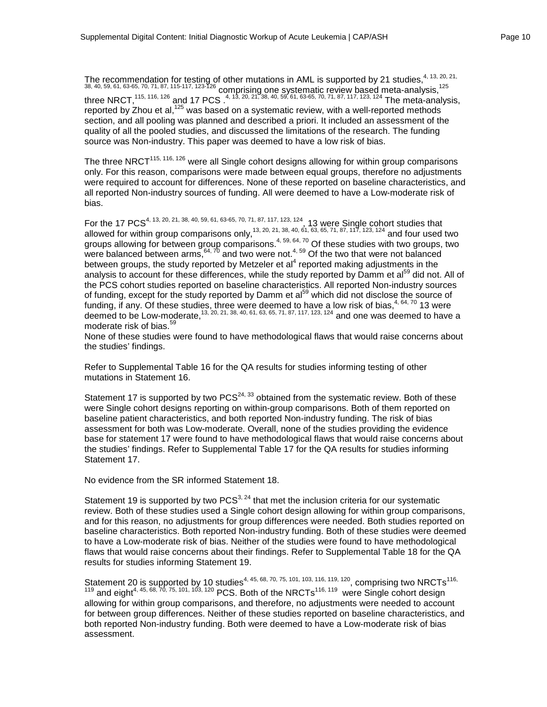The recommendation for testing of other mutations in AML is supported by 21 studies,  $4, 13, 20, 21,$ 38, 40, 59, 61, 63-65, 70, 71, 87, 115-117, 123-126 comprising one systematic review based meta-analysis,  $^{125}$ three NRCT,<sup>115, 116, 126</sup> and 17 PCS .<sup>4, 13, 20, 21, 38, 40, 59, 61, 63-65, 70, 71, 87, 117, 123, 124 The meta-analysis,</sup> reported by Zhou et al,<sup>125</sup> was based on a systematic review, with a well-reported methods section, and all pooling was planned and described a priori. It included an assessment of the quality of all the pooled studies, and discussed the limitations of the research. The funding source was Non-industry. This paper was deemed to have a low risk of bias.

The three NRCT $<sup>115, 116, 126</sup>$  were all Single cohort designs allowing for within group comparisons</sup> only. For this reason, comparisons were made between equal groups, therefore no adjustments were required to account for differences. None of these reported on baseline characteristics, and all reported Non-industry sources of funding. All were deemed to have a Low-moderate risk of bias.

For the 17 PCS<sup>4, 13, 20, 21, 38, 40, 59, 61, 63-65, 70, 71, 87, 117, 123, 124, 13 were Single cohort studies that</sup> allowed for within group comparisons only,<sup>13, 20, 21, 38, 40, 61, 63, 65, 71, 87, 117, 123, 124</sup> and four used two groups allowing for between group comparisons.<sup>4, 59, 64, 70</sup> Of these studies with two groups, two were balanced between arms,  $64, 70$  and two were not. $4, 59$  Of the two that were not balanced between groups, the study reported by Metzeler et al<sup>4</sup> reported making adjustments in the analysis to account for these differences, while the study reported by Damm et al<sup>59</sup> did not. All of the PCS cohort studies reported on baseline characteristics. All reported Non-industry sources of funding, except for the study reported by Damm et al<sup>59</sup> which did not disclose the source of funding, if any. Of these studies, three were deemed to have a low risk of bias,  $4, 64, 70$  13 were deemed to be Low-moderate,  $^{13, 20, 21, 38, 40, 61, 63, 65, 71, 87, 117, 123, 124}$  and one was deemed to have a moderate risk of bias.<sup>59</sup>

None of these studies were found to have methodological flaws that would raise concerns about the studies' findings.

Refer to Supplemental Table 16 for the QA results for studies informing testing of other mutations in Statement 16.

Statement 17 is supported by two  $PCS<sup>24, 33</sup>$  obtained from the systematic review. Both of these were Single cohort designs reporting on within-group comparisons. Both of them reported on baseline patient characteristics, and both reported Non-industry funding. The risk of bias assessment for both was Low-moderate. Overall, none of the studies providing the evidence base for statement 17 were found to have methodological flaws that would raise concerns about the studies' findings. Refer to Supplemental Table 17 for the QA results for studies informing Statement 17.

No evidence from the SR informed Statement 18.

Statement 19 is supported by two  $PCS<sup>3, 24</sup>$  that met the inclusion criteria for our systematic review. Both of these studies used a Single cohort design allowing for within group comparisons, and for this reason, no adjustments for group differences were needed. Both studies reported on baseline characteristics. Both reported Non-industry funding. Both of these studies were deemed to have a Low-moderate risk of bias. Neither of the studies were found to have methodological flaws that would raise concerns about their findings. Refer to Supplemental Table 18 for the QA results for studies informing Statement 19.

Statement 20 is supported by 10 studies<sup>4, 45, 68, 70, 75, 101, 103, 116, 119, 120</sup>, comprising two NRCTs<sup>116,</sup>  $^{119}$  and eight<sup>4, 45, 68, 70, 75, 101, 103, 120</sup> PCS. Both of the NRCTs<sup>116, 119</sup> were Single cohort design allowing for within group comparisons, and therefore, no adjustments were needed to account for between group differences. Neither of these studies reported on baseline characteristics, and both reported Non-industry funding. Both were deemed to have a Low-moderate risk of bias assessment.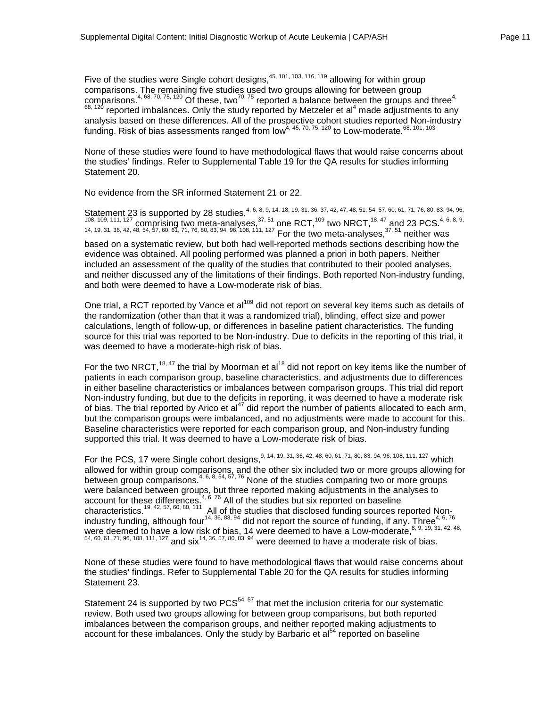Five of the studies were Single cohort designs,  $45, 101, 103, 116, 119$  allowing for within group comparisons. The remaining five studies used two groups allowing for between group comparisons.<sup>4, 68, 70, 75, 120</sup> Of these, two<sup>70, 75</sup> reported a balance between the groups and three<sup>4,</sup>  $68,120$  reported imbalances. Only the study reported by Metzeler et al<sup>4</sup> made adjustments to any analysis based on these differences. All of the prospective cohort studies reported Non-industry funding. Risk of bias assessments ranged from low<sup>4, 45, 70, 75, 120</sup> to Low-moderate.<sup>68, 101, 103</sup>

None of these studies were found to have methodological flaws that would raise concerns about the studies' findings. Refer to Supplemental Table 19 for the QA results for studies informing Statement 20.

No evidence from the SR informed Statement 21 or 22.

Statement 23 is supported by 28 studies,<sup>4, 6, 8, 9, 14, 18, 19, 31, 36, 37, 42, 47, 48, 51, 54, 57, 60, 61, 71, 76, 80, 83, 94, 96,</sup>  $108, 109, 111, 127$  comprising two meta-analyses,  $37, 51$  one RCT,  $109$  two NRCT,  $18, 47$  and 23 PCS.  $4, 6, 8, 9$ , 14, 19, 31, 36, 42, 48, 54, 57, 60, 61, 71, 76, 80, 83, 94, 96, 108, 111, 127 For the two meta-analyses, $^{37,\,51}$  neither was based on a systematic review, but both had well-reported methods sections describing how the evidence was obtained. All pooling performed was planned a priori in both papers. Neither included an assessment of the quality of the studies that contributed to their pooled analyses, and neither discussed any of the limitations of their findings. Both reported Non-industry funding, and both were deemed to have a Low-moderate risk of bias.

One trial, a RCT reported by Vance et al<sup>109</sup> did not report on several key items such as details of the randomization (other than that it was a randomized trial), blinding, effect size and power calculations, length of follow-up, or differences in baseline patient characteristics. The funding source for this trial was reported to be Non-industry. Due to deficits in the reporting of this trial, it was deemed to have a moderate-high risk of bias.

For the two NRCT,<sup>18, 47</sup> the trial by Moorman et al<sup>18</sup> did not report on key items like the number of patients in each comparison group, baseline characteristics, and adjustments due to differences in either baseline characteristics or imbalances between comparison groups. This trial did report Non-industry funding, but due to the deficits in reporting, it was deemed to have a moderate risk of bias. The trial reported by Arico et al<sup>47</sup> did report the number of patients allocated to each arm, but the comparison groups were imbalanced, and no adjustments were made to account for this. Baseline characteristics were reported for each comparison group, and Non-industry funding supported this trial. It was deemed to have a Low-moderate risk of bias.

For the PCS, 17 were Single cohort designs, 9, 14, 19, 31, 36, 42, 48, 60, 61, 71, 80, 83, 94, 96, 108, 111, 127 which allowed for within group comparisons, and the other six included two or more groups allowing for between group comparisons.<sup>4, 6, 8, 54, 57, 76</sup> None of the studies comparing two or more groups were balanced between groups, but three reported making adjustments in the analyses to account for these differences.<sup>4, 6, 76</sup> All of the studies but six reported on baseline characteristics.<sup>19, 42, 57, 60, 80, 111</sup> All of the studies that disclosed funding sources reported Nonindustry funding, although four<sup>14, 36, 83, 94</sup> did not report the source of funding, if any. Three<sup>4, 6, 76</sup> were deemed to have a low risk of bias, 14 were deemed to have a Low-moderate, 8, 9, 19, 31, 42, 48, 54, 60, 61, 71, 96, 108, 111, 127 and six<sup>14, 36, 57, 80, 83, 94</sup> were deemed to have a moderate risk of bias.

None of these studies were found to have methodological flaws that would raise concerns about the studies' findings. Refer to Supplemental Table 20 for the QA results for studies informing Statement 23.

Statement 24 is supported by two  $PCS<sup>54, 57</sup>$  that met the inclusion criteria for our systematic review. Both used two groups allowing for between group comparisons, but both reported imbalances between the comparison groups, and neither reported making adjustments to account for these imbalances. Only the study by Barbaric et  $a^{1}$  reported on baseline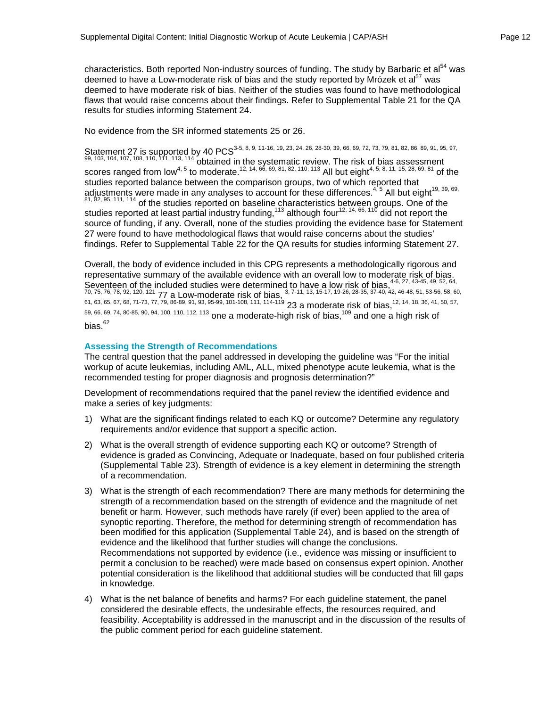characteristics. Both reported Non-industry sources of funding. The study by Barbaric et al<sup>54</sup> was deemed to have a Low-moderate risk of bias and the study reported by Mrózek et al<sup>57</sup> was deemed to have moderate risk of bias. Neither of the studies was found to have methodological flaws that would raise concerns about their findings. Refer to Supplemental Table 21 for the QA results for studies informing Statement 24.

No evidence from the SR informed statements 25 or 26.

Statement 27 is supported by 40 PCS<sup>3-5, 8, 9, 11-16, 19, 23, 24, 26, 28-30, 39, 66, 69, 72, 73, 79, 81, 82, 86, 89, 91, 95, 97,</sup>  $99, 103, 104, 107, 108, 110, 111, 113, 114$  obtained in the systematic review. The risk of bias assessment scores ranged from low<sup>4, 5</sup> to moderate.<sup>12, 14, 66, 69, 81, 82, 110, 113</sup> All but eight<sup>4, 5, 8, 11, 15, 28, 69, 81</sup> of the studies reported balance between the comparison groups, two of which reported that adjustments were made in any analyses to account for these differences. $4,5$  All but eight<sup>19, 39, 69,</sup>  $81, 82, 95, 111, 114$  of the studies reported on baseline characteristics between groups. One of the studies reported at least partial industry funding, $^{113}$  although four $^{12, 14, 66, 110}$  did not report the source of funding, if any. Overall, none of the studies providing the evidence base for Statement 27 were found to have methodological flaws that would raise concerns about the studies' findings. Refer to Supplemental Table 22 for the QA results for studies informing Statement 27.

Overall, the body of evidence included in this CPG represents a methodologically rigorous and representative summary of the available evidence with an overall low to moderate risk of bias. Seventeen of the included studies were determined to have a low risk of bias.<sup>4-6, 27, 43-45, 49, 52, 64,</sup>  $70, 75, 76, 78, 92, 120, 121$   $77$  a Low-moderate risk of bias,  $^{3, 7-11, 13, 15-17, 19-26, 28-35, 37-40, 42, 46-48, 51, 53-56, 58, 60, 72, 73, 74, 75, 76, 77, 78, 77, 78, 78, 79, 70, 70, 71, 72, 73, 74, 75, 76, 77, 78,$ 61, 63, 65, 67, 68, 71-73, 77, 79, 86-89, 91, 93, 95-99, 101-108, 111, 114-119 23 a moderate risk of bias,  $^{12,14,18,36,41,50,57}$ , 59, 66, 69, 74, 80-85, 90, 94, 100, 110, 112, 113 one a moderate-high risk of bias,<sup>109</sup> and one a high risk of bias.<sup>62</sup>

## **Assessing the Strength of Recommendations**

The central question that the panel addressed in developing the guideline was "For the initial workup of acute leukemias, including AML, ALL, mixed phenotype acute leukemia, what is the recommended testing for proper diagnosis and prognosis determination?"

Development of recommendations required that the panel review the identified evidence and make a series of key judgments:

- 1) What are the significant findings related to each KQ or outcome? Determine any regulatory requirements and/or evidence that support a specific action.
- 2) What is the overall strength of evidence supporting each KQ or outcome? Strength of evidence is graded as Convincing, Adequate or Inadequate, based on four published criteria (Supplemental Table 23). Strength of evidence is a key element in determining the strength of a recommendation.
- 3) What is the strength of each recommendation? There are many methods for determining the strength of a recommendation based on the strength of evidence and the magnitude of net benefit or harm. However, such methods have rarely (if ever) been applied to the area of synoptic reporting. Therefore, the method for determining strength of recommendation has been modified for this application (Supplemental Table 24), and is based on the strength of evidence and the likelihood that further studies will change the conclusions. Recommendations not supported by evidence (i.e., evidence was missing or insufficient to permit a conclusion to be reached) were made based on consensus expert opinion. Another potential consideration is the likelihood that additional studies will be conducted that fill gaps in knowledge.
- 4) What is the net balance of benefits and harms? For each guideline statement, the panel considered the desirable effects, the undesirable effects, the resources required, and feasibility. Acceptability is addressed in the manuscript and in the discussion of the results of the public comment period for each guideline statement.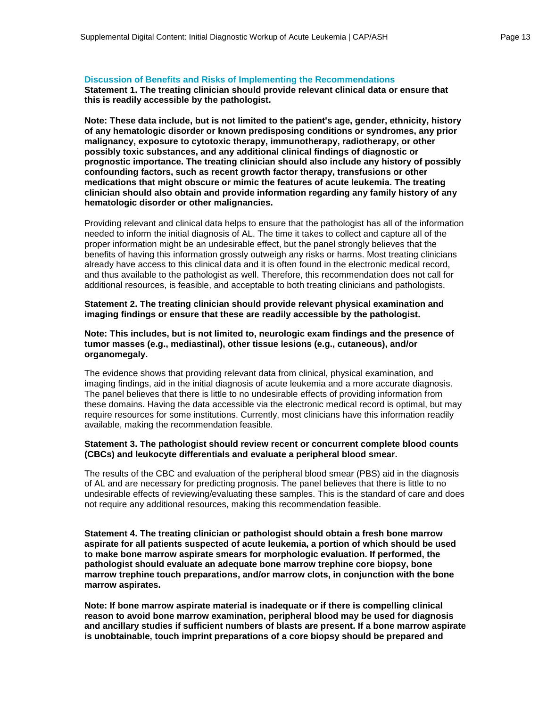#### **Discussion of Benefits and Risks of Implementing the Recommendations**

**Statement 1. The treating clinician should provide relevant clinical data or ensure that this is readily accessible by the pathologist.**

**Note: These data include, but is not limited to the patient's age, gender, ethnicity, history of any hematologic disorder or known predisposing conditions or syndromes, any prior malignancy, exposure to cytotoxic therapy, immunotherapy, radiotherapy, or other possibly toxic substances, and any additional clinical findings of diagnostic or prognostic importance. The treating clinician should also include any history of possibly confounding factors, such as recent growth factor therapy, transfusions or other medications that might obscure or mimic the features of acute leukemia. The treating clinician should also obtain and provide information regarding any family history of any hematologic disorder or other malignancies.**

Providing relevant and clinical data helps to ensure that the pathologist has all of the information needed to inform the initial diagnosis of AL. The time it takes to collect and capture all of the proper information might be an undesirable effect, but the panel strongly believes that the benefits of having this information grossly outweigh any risks or harms. Most treating clinicians already have access to this clinical data and it is often found in the electronic medical record, and thus available to the pathologist as well. Therefore, this recommendation does not call for additional resources, is feasible, and acceptable to both treating clinicians and pathologists.

**Statement 2. The treating clinician should provide relevant physical examination and imaging findings or ensure that these are readily accessible by the pathologist.** 

#### **Note: This includes, but is not limited to, neurologic exam findings and the presence of tumor masses (e.g., mediastinal), other tissue lesions (e.g., cutaneous), and/or organomegaly.**

The evidence shows that providing relevant data from clinical, physical examination, and imaging findings, aid in the initial diagnosis of acute leukemia and a more accurate diagnosis. The panel believes that there is little to no undesirable effects of providing information from these domains. Having the data accessible via the electronic medical record is optimal, but may require resources for some institutions. Currently, most clinicians have this information readily available, making the recommendation feasible.

#### **Statement 3. The pathologist should review recent or concurrent complete blood counts (CBCs) and leukocyte differentials and evaluate a peripheral blood smear.**

The results of the CBC and evaluation of the peripheral blood smear (PBS) aid in the diagnosis of AL and are necessary for predicting prognosis. The panel believes that there is little to no undesirable effects of reviewing/evaluating these samples. This is the standard of care and does not require any additional resources, making this recommendation feasible.

**Statement 4. The treating clinician or pathologist should obtain a fresh bone marrow aspirate for all patients suspected of acute leukemia, a portion of which should be used to make bone marrow aspirate smears for morphologic evaluation. If performed, the pathologist should evaluate an adequate bone marrow trephine core biopsy, bone marrow trephine touch preparations, and/or marrow clots, in conjunction with the bone marrow aspirates.**

**Note: If bone marrow aspirate material is inadequate or if there is compelling clinical reason to avoid bone marrow examination, peripheral blood may be used for diagnosis and ancillary studies if sufficient numbers of blasts are present. If a bone marrow aspirate is unobtainable, touch imprint preparations of a core biopsy should be prepared and**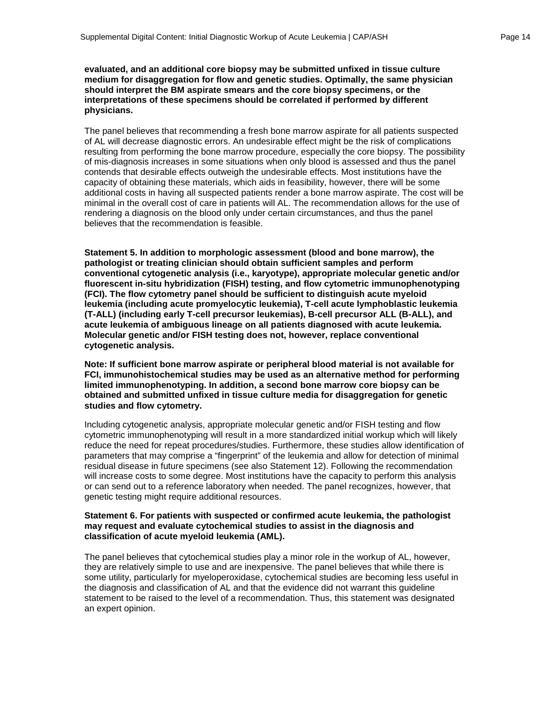**evaluated, and an additional core biopsy may be submitted unfixed in tissue culture medium for disaggregation for flow and genetic studies. Optimally, the same physician should interpret the BM aspirate smears and the core biopsy specimens, or the interpretations of these specimens should be correlated if performed by different physicians.**

The panel believes that recommending a fresh bone marrow aspirate for all patients suspected of AL will decrease diagnostic errors. An undesirable effect might be the risk of complications resulting from performing the bone marrow procedure, especially the core biopsy. The possibility of mis-diagnosis increases in some situations when only blood is assessed and thus the panel contends that desirable effects outweigh the undesirable effects. Most institutions have the capacity of obtaining these materials, which aids in feasibility, however, there will be some additional costs in having all suspected patients render a bone marrow aspirate. The cost will be minimal in the overall cost of care in patients will AL. The recommendation allows for the use of rendering a diagnosis on the blood only under certain circumstances, and thus the panel believes that the recommendation is feasible.

**Statement 5. In addition to morphologic assessment (blood and bone marrow), the pathologist or treating clinician should obtain sufficient samples and perform conventional cytogenetic analysis (i.e., karyotype), appropriate molecular genetic and/or fluorescent in-situ hybridization (FISH) testing, and flow cytometric immunophenotyping (FCI). The flow cytometry panel should be sufficient to distinguish acute myeloid leukemia (including acute promyelocytic leukemia), T-cell acute lymphoblastic leukemia (T-ALL) (including early T-cell precursor leukemias), B-cell precursor ALL (B-ALL), and acute leukemia of ambiguous lineage on all patients diagnosed with acute leukemia. Molecular genetic and/or FISH testing does not, however, replace conventional cytogenetic analysis.**

**Note: If sufficient bone marrow aspirate or peripheral blood material is not available for FCI, immunohistochemical studies may be used as an alternative method for performing limited immunophenotyping. In addition, a second bone marrow core biopsy can be obtained and submitted unfixed in tissue culture media for disaggregation for genetic studies and flow cytometry.**

Including cytogenetic analysis, appropriate molecular genetic and/or FISH testing and flow cytometric immunophenotyping will result in a more standardized initial workup which will likely reduce the need for repeat procedures/studies. Furthermore, these studies allow identification of parameters that may comprise a "fingerprint" of the leukemia and allow for detection of minimal residual disease in future specimens (see also Statement 12). Following the recommendation will increase costs to some degree. Most institutions have the capacity to perform this analysis or can send out to a reference laboratory when needed. The panel recognizes, however, that genetic testing might require additional resources.

#### **Statement 6. For patients with suspected or confirmed acute leukemia, the pathologist may request and evaluate cytochemical studies to assist in the diagnosis and classification of acute myeloid leukemia (AML).**

The panel believes that cytochemical studies play a minor role in the workup of AL, however, they are relatively simple to use and are inexpensive. The panel believes that while there is some utility, particularly for myeloperoxidase, cytochemical studies are becoming less useful in the diagnosis and classification of AL and that the evidence did not warrant this guideline statement to be raised to the level of a recommendation. Thus, this statement was designated an expert opinion.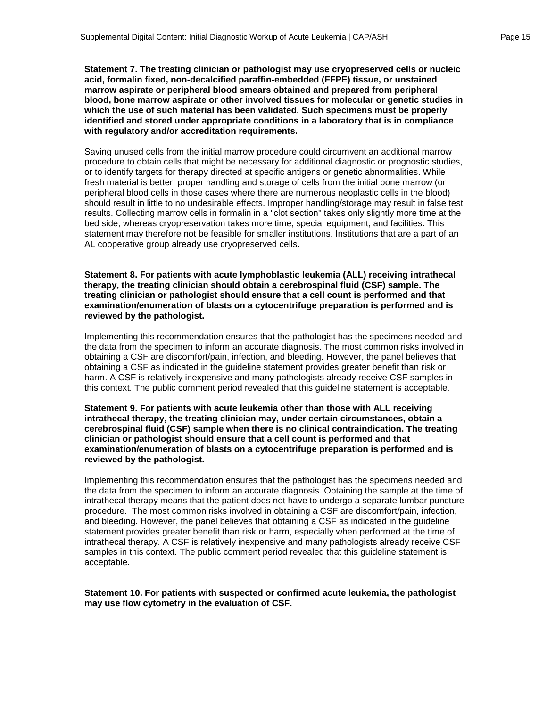**Statement 7. The treating clinician or pathologist may use cryopreserved cells or nucleic acid, formalin fixed, non-decalcified paraffin-embedded (FFPE) tissue, or unstained marrow aspirate or peripheral blood smears obtained and prepared from peripheral blood, bone marrow aspirate or other involved tissues for molecular or genetic studies in which the use of such material has been validated. Such specimens must be properly identified and stored under appropriate conditions in a laboratory that is in compliance with regulatory and/or accreditation requirements.**

Saving unused cells from the initial marrow procedure could circumvent an additional marrow procedure to obtain cells that might be necessary for additional diagnostic or prognostic studies, or to identify targets for therapy directed at specific antigens or genetic abnormalities. While fresh material is better, proper handling and storage of cells from the initial bone marrow (or peripheral blood cells in those cases where there are numerous neoplastic cells in the blood) should result in little to no undesirable effects. Improper handling/storage may result in false test results. Collecting marrow cells in formalin in a "clot section" takes only slightly more time at the bed side, whereas cryopreservation takes more time, special equipment, and facilities. This statement may therefore not be feasible for smaller institutions. Institutions that are a part of an AL cooperative group already use cryopreserved cells.

**Statement 8. For patients with acute lymphoblastic leukemia (ALL) receiving intrathecal therapy, the treating clinician should obtain a cerebrospinal fluid (CSF) sample. The treating clinician or pathologist should ensure that a cell count is performed and that examination/enumeration of blasts on a cytocentrifuge preparation is performed and is reviewed by the pathologist.**

Implementing this recommendation ensures that the pathologist has the specimens needed and the data from the specimen to inform an accurate diagnosis. The most common risks involved in obtaining a CSF are discomfort/pain, infection, and bleeding. However, the panel believes that obtaining a CSF as indicated in the guideline statement provides greater benefit than risk or harm. A CSF is relatively inexpensive and many pathologists already receive CSF samples in this context. The public comment period revealed that this guideline statement is acceptable.

**Statement 9. For patients with acute leukemia other than those with ALL receiving intrathecal therapy, the treating clinician may, under certain circumstances, obtain a cerebrospinal fluid (CSF) sample when there is no clinical contraindication. The treating clinician or pathologist should ensure that a cell count is performed and that examination/enumeration of blasts on a cytocentrifuge preparation is performed and is reviewed by the pathologist.**

Implementing this recommendation ensures that the pathologist has the specimens needed and the data from the specimen to inform an accurate diagnosis. Obtaining the sample at the time of intrathecal therapy means that the patient does not have to undergo a separate lumbar puncture procedure. The most common risks involved in obtaining a CSF are discomfort/pain, infection, and bleeding. However, the panel believes that obtaining a CSF as indicated in the guideline statement provides greater benefit than risk or harm, especially when performed at the time of intrathecal therapy. A CSF is relatively inexpensive and many pathologists already receive CSF samples in this context. The public comment period revealed that this guideline statement is acceptable.

**Statement 10. For patients with suspected or confirmed acute leukemia, the pathologist may use flow cytometry in the evaluation of CSF.**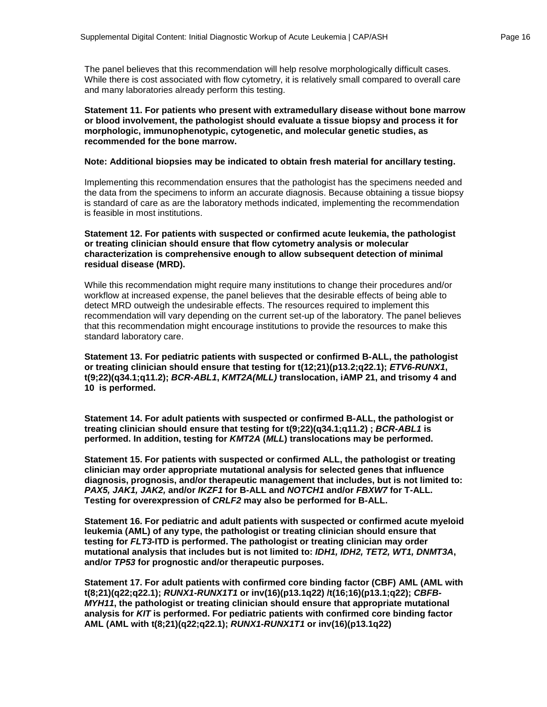The panel believes that this recommendation will help resolve morphologically difficult cases. While there is cost associated with flow cytometry, it is relatively small compared to overall care and many laboratories already perform this testing.

#### **Statement 11. For patients who present with extramedullary disease without bone marrow or blood involvement, the pathologist should evaluate a tissue biopsy and process it for morphologic, immunophenotypic, cytogenetic, and molecular genetic studies, as recommended for the bone marrow.**

#### **Note: Additional biopsies may be indicated to obtain fresh material for ancillary testing.**

Implementing this recommendation ensures that the pathologist has the specimens needed and the data from the specimens to inform an accurate diagnosis. Because obtaining a tissue biopsy is standard of care as are the laboratory methods indicated, implementing the recommendation is feasible in most institutions.

#### **Statement 12. For patients with suspected or confirmed acute leukemia, the pathologist or treating clinician should ensure that flow cytometry analysis or molecular characterization is comprehensive enough to allow subsequent detection of minimal residual disease (MRD).**

While this recommendation might require many institutions to change their procedures and/or workflow at increased expense, the panel believes that the desirable effects of being able to detect MRD outweigh the undesirable effects. The resources required to implement this recommendation will vary depending on the current set-up of the laboratory. The panel believes that this recommendation might encourage institutions to provide the resources to make this standard laboratory care.

**Statement 13. For pediatric patients with suspected or confirmed B-ALL, the pathologist or treating clinician should ensure that testing for t(12;21)(p13.2;q22.1);** *ETV6-RUNX1***, t(9;22)(q34.1;q11.2);** *BCR-ABL1***,** *KMT2A(MLL)* **translocation, iAMP 21, and trisomy 4 and 10 is performed.**

**Statement 14. For adult patients with suspected or confirmed B-ALL, the pathologist or treating clinician should ensure that testing for t(9;22)(q34.1;q11.2) ;** *BCR-ABL1* **is performed. In addition, testing for** *KMT2A* **(***MLL***) translocations may be performed.**

**Statement 15. For patients with suspected or confirmed ALL, the pathologist or treating clinician may order appropriate mutational analysis for selected genes that influence diagnosis, prognosis, and/or therapeutic management that includes, but is not limited to:**  *PAX5, JAK1, JAK2,* **and/or** *IKZF1* **for B-ALL and** *NOTCH1* **and/or** *FBXW7* **for T-ALL. Testing for overexpression of** *CRLF2* **may also be performed for B-ALL.**

**Statement 16. For pediatric and adult patients with suspected or confirmed acute myeloid leukemia (AML) of any type, the pathologist or treating clinician should ensure that testing for** *FLT3-***ITD is performed. The pathologist or treating clinician may order mutational analysis that includes but is not limited to:** *IDH1, IDH2, TET2, WT1, DNMT3A***, and/or** *TP53* **for prognostic and/or therapeutic purposes.**

**Statement 17. For adult patients with confirmed core binding factor (CBF) AML (AML with t(8;21)(q22;q22.1);** *RUNX1-RUNX1T1* **or inv(16)(p13.1q22) /t(16;16)(p13.1;q22);** *CBFB-MYH11***, the pathologist or treating clinician should ensure that appropriate mutational analysis for** *KIT* **is performed. For pediatric patients with confirmed core binding factor AML (AML with t(8;21)(q22;q22.1);** *RUNX1-RUNX1T1* **or inv(16)(p13.1q22)**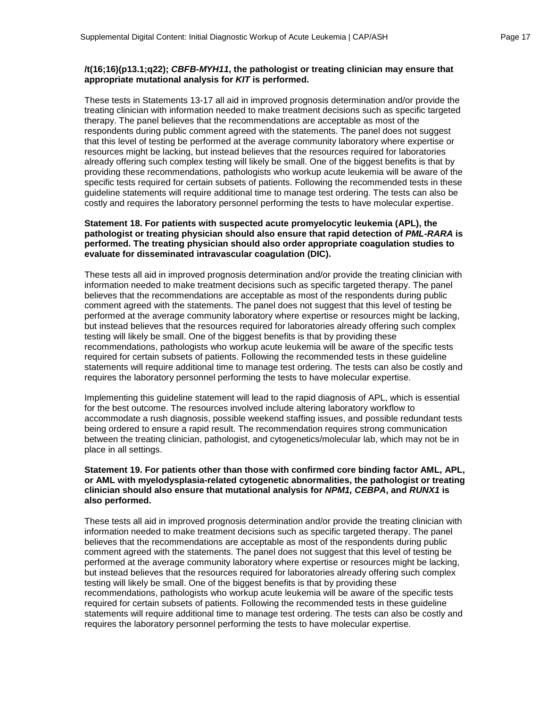#### **/t(16;16)(p13.1;q22);** *CBFB-MYH11***, the pathologist or treating clinician may ensure that appropriate mutational analysis for** *KIT* **is performed.**

These tests in Statements 13-17 all aid in improved prognosis determination and/or provide the treating clinician with information needed to make treatment decisions such as specific targeted therapy. The panel believes that the recommendations are acceptable as most of the respondents during public comment agreed with the statements. The panel does not suggest that this level of testing be performed at the average community laboratory where expertise or resources might be lacking, but instead believes that the resources required for laboratories already offering such complex testing will likely be small. One of the biggest benefits is that by providing these recommendations, pathologists who workup acute leukemia will be aware of the specific tests required for certain subsets of patients. Following the recommended tests in these guideline statements will require additional time to manage test ordering. The tests can also be costly and requires the laboratory personnel performing the tests to have molecular expertise.

#### **Statement 18. For patients with suspected acute promyelocytic leukemia (APL), the pathologist or treating physician should also ensure that rapid detection of** *PML-RARA* **is performed. The treating physician should also order appropriate coagulation studies to evaluate for disseminated intravascular coagulation (DIC).**

These tests all aid in improved prognosis determination and/or provide the treating clinician with information needed to make treatment decisions such as specific targeted therapy. The panel believes that the recommendations are acceptable as most of the respondents during public comment agreed with the statements. The panel does not suggest that this level of testing be performed at the average community laboratory where expertise or resources might be lacking, but instead believes that the resources required for laboratories already offering such complex testing will likely be small. One of the biggest benefits is that by providing these recommendations, pathologists who workup acute leukemia will be aware of the specific tests required for certain subsets of patients. Following the recommended tests in these guideline statements will require additional time to manage test ordering. The tests can also be costly and requires the laboratory personnel performing the tests to have molecular expertise.

Implementing this guideline statement will lead to the rapid diagnosis of APL, which is essential for the best outcome. The resources involved include altering laboratory workflow to accommodate a rush diagnosis, possible weekend staffing issues, and possible redundant tests being ordered to ensure a rapid result. The recommendation requires strong communication between the treating clinician, pathologist, and cytogenetics/molecular lab, which may not be in place in all settings.

#### **Statement 19. For patients other than those with confirmed core binding factor AML, APL, or AML with myelodysplasia-related cytogenetic abnormalities, the pathologist or treating clinician should also ensure that mutational analysis for** *NPM1, CEBPA***, and** *RUNX1* **is also performed.**

These tests all aid in improved prognosis determination and/or provide the treating clinician with information needed to make treatment decisions such as specific targeted therapy. The panel believes that the recommendations are acceptable as most of the respondents during public comment agreed with the statements. The panel does not suggest that this level of testing be performed at the average community laboratory where expertise or resources might be lacking, but instead believes that the resources required for laboratories already offering such complex testing will likely be small. One of the biggest benefits is that by providing these recommendations, pathologists who workup acute leukemia will be aware of the specific tests required for certain subsets of patients. Following the recommended tests in these guideline statements will require additional time to manage test ordering. The tests can also be costly and requires the laboratory personnel performing the tests to have molecular expertise.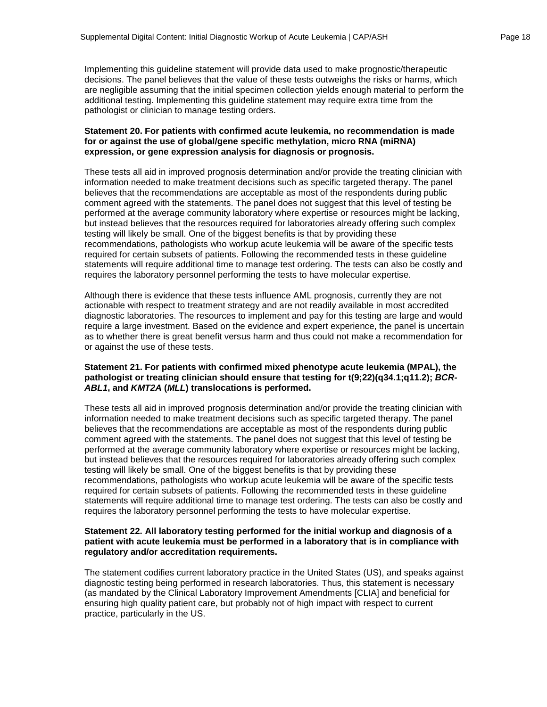Implementing this guideline statement will provide data used to make prognostic/therapeutic decisions. The panel believes that the value of these tests outweighs the risks or harms, which are negligible assuming that the initial specimen collection yields enough material to perform the additional testing. Implementing this guideline statement may require extra time from the pathologist or clinician to manage testing orders.

#### **Statement 20. For patients with confirmed acute leukemia, no recommendation is made for or against the use of global/gene specific methylation, micro RNA (miRNA) expression, or gene expression analysis for diagnosis or prognosis.**

These tests all aid in improved prognosis determination and/or provide the treating clinician with information needed to make treatment decisions such as specific targeted therapy. The panel believes that the recommendations are acceptable as most of the respondents during public comment agreed with the statements. The panel does not suggest that this level of testing be performed at the average community laboratory where expertise or resources might be lacking, but instead believes that the resources required for laboratories already offering such complex testing will likely be small. One of the biggest benefits is that by providing these recommendations, pathologists who workup acute leukemia will be aware of the specific tests required for certain subsets of patients. Following the recommended tests in these guideline statements will require additional time to manage test ordering. The tests can also be costly and requires the laboratory personnel performing the tests to have molecular expertise.

Although there is evidence that these tests influence AML prognosis, currently they are not actionable with respect to treatment strategy and are not readily available in most accredited diagnostic laboratories. The resources to implement and pay for this testing are large and would require a large investment. Based on the evidence and expert experience, the panel is uncertain as to whether there is great benefit versus harm and thus could not make a recommendation for or against the use of these tests.

#### **Statement 21. For patients with confirmed mixed phenotype acute leukemia (MPAL), the**  pathologist or treating clinician should ensure that testing for t(9;22)(q34.1;q11.2); *BCR-ABL1***, and** *KMT2A* **(***MLL***) translocations is performed.**

These tests all aid in improved prognosis determination and/or provide the treating clinician with information needed to make treatment decisions such as specific targeted therapy. The panel believes that the recommendations are acceptable as most of the respondents during public comment agreed with the statements. The panel does not suggest that this level of testing be performed at the average community laboratory where expertise or resources might be lacking, but instead believes that the resources required for laboratories already offering such complex testing will likely be small. One of the biggest benefits is that by providing these recommendations, pathologists who workup acute leukemia will be aware of the specific tests required for certain subsets of patients. Following the recommended tests in these guideline statements will require additional time to manage test ordering. The tests can also be costly and requires the laboratory personnel performing the tests to have molecular expertise.

#### **Statement 22. All laboratory testing performed for the initial workup and diagnosis of a patient with acute leukemia must be performed in a laboratory that is in compliance with regulatory and/or accreditation requirements.**

The statement codifies current laboratory practice in the United States (US), and speaks against diagnostic testing being performed in research laboratories. Thus, this statement is necessary (as mandated by the Clinical Laboratory Improvement Amendments [CLIA] and beneficial for ensuring high quality patient care, but probably not of high impact with respect to current practice, particularly in the US.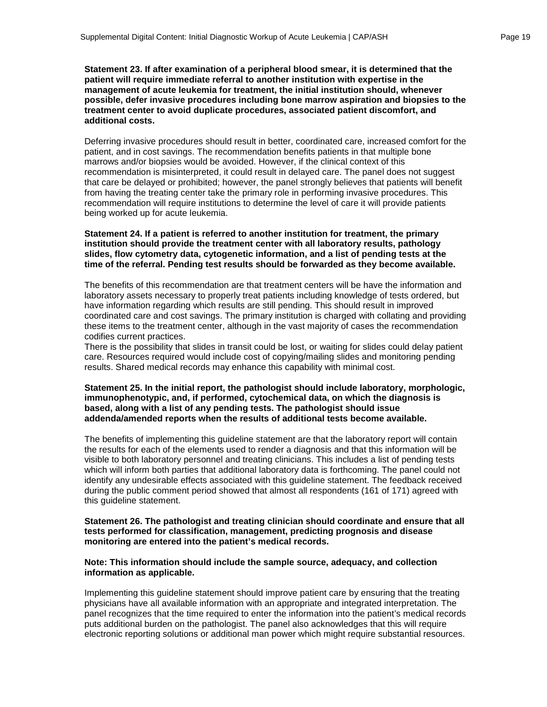**Statement 23. If after examination of a peripheral blood smear, it is determined that the patient will require immediate referral to another institution with expertise in the management of acute leukemia for treatment, the initial institution should, whenever possible, defer invasive procedures including bone marrow aspiration and biopsies to the treatment center to avoid duplicate procedures, associated patient discomfort, and additional costs.**

Deferring invasive procedures should result in better, coordinated care, increased comfort for the patient, and in cost savings. The recommendation benefits patients in that multiple bone marrows and/or biopsies would be avoided. However, if the clinical context of this recommendation is misinterpreted, it could result in delayed care. The panel does not suggest that care be delayed or prohibited; however, the panel strongly believes that patients will benefit from having the treating center take the primary role in performing invasive procedures. This recommendation will require institutions to determine the level of care it will provide patients being worked up for acute leukemia.

#### **Statement 24. If a patient is referred to another institution for treatment, the primary institution should provide the treatment center with all laboratory results, pathology slides, flow cytometry data, cytogenetic information, and a list of pending tests at the time of the referral. Pending test results should be forwarded as they become available.**

The benefits of this recommendation are that treatment centers will be have the information and laboratory assets necessary to properly treat patients including knowledge of tests ordered, but have information regarding which results are still pending. This should result in improved coordinated care and cost savings. The primary institution is charged with collating and providing these items to the treatment center, although in the vast majority of cases the recommendation codifies current practices.

There is the possibility that slides in transit could be lost, or waiting for slides could delay patient care. Resources required would include cost of copying/mailing slides and monitoring pending results. Shared medical records may enhance this capability with minimal cost.

#### **Statement 25. In the initial report, the pathologist should include laboratory, morphologic, immunophenotypic, and, if performed, cytochemical data, on which the diagnosis is based, along with a list of any pending tests. The pathologist should issue addenda/amended reports when the results of additional tests become available.**

The benefits of implementing this guideline statement are that the laboratory report will contain the results for each of the elements used to render a diagnosis and that this information will be visible to both laboratory personnel and treating clinicians. This includes a list of pending tests which will inform both parties that additional laboratory data is forthcoming. The panel could not identify any undesirable effects associated with this guideline statement. The feedback received during the public comment period showed that almost all respondents (161 of 171) agreed with this guideline statement.

#### **Statement 26. The pathologist and treating clinician should coordinate and ensure that all tests performed for classification, management, predicting prognosis and disease monitoring are entered into the patient's medical records.**

#### **Note: This information should include the sample source, adequacy, and collection information as applicable.**

Implementing this guideline statement should improve patient care by ensuring that the treating physicians have all available information with an appropriate and integrated interpretation. The panel recognizes that the time required to enter the information into the patient's medical records puts additional burden on the pathologist. The panel also acknowledges that this will require electronic reporting solutions or additional man power which might require substantial resources.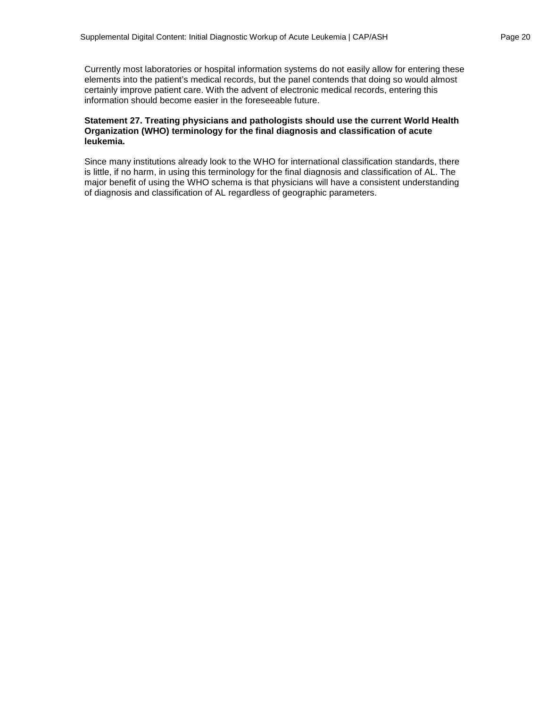Currently most laboratories or hospital information systems do not easily allow for entering these elements into the patient's medical records, but the panel contends that doing so would almost certainly improve patient care. With the advent of electronic medical records, entering this information should become easier in the foreseeable future.

#### **Statement 27. Treating physicians and pathologists should use the current World Health Organization (WHO) terminology for the final diagnosis and classification of acute leukemia.**

Since many institutions already look to the WHO for international classification standards, there is little, if no harm, in using this terminology for the final diagnosis and classification of AL. The major benefit of using the WHO schema is that physicians will have a consistent understanding of diagnosis and classification of AL regardless of geographic parameters.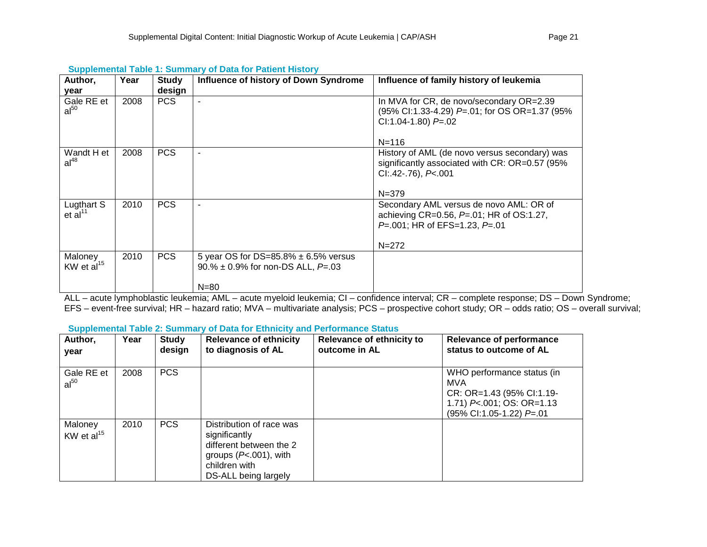| Author,                 | Year | Study      | Influence of history of Down Syndrome                | Influence of family history of leukemia                                                                                                   |
|-------------------------|------|------------|------------------------------------------------------|-------------------------------------------------------------------------------------------------------------------------------------------|
| year                    |      | design     |                                                      |                                                                                                                                           |
| Gale RE et<br>$al^{50}$ | 2008 | <b>PCS</b> |                                                      | In MVA for CR, de novo/secondary OR=2.39<br>(95% Cl:1.33-4.29) P=.01; for OS OR=1.37 (95%<br>CI:1.04-1.80) $P = 02$                       |
|                         |      |            |                                                      | $N = 116$                                                                                                                                 |
| Wandt H et<br>$al^{48}$ | 2008 | <b>PCS</b> |                                                      | History of AML (de novo versus secondary) was<br>significantly associated with CR: OR=0.57 (95%)<br>$Cl: .42-.76$ , $P<.001$<br>$N = 379$ |
| Lugthart S              | 2010 | <b>PCS</b> |                                                      | Secondary AML versus de novo AML: OR of                                                                                                   |
| et al $^{11}$           |      |            |                                                      | achieving CR=0.56, $P=01$ ; HR of OS:1.27,<br>$P=.001$ ; HR of EFS=1.23, $P=.01$<br>$N = 272$                                             |
|                         |      |            |                                                      |                                                                                                                                           |
| KW et $al^{15}$         |      |            | 90.% $\pm$ 0.9% for non-DS ALL, P=.03                |                                                                                                                                           |
| Maloney                 | 2010 | <b>PCS</b> | 5 year OS for DS=85.8% $\pm$ 6.5% versus<br>$N = 80$ |                                                                                                                                           |

# **Supplemental Table 1: Summary of Data for Patient History**

ALL – acute lymphoblastic leukemia; AML – acute myeloid leukemia; CI – confidence interval; CR – complete response; DS – Down Syndrome; EFS – event-free survival; HR – hazard ratio; MVA – multivariate analysis; PCS – prospective cohort study; OR – odds ratio; OS – overall survival;

#### **Supplemental Table 2: Summary of Data for Ethnicity and Performance Status**

| Author,<br>year            | Year | <b>Study</b><br>design | <b>Relevance of ethnicity</b><br>to diagnosis of AL                                                                                       | Relevance of ethnicity to<br>outcome in AL | <b>Relevance of performance</b><br>status to outcome of AL                                                              |
|----------------------------|------|------------------------|-------------------------------------------------------------------------------------------------------------------------------------------|--------------------------------------------|-------------------------------------------------------------------------------------------------------------------------|
| Gale RE et<br>$al^{50}$    | 2008 | <b>PCS</b>             |                                                                                                                                           |                                            | WHO performance status (in<br>MVA<br>CR: OR=1.43 (95% Cl:1.19-<br>1.71) P<.001; OS: OR=1.13<br>(95% CI:1.05-1.22) P=.01 |
| Maloney<br>KW et $al^{15}$ | 2010 | <b>PCS</b>             | Distribution of race was<br>significantly<br>different between the 2<br>groups $(P<.001)$ , with<br>children with<br>DS-ALL being largely |                                            |                                                                                                                         |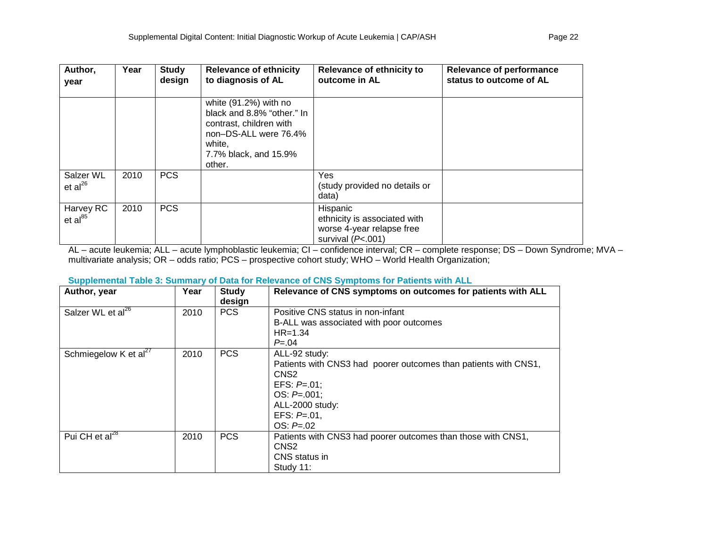| Author,<br>year           | Year | <b>Study</b><br>design | <b>Relevance of ethnicity</b><br>to diagnosis of AL                                                                                                  | Relevance of ethnicity to<br>outcome in AL                                                   | <b>Relevance of performance</b><br>status to outcome of AL |
|---------------------------|------|------------------------|------------------------------------------------------------------------------------------------------------------------------------------------------|----------------------------------------------------------------------------------------------|------------------------------------------------------------|
|                           |      |                        | white (91.2%) with no<br>black and 8.8% "other." In<br>contrast, children with<br>non-DS-ALL were 76.4%<br>white.<br>7.7% black, and 15.9%<br>other. |                                                                                              |                                                            |
| Salzer WL<br>$et al^{26}$ | 2010 | <b>PCS</b>             |                                                                                                                                                      | Yes<br>(study provided no details or<br>data)                                                |                                                            |
| Harvey RC<br>$et al^{85}$ | 2010 | <b>PCS</b>             |                                                                                                                                                      | Hispanic<br>ethnicity is associated with<br>worse 4-year relapse free<br>survival $(P<.001)$ |                                                            |

AL – acute leukemia; ALL – acute lymphoblastic leukemia; CI – confidence interval; CR – complete response; DS – Down Syndrome; MVA – multivariate analysis; OR – odds ratio; PCS – prospective cohort study; WHO – World Health Organization;

## **Supplemental Table 3: Summary of Data for Relevance of CNS Symptoms for Patients with ALL**

| . .<br>Author, year           | Year | <b>Study</b><br>design | Relevance of CNS symptoms on outcomes for patients with ALL                  |
|-------------------------------|------|------------------------|------------------------------------------------------------------------------|
| Salzer WL et al <sup>26</sup> | 2010 | <b>PCS</b>             | Positive CNS status in non-infant<br>B-ALL was associated with poor outcomes |
|                               |      |                        | $HR = 1.34$                                                                  |
|                               |      |                        | $P = 0.04$                                                                   |
| Schmiegelow K et $al^{27}$    | 2010 | <b>PCS</b>             | ALL-92 study:                                                                |
|                               |      |                        | Patients with CNS3 had poorer outcomes than patients with CNS1,              |
|                               |      |                        | CNS <sub>2</sub>                                                             |
|                               |      |                        | EFS: $P=.01$ ;                                                               |
|                               |      |                        | $OS: P=.001;$                                                                |
|                               |      |                        | ALL-2000 study:                                                              |
|                               |      |                        | EFS: $P=.01$ ,                                                               |
|                               |      |                        | $OS: P=.02$                                                                  |
| Pui CH et al <sup>28</sup>    | 2010 | <b>PCS</b>             | Patients with CNS3 had poorer outcomes than those with CNS1,                 |
|                               |      |                        | CNS <sub>2</sub>                                                             |
|                               |      |                        | CNS status in                                                                |
|                               |      |                        | Study 11:                                                                    |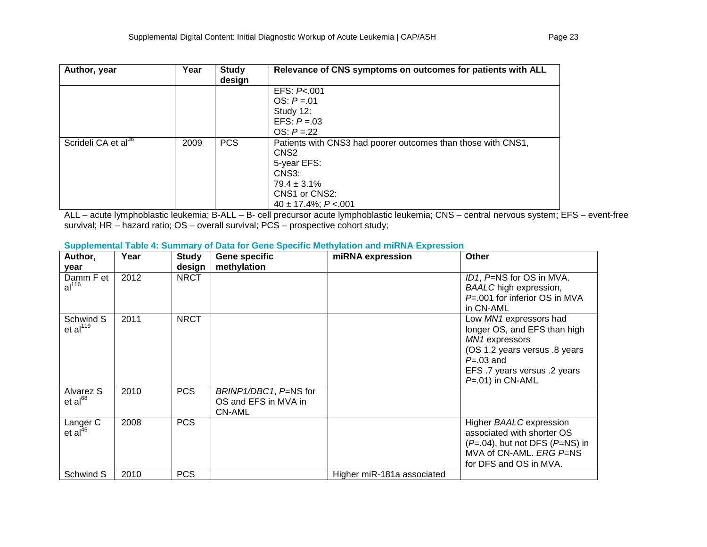| Author, year                    | Year | <b>Study</b><br>design | Relevance of CNS symptoms on outcomes for patients with ALL  |
|---------------------------------|------|------------------------|--------------------------------------------------------------|
|                                 |      |                        | EFS: P<.001                                                  |
|                                 |      |                        | $OS: P = .01$                                                |
|                                 |      |                        | Study 12:                                                    |
|                                 |      |                        | EFS: $P = 03$                                                |
|                                 |      |                        | $OS: P = 22$                                                 |
| Scrideli CA et al <sup>36</sup> | 2009 | <b>PCS</b>             | Patients with CNS3 had poorer outcomes than those with CNS1, |
|                                 |      |                        | CNS <sub>2</sub>                                             |
|                                 |      |                        | 5-year EFS:                                                  |
|                                 |      |                        | CNS3:                                                        |
|                                 |      |                        | $79.4 \pm 3.1\%$                                             |
|                                 |      |                        | CNS1 or CNS2:                                                |
|                                 |      |                        | $40 \pm 17.4\%$ ; P < 001                                    |

ALL – acute lymphoblastic leukemia; B-ALL – B- cell precursor acute lymphoblastic leukemia; CNS – central nervous system; EFS – event-free survival; HR – hazard ratio; OS – overall survival; PCS – prospective cohort study;

| Author,                         | Year | <b>Study</b> | <b>Gene specific</b>                                           | miRNA expression           | Other                                                                                                                                                                              |
|---------------------------------|------|--------------|----------------------------------------------------------------|----------------------------|------------------------------------------------------------------------------------------------------------------------------------------------------------------------------------|
| year                            |      | design       | methylation                                                    |                            |                                                                                                                                                                                    |
| Damm F et<br>al <sup>116</sup>  | 2012 | <b>NRCT</b>  |                                                                |                            | ID1, P=NS for OS in MVA.<br><b>BAALC</b> high expression,<br>$P = 001$ for inferior OS in MVA<br>in CN-AML                                                                         |
| Schwind S<br>et $al119$         | 2011 | <b>NRCT</b>  |                                                                |                            | Low MN1 expressors had<br>longer OS, and EFS than high<br>MN1 expressors<br>(OS 1.2 years versus .8 years<br>$P = 0.03$ and<br>EFS .7 years versus .2 years<br>$P=.01$ ) in CN-AML |
| Alvarez S<br>$et al^{68}$       | 2010 | <b>PCS</b>   | BRINP1/DBC1, P=NS for<br>OS and EFS in MVA in<br><b>CN-AML</b> |                            |                                                                                                                                                                                    |
| Langer C<br>et al <sup>45</sup> | 2008 | <b>PCS</b>   |                                                                |                            | Higher BAALC expression<br>associated with shorter OS<br>$(P=.04)$ , but not DFS $(P=NS)$ in<br>MVA of CN-AML. ERG P=NS<br>for DFS and OS in MVA.                                  |
| Schwind S                       | 2010 | <b>PCS</b>   |                                                                | Higher miR-181a associated |                                                                                                                                                                                    |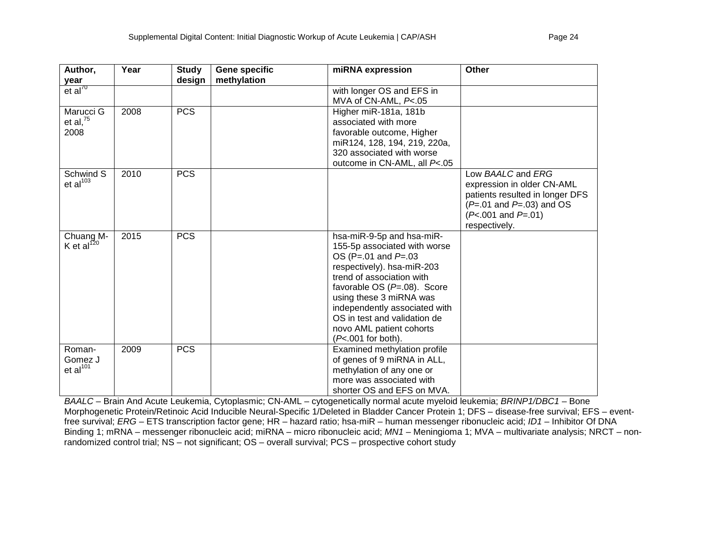| Author,              | Year | <b>Study</b> | Gene specific | miRNA expression               | <b>Other</b>                    |
|----------------------|------|--------------|---------------|--------------------------------|---------------------------------|
| year                 |      | design       | methylation   |                                |                                 |
| et al <sup>70</sup>  |      |              |               | with longer OS and EFS in      |                                 |
|                      |      |              |               | MVA of CN-AML, P<.05           |                                 |
| Marucci G            | 2008 | <b>PCS</b>   |               | Higher miR-181a, 181b          |                                 |
| et al, $^{75}$       |      |              |               | associated with more           |                                 |
| 2008                 |      |              |               | favorable outcome, Higher      |                                 |
|                      |      |              |               | miR124, 128, 194, 219, 220a,   |                                 |
|                      |      |              |               | 320 associated with worse      |                                 |
|                      |      |              |               | outcome in CN-AML, all P<.05   |                                 |
| Schwind S            | 2010 | <b>PCS</b>   |               |                                | Low BAALC and ERG               |
| et $al^{103}$        |      |              |               |                                | expression in older CN-AML      |
|                      |      |              |               |                                | patients resulted in longer DFS |
|                      |      |              |               |                                | $(P=.01$ and $P=.03$ ) and OS   |
|                      |      |              |               |                                | $(P<.001$ and $P=.01)$          |
|                      |      |              |               |                                | respectively.                   |
| Chuang <sub>M-</sub> | 2015 | <b>PCS</b>   |               | hsa-miR-9-5p and hsa-miR-      |                                 |
| K et al $^{120}$     |      |              |               | 155-5p associated with worse   |                                 |
|                      |      |              |               | OS (P=.01 and $P=0.03$         |                                 |
|                      |      |              |               | respectively). hsa-miR-203     |                                 |
|                      |      |              |               | trend of association with      |                                 |
|                      |      |              |               | favorable OS $(P=.08)$ . Score |                                 |
|                      |      |              |               | using these 3 miRNA was        |                                 |
|                      |      |              |               | independently associated with  |                                 |
|                      |      |              |               | OS in test and validation de   |                                 |
|                      |      |              |               | novo AML patient cohorts       |                                 |
|                      |      |              |               | (P<.001 for both).             |                                 |
| Roman-               | 2009 | <b>PCS</b>   |               | Examined methylation profile   |                                 |
| Gomez J              |      |              |               | of genes of 9 miRNA in ALL,    |                                 |
| et al $101$          |      |              |               | methylation of any one or      |                                 |
|                      |      |              |               | more was associated with       |                                 |
|                      |      |              |               | shorter OS and EFS on MVA.     |                                 |

*BAALC* – Brain And Acute Leukemia, Cytoplasmic; CN-AML – cytogenetically normal acute myeloid leukemia; *BRINP1/DBC1* – Bone Morphogenetic Protein/Retinoic Acid Inducible Neural-Specific 1/Deleted in Bladder Cancer Protein 1; DFS – disease-free survival; EFS – eventfree survival; *ERG –* ETS transcription factor gene; HR – hazard ratio; hsa-miR – human messenger ribonucleic acid; *ID1* – Inhibitor Of DNA Binding 1; mRNA – messenger ribonucleic acid; miRNA – micro ribonucleic acid; *MN1* – Meningioma 1; MVA – multivariate analysis; NRCT – nonrandomized control trial; NS – not significant; OS – overall survival; PCS – prospective cohort study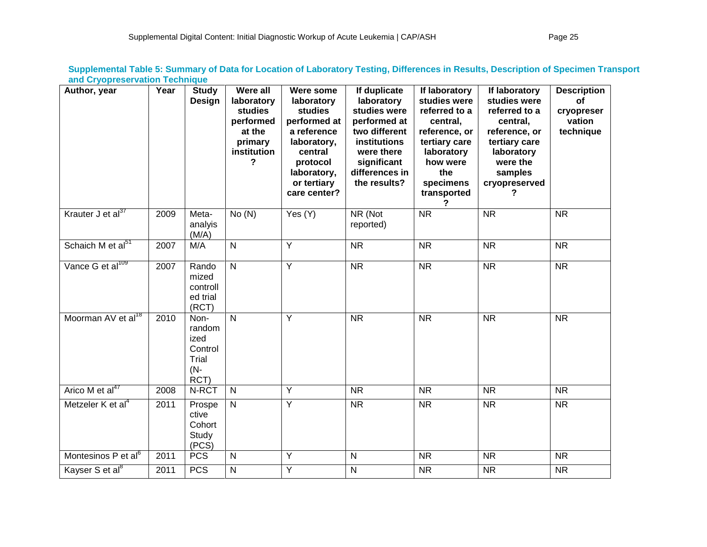| Author, year                    | Year | <b>Study</b><br>Design                                    | <b>Were all</b><br>laboratory<br>studies<br>performed<br>at the<br>primary<br>institution<br>? | Were some<br>laboratory<br><b>studies</b><br>performed at<br>a reference<br>laboratory,<br>central<br>protocol<br>laboratory,<br>or tertiary<br>care center? | If duplicate<br>laboratory<br>studies were<br>performed at<br>two different<br>institutions<br>were there<br>significant<br>differences in<br>the results? | If laboratory<br>studies were<br>referred to a<br>central,<br>reference, or<br>tertiary care<br>laboratory<br>how were<br>the<br>specimens<br>transported | If laboratory<br>studies were<br>referred to a<br>central,<br>reference, or<br>tertiary care<br>laboratory<br>were the<br>samples<br>cryopreserved<br>7 | <b>Description</b><br>οf<br>cryopreser<br>vation<br>technique |
|---------------------------------|------|-----------------------------------------------------------|------------------------------------------------------------------------------------------------|--------------------------------------------------------------------------------------------------------------------------------------------------------------|------------------------------------------------------------------------------------------------------------------------------------------------------------|-----------------------------------------------------------------------------------------------------------------------------------------------------------|---------------------------------------------------------------------------------------------------------------------------------------------------------|---------------------------------------------------------------|
| Krauter J et al <sup>37</sup>   | 2009 | Meta-<br>analyis<br>(M/A)                                 | No(N)                                                                                          | Yes (Y)                                                                                                                                                      | NR (Not<br>reported)                                                                                                                                       | <b>NR</b>                                                                                                                                                 | <b>NR</b>                                                                                                                                               | <b>NR</b>                                                     |
| Schaich M et al <sup>51</sup>   | 2007 | M/A                                                       | $\overline{N}$                                                                                 | $\overline{Y}$                                                                                                                                               | <b>NR</b>                                                                                                                                                  | <b>NR</b>                                                                                                                                                 | <b>NR</b>                                                                                                                                               | <b>NR</b>                                                     |
| Vance G et al <sup>109</sup>    | 2007 | Rando<br>mized<br>controll<br>ed trial<br>(RCT)           | $\overline{N}$                                                                                 | $\overline{Y}$                                                                                                                                               | $\overline{\text{NR}}$                                                                                                                                     | $\overline{\text{NR}}$                                                                                                                                    | $\overline{\text{NR}}$                                                                                                                                  | $\overline{\text{NR}}$                                        |
| Moorman AV et al <sup>18</sup>  | 2010 | Non-<br>random<br>ized<br>Control<br>Trial<br>(N-<br>RCT) | $\mathsf{N}$                                                                                   | Y                                                                                                                                                            | $\overline{\text{NR}}$                                                                                                                                     | $\overline{\text{NR}}$                                                                                                                                    | $\overline{\text{NR}}$                                                                                                                                  | $\overline{\text{NR}}$                                        |
| Arico M et al <sup>47</sup>     | 2008 | N-RCT                                                     | $\mathsf{N}$                                                                                   | Y                                                                                                                                                            | <b>NR</b>                                                                                                                                                  | NR.                                                                                                                                                       | <b>NR</b>                                                                                                                                               | <b>NR</b>                                                     |
| Metzeler K et al <sup>4</sup>   | 2011 | Prospe<br>ctive<br>Cohort<br>Study<br>(PCS)               | $\mathsf{N}$                                                                                   | Y                                                                                                                                                            | <b>NR</b>                                                                                                                                                  | <b>NR</b>                                                                                                                                                 | <b>NR</b>                                                                                                                                               | <b>NR</b>                                                     |
| Montesinos P et al <sup>6</sup> | 2011 | <b>PCS</b>                                                | $\mathsf{N}$                                                                                   | Y                                                                                                                                                            | $\mathsf{N}$                                                                                                                                               | <b>NR</b>                                                                                                                                                 | <b>NR</b>                                                                                                                                               | <b>NR</b>                                                     |
| Kayser S et al <sup>8</sup>     | 2011 | <b>PCS</b>                                                | ${\sf N}$                                                                                      | Υ                                                                                                                                                            | $\overline{N}$                                                                                                                                             | <b>NR</b>                                                                                                                                                 | <b>NR</b>                                                                                                                                               | <b>NR</b>                                                     |

**Supplemental Table 5: Summary of Data for Location of Laboratory Testing, Differences in Results, Description of Specimen Transport and Cryopreservation Technique**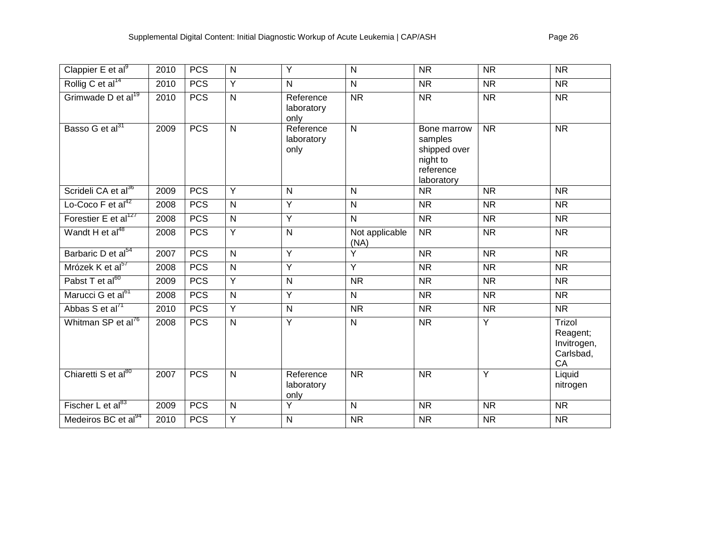| Clappier $E$ et al <sup>9</sup>  | 2010 | <b>PCS</b> | $\mathsf{N}$   | Y                               | $\mathsf{N}$           | <b>NR</b>                                                                     | <b>NR</b>              | <b>NR</b>                                            |
|----------------------------------|------|------------|----------------|---------------------------------|------------------------|-------------------------------------------------------------------------------|------------------------|------------------------------------------------------|
| Rollig C et al <sup>14</sup>     | 2010 | <b>PCS</b> | $\overline{Y}$ | N                               | $\mathsf{N}$           | <b>NR</b>                                                                     | <b>NR</b>              | <b>NR</b>                                            |
| Grimwade D et al <sup>19</sup>   | 2010 | <b>PCS</b> | $\mathsf{N}$   | Reference<br>laboratory<br>only | <b>NR</b>              | <b>NR</b>                                                                     | <b>NR</b>              | <b>NR</b>                                            |
| Basso G et al <sup>31</sup>      | 2009 | <b>PCS</b> | $\overline{N}$ | Reference<br>laboratory<br>only | $\overline{N}$         | Bone marrow<br>samples<br>shipped over<br>night to<br>reference<br>laboratory | <b>NR</b>              | $\overline{\text{NR}}$                               |
| Scrideli CA et al <sup>36</sup>  | 2009 | <b>PCS</b> | $\overline{Y}$ | $\mathsf{N}$                    | $\overline{N}$         | <b>NR</b>                                                                     | <b>NR</b>              | $\overline{\text{NR}}$                               |
| Lo-Coco F et al $42$             | 2008 | <b>PCS</b> | $\overline{N}$ | $\overline{Y}$                  | $\overline{N}$         | $\overline{\mathsf{NR}}$                                                      | <b>NR</b>              | <b>NR</b>                                            |
| Forestier E et al <sup>127</sup> | 2008 | <b>PCS</b> | $\mathsf{N}$   | Y                               | $\overline{N}$         | <b>NR</b>                                                                     | <b>NR</b>              | <b>NR</b>                                            |
| Wandt H et al <sup>48</sup>      | 2008 | <b>PCS</b> | Y              | ${\sf N}$                       | Not applicable<br>(NA) | <b>NR</b>                                                                     | <b>NR</b>              | <b>NR</b>                                            |
| Barbaric D et al <sup>54</sup>   | 2007 | PCS        | $\overline{N}$ | $\overline{Y}$                  | $\overline{Y}$         | <b>NR</b>                                                                     | <b>NR</b>              | <b>NR</b>                                            |
| Mrózek K et al <sup>57</sup>     | 2008 | <b>PCS</b> | $\mathsf{N}$   | $\overline{Y}$                  | $\overline{Y}$         | $\overline{\mathsf{NR}}$                                                      | $\overline{\text{NR}}$ | $\overline{\text{NR}}$                               |
| Pabst T et al <sup>60</sup>      | 2009 | <b>PCS</b> | Y              | ${\sf N}$                       | <b>NR</b>              | <b>NR</b>                                                                     | <b>NR</b>              | <b>NR</b>                                            |
| Marucci G et al <sup>61</sup>    | 2008 | <b>PCS</b> | $\mathsf{N}$   | Y                               | N                      | <b>NR</b>                                                                     | <b>NR</b>              | $\overline{\text{NR}}$                               |
| Abbas S et al <sup>71</sup>      | 2010 | <b>PCS</b> | Y              | N                               | <b>NR</b>              | $\overline{\mathsf{NR}}$                                                      | <b>NR</b>              | $\overline{\text{NR}}$                               |
| Whitman SP et al <sup>76</sup>   | 2008 | <b>PCS</b> | $\overline{N}$ | $\overline{Y}$                  | $\overline{N}$         | $\overline{\text{NR}}$                                                        | $\overline{Y}$         | Trizol<br>Reagent;<br>Invitrogen,<br>Carlsbad,<br>CA |
| Chiaretti S et al <sup>80</sup>  | 2007 | <b>PCS</b> | $\overline{N}$ | Reference<br>laboratory<br>only | $\overline{\text{NR}}$ | $\overline{\text{NR}}$                                                        | $\overline{Y}$         | Liquid<br>nitrogen                                   |
| Fischer L et al $^{83}$          | 2009 | <b>PCS</b> | $\mathsf{N}$   | $\overline{Y}$                  | $\mathsf{N}$           | $\overline{\text{NR}}$                                                        | <b>NR</b>              | $\overline{\text{NR}}$                               |
| Medeiros BC et al <sup>94</sup>  | 2010 | <b>PCS</b> | Y              | N                               | <b>NR</b>              | <b>NR</b>                                                                     | <b>NR</b>              | <b>NR</b>                                            |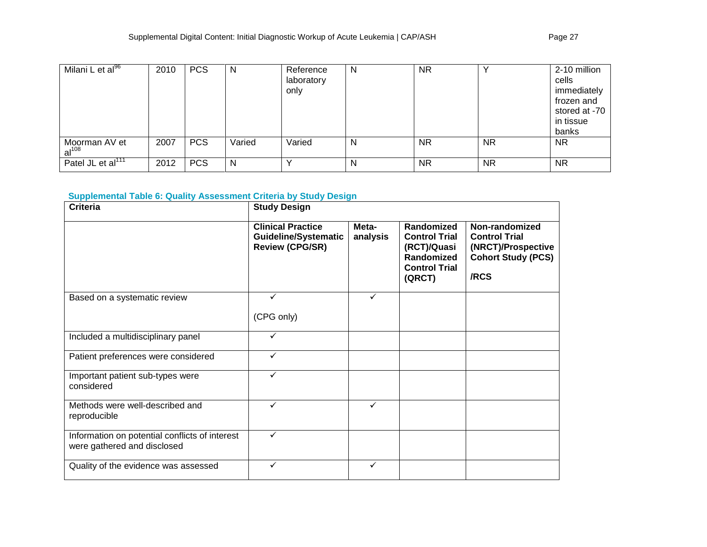| Milani L et al <sup>96</sup>       | 2010 | <b>PCS</b> | N      | Reference<br>laboratory<br>only | N | <b>NR</b> |           | 2-10 million<br>cells<br>immediately<br>frozen and<br>stored at -70<br>in tissue<br>banks |
|------------------------------------|------|------------|--------|---------------------------------|---|-----------|-----------|-------------------------------------------------------------------------------------------|
| Moorman AV et<br>al <sup>108</sup> | 2007 | <b>PCS</b> | Varied | Varied                          | N | <b>NR</b> | <b>NR</b> | <b>NR</b>                                                                                 |
| Patel JL et al $117$               | 2012 | <b>PCS</b> | N      |                                 | N | <b>NR</b> | <b>NR</b> | <b>NR</b>                                                                                 |

# **Supplemental Table 6: Quality Assessment Criteria by Study Design**

| <b>Criteria</b>                                                               | <b>Study Design</b>                                                        |                   |                                                                                                   |                                                                                                   |  |  |  |
|-------------------------------------------------------------------------------|----------------------------------------------------------------------------|-------------------|---------------------------------------------------------------------------------------------------|---------------------------------------------------------------------------------------------------|--|--|--|
|                                                                               | <b>Clinical Practice</b><br>Guideline/Systematic<br><b>Review (CPG/SR)</b> | Meta-<br>analysis | Randomized<br><b>Control Trial</b><br>(RCT)/Quasi<br>Randomized<br><b>Control Trial</b><br>(QRCT) | Non-randomized<br><b>Control Trial</b><br>(NRCT)/Prospective<br><b>Cohort Study (PCS)</b><br>/RCS |  |  |  |
| Based on a systematic review                                                  | ✓<br>(CPG only)                                                            | $\checkmark$      |                                                                                                   |                                                                                                   |  |  |  |
| Included a multidisciplinary panel                                            | ✓                                                                          |                   |                                                                                                   |                                                                                                   |  |  |  |
| Patient preferences were considered                                           | $\checkmark$                                                               |                   |                                                                                                   |                                                                                                   |  |  |  |
| Important patient sub-types were<br>considered                                | $\checkmark$                                                               |                   |                                                                                                   |                                                                                                   |  |  |  |
| Methods were well-described and<br>reproducible                               | $\checkmark$                                                               | $\checkmark$      |                                                                                                   |                                                                                                   |  |  |  |
| Information on potential conflicts of interest<br>were gathered and disclosed | ✓                                                                          |                   |                                                                                                   |                                                                                                   |  |  |  |
| Quality of the evidence was assessed                                          | ✓                                                                          | $\checkmark$      |                                                                                                   |                                                                                                   |  |  |  |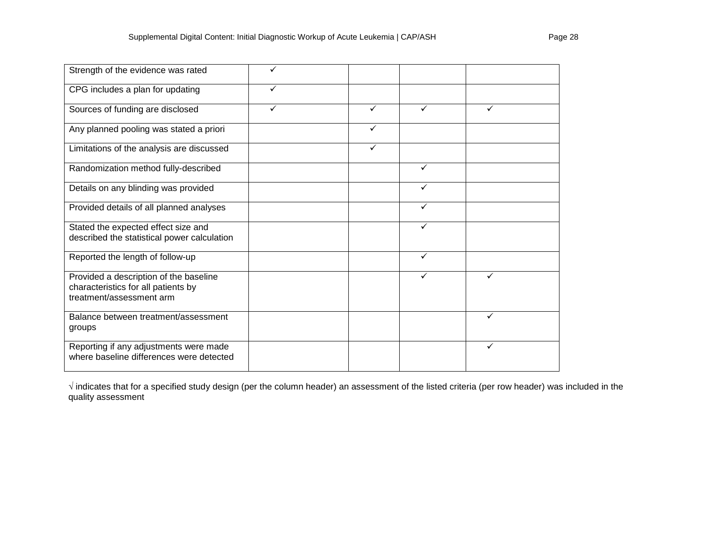| Strength of the evidence was rated                                                                        | ✓ |              |              |              |  |
|-----------------------------------------------------------------------------------------------------------|---|--------------|--------------|--------------|--|
| CPG includes a plan for updating                                                                          | ✓ |              |              |              |  |
| Sources of funding are disclosed                                                                          | ✓ | $\checkmark$ | $\checkmark$ | ✓            |  |
| Any planned pooling was stated a priori                                                                   |   |              |              |              |  |
| Limitations of the analysis are discussed                                                                 |   | ✓            |              |              |  |
| Randomization method fully-described                                                                      |   |              | ✓            |              |  |
| Details on any blinding was provided                                                                      |   |              | $\checkmark$ |              |  |
| Provided details of all planned analyses                                                                  |   |              | $\checkmark$ |              |  |
| Stated the expected effect size and<br>described the statistical power calculation                        |   |              | ✓            |              |  |
| Reported the length of follow-up                                                                          |   |              | $\checkmark$ |              |  |
| Provided a description of the baseline<br>characteristics for all patients by<br>treatment/assessment arm |   |              | ✓            | ✓            |  |
| Balance between treatment/assessment<br>groups                                                            |   |              |              | ✓            |  |
| Reporting if any adjustments were made<br>where baseline differences were detected                        |   |              |              | $\checkmark$ |  |

**√** indicates that for a specified study design (per the column header) an assessment of the listed criteria (per row header) was included in the quality assessment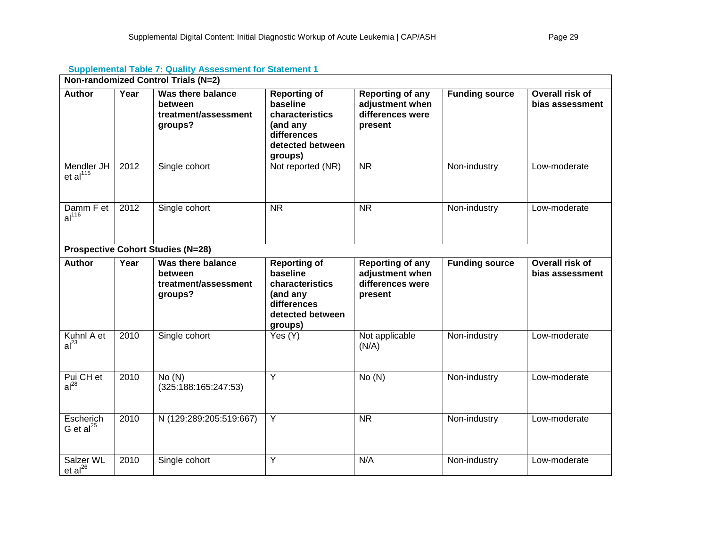|                                | Non-randomized Control Trials (N=2) |                                                                 |                                                                                                              |                                                                           |                       |                                    |  |  |  |  |
|--------------------------------|-------------------------------------|-----------------------------------------------------------------|--------------------------------------------------------------------------------------------------------------|---------------------------------------------------------------------------|-----------------------|------------------------------------|--|--|--|--|
| <b>Author</b>                  | Year                                | Was there balance<br>between<br>treatment/assessment<br>groups? | <b>Reporting of</b><br>baseline<br>characteristics<br>(and any<br>differences<br>detected between<br>groups) | <b>Reporting of any</b><br>adjustment when<br>differences were<br>present | <b>Funding source</b> | Overall risk of<br>bias assessment |  |  |  |  |
| Mendler JH<br>et al $^{115}$   | 2012                                | Single cohort                                                   | Not reported (NR)                                                                                            | $\overline{\text{NR}}$                                                    | Non-industry          | Low-moderate                       |  |  |  |  |
| Damm F et<br>al <sup>116</sup> | 2012                                | Single cohort                                                   | <b>NR</b>                                                                                                    | <b>NR</b>                                                                 | Non-industry          | Low-moderate                       |  |  |  |  |
|                                |                                     | <b>Prospective Cohort Studies (N=28)</b>                        |                                                                                                              |                                                                           |                       |                                    |  |  |  |  |
| <b>Author</b>                  | Year                                | Was there balance<br>between<br>treatment/assessment<br>groups? | <b>Reporting of</b><br>baseline<br>characteristics<br>(and any<br>differences<br>detected between<br>groups) | <b>Reporting of any</b><br>adjustment when<br>differences were<br>present | <b>Funding source</b> | Overall risk of<br>bias assessment |  |  |  |  |
| Kuhnl A et<br>al <sup>23</sup> | 2010                                | Single cohort                                                   | Yes (Y)                                                                                                      | Not applicable<br>(N/A)                                                   | Non-industry          | Low-moderate                       |  |  |  |  |
| Pui CH et<br>$al^{28}$         | 2010                                | No(N)<br>(325:188:165:247:53)                                   | $\overline{Y}$                                                                                               | No(N)                                                                     | Non-industry          | Low-moderate                       |  |  |  |  |
| Escherich<br>G et al $^{25}$   | 2010                                | N (129:289:205:519:667)                                         | Y                                                                                                            | <b>NR</b>                                                                 | Non-industry          | Low-moderate                       |  |  |  |  |
| Salzer WL<br>$et al^{26}$      | 2010                                | Single cohort                                                   | Y                                                                                                            | N/A                                                                       | Non-industry          | Low-moderate                       |  |  |  |  |

# **Supplemental Table 7: Quality Assessment for Statement 1**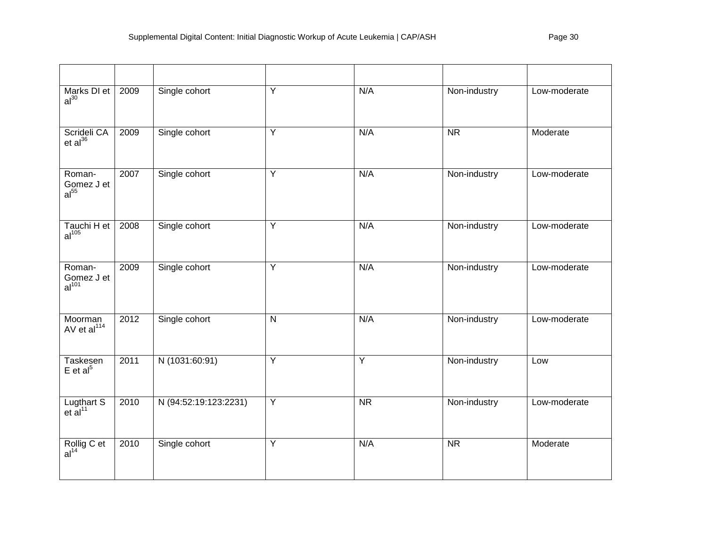| Marks DI et<br>al <sup>30</sup>           | 2009 | Single cohort         | Y              | N/A                    | Non-industry           | Low-moderate |
|-------------------------------------------|------|-----------------------|----------------|------------------------|------------------------|--------------|
| Scrideli CA<br>$et al^{36}$               | 2009 | Single cohort         | $\overline{Y}$ | N/A                    | $\overline{\text{NR}}$ | Moderate     |
| Roman-<br>Gomez J et<br>al <sup>55</sup>  | 2007 | Single cohort         | Y              | N/A                    | Non-industry           | Low-moderate |
| Tauchi H et<br>al <sup>105</sup>          | 2008 | Single cohort         | $\overline{Y}$ | N/A                    | Non-industry           | Low-moderate |
| Roman-<br>Gomez J et<br>al <sup>101</sup> | 2009 | Single cohort         | Y              | N/A                    | Non-industry           | Low-moderate |
| Moorman<br>AV et al <sup>114</sup>        | 2012 | Single cohort         | $\mathsf{N}$   | N/A                    | Non-industry           | Low-moderate |
| Taskesen<br>$E$ et al <sup>5</sup>        | 2011 | N (1031:60:91)        | $\overline{Y}$ | $\overline{Y}$         | Non-industry           | Low          |
| Lugthart $S$<br>et al <sup>11</sup>       | 2010 | N (94:52:19:123:2231) | $\overline{Y}$ | $\overline{\text{NR}}$ | Non-industry           | Low-moderate |
| Rollig C et<br>al <sup>14</sup>           | 2010 | Single cohort         | Y              | N/A                    | <b>NR</b>              | Moderate     |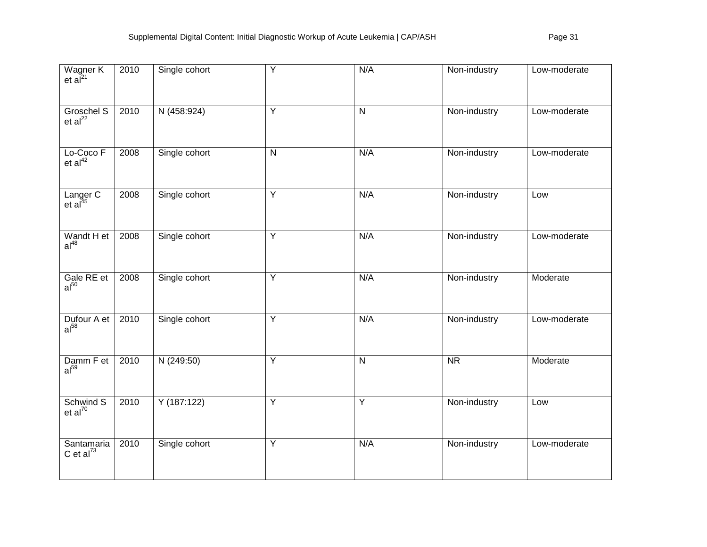| Wagner K<br>et al <sup>21</sup>   | 2010 | Single cohort | Y              | N/A            | Non-industry | Low-moderate |
|-----------------------------------|------|---------------|----------------|----------------|--------------|--------------|
| Groschel S<br>et al <sup>22</sup> | 2010 | N (458:924)   | Y              | $\mathsf{N}$   | Non-industry | Low-moderate |
| Lo-Coco F<br>et al <sup>42</sup>  | 2008 | Single cohort | $\overline{N}$ | N/A            | Non-industry | Low-moderate |
| Langer C<br>et al <sup>45</sup>   | 2008 | Single cohort | $\overline{Y}$ | N/A            | Non-industry | Low          |
| Wandt H et<br>$al^{48}$           | 2008 | Single cohort | $\overline{Y}$ | N/A            | Non-industry | Low-moderate |
| Gale RE et $al50$                 | 2008 | Single cohort | $\overline{Y}$ | N/A            | Non-industry | Moderate     |
| Dufour A et<br>al <sup>58</sup>   | 2010 | Single cohort | $\overline{Y}$ | N/A            | Non-industry | Low-moderate |
| Damm $F$ et al <sup>59</sup>      | 2010 | N(249:50)     | $\overline{Y}$ | N              | <b>NR</b>    | Moderate     |
| Schwind S<br>et al <sup>70</sup>  | 2010 | Y(187:122)    | $\overline{Y}$ | $\overline{Y}$ | Non-industry | Low          |
| Santamaria<br>C et al $^{73}$     | 2010 | Single cohort | $\overline{Y}$ | N/A            | Non-industry | Low-moderate |

and the control of the control of the control of the control of the control of the control of the control of the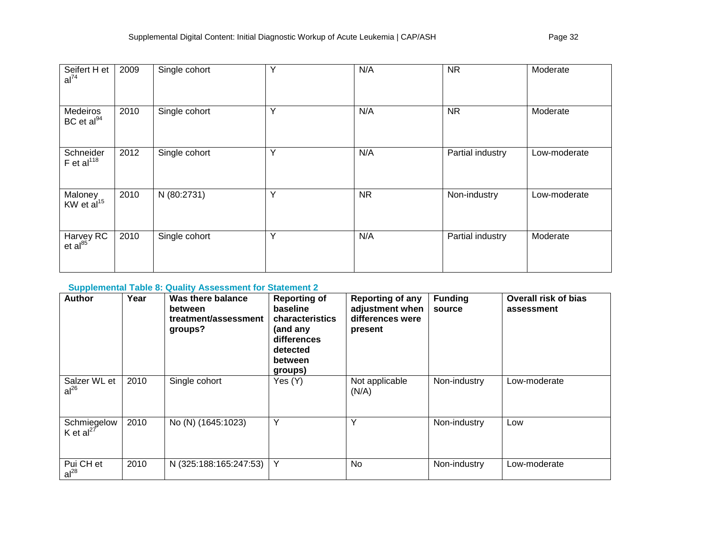| Seifert H et<br>al <sup>74</sup>   | 2009 | Single cohort | Y | N/A       | <b>NR</b>        | Moderate     |
|------------------------------------|------|---------------|---|-----------|------------------|--------------|
| Medeiros<br>BC et al <sup>94</sup> | 2010 | Single cohort | Y | N/A       | <b>NR</b>        | Moderate     |
| Schneider<br>F et al $^{118}$      | 2012 | Single cohort | Y | N/A       | Partial industry | Low-moderate |
| Maloney<br>KW et al <sup>15</sup>  | 2010 | N (80:2731)   | Y | <b>NR</b> | Non-industry     | Low-moderate |
| Harvey RC<br>et al <sup>85</sup>   | 2010 | Single cohort | Υ | N/A       | Partial industry | Moderate     |

# **Supplemental Table 8: Quality Assessment for Statement 2**

| <b>Author</b>                        | Year | Was there balance<br>between<br>treatment/assessment<br>groups? | <b>Reporting of</b><br>baseline<br>characteristics<br>(and any<br>differences<br>detected<br>between<br>groups) | <b>Reporting of any</b><br>adjustment when<br>differences were<br>present | <b>Funding</b><br>source | <b>Overall risk of bias</b><br>assessment |
|--------------------------------------|------|-----------------------------------------------------------------|-----------------------------------------------------------------------------------------------------------------|---------------------------------------------------------------------------|--------------------------|-------------------------------------------|
| Salzer WL et<br>$al^{26}$            | 2010 | Single cohort                                                   | Yes (Y)                                                                                                         | Not applicable<br>(N/A)                                                   | Non-industry             | Low-moderate                              |
| Schmiegelow<br>K et al <sup>27</sup> | 2010 | No (N) (1645:1023)                                              | Υ                                                                                                               | Υ                                                                         | Non-industry             | Low                                       |
| Pui CH et<br>$al^{28}$               | 2010 | N (325:188:165:247:53)                                          | Y                                                                                                               | No.                                                                       | Non-industry             | Low-moderate                              |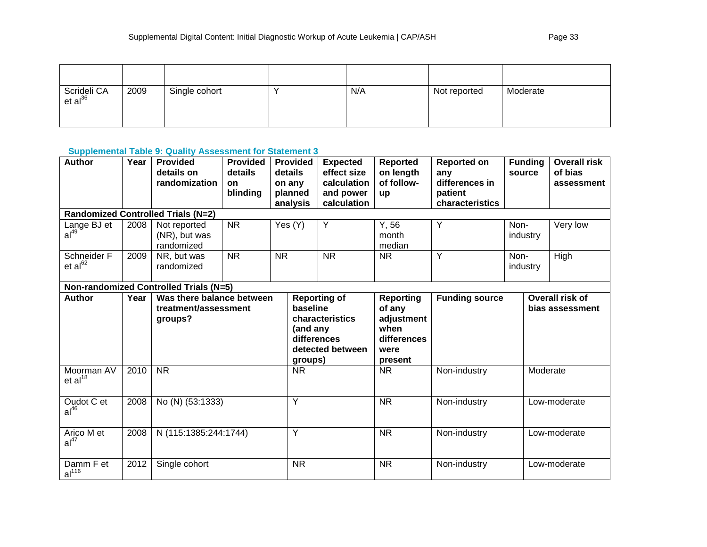| Scrideli CA<br>et al <sup>36</sup> | 2009 | Single cohort | N/A | Not reported | Moderate |
|------------------------------------|------|---------------|-----|--------------|----------|

 $\overline{a}$  , and the contract of the contract of the contract of the contract of the contract of the contract of the contract of the contract of the contract of the contract of the contract of the contract of the contract o

### **Supplemental Table 9: Quality Assessment for Statement 3**

| <b>Author</b>                          | Year | <b>Provided</b><br>details on<br>randomization               | <b>Provided</b><br>details<br><b>on</b> | details<br>on any | <b>Provided</b>                                                                                              | <b>Expected</b><br>effect size<br>calculation | <b>Reported</b><br>on length<br>of follow-                                         | <b>Reported on</b><br>any<br>differences in |      | <b>Funding</b><br>source           | <b>Overall risk</b><br>of bias<br>assessment |
|----------------------------------------|------|--------------------------------------------------------------|-----------------------------------------|-------------------|--------------------------------------------------------------------------------------------------------------|-----------------------------------------------|------------------------------------------------------------------------------------|---------------------------------------------|------|------------------------------------|----------------------------------------------|
|                                        |      |                                                              | blinding                                |                   | planned<br>analysis                                                                                          | and power<br>calculation                      | <b>up</b>                                                                          | patient<br>characteristics                  |      |                                    |                                              |
|                                        |      | <b>Randomized Controlled Trials (N=2)</b>                    |                                         |                   |                                                                                                              |                                               |                                                                                    |                                             |      |                                    |                                              |
| Lange BJ et<br>a <sup>49</sup>         | 2008 | Not reported<br>(NR), but was<br>randomized                  | <b>NR</b>                               |                   | Yes (Y)                                                                                                      | Y                                             | Y, 56<br>month<br>median                                                           | Y                                           | Non- | industry                           | Very low                                     |
| Schneider F<br>et al <sup>62</sup>     | 2009 | NR, but was<br>randomized                                    | <b>NR</b>                               | <b>NR</b>         |                                                                                                              | <b>NR</b>                                     | <b>NR</b>                                                                          | Y                                           | Non- | industry                           | High                                         |
| Non-randomized Controlled Trials (N=5) |      |                                                              |                                         |                   |                                                                                                              |                                               |                                                                                    |                                             |      |                                    |                                              |
| <b>Author</b>                          | Year | Was there balance between<br>treatment/assessment<br>groups? |                                         |                   | <b>Reporting of</b><br>baseline<br>characteristics<br>(and any<br>differences<br>detected between<br>groups) |                                               | <b>Reporting</b><br>of any<br>adjustment<br>when<br>differences<br>were<br>present | <b>Funding source</b>                       |      | Overall risk of<br>bias assessment |                                              |
| Moorman AV<br>et al <sup>18</sup>      | 2010 | <b>NR</b>                                                    |                                         |                   | <b>NR</b>                                                                                                    |                                               | <b>NR</b>                                                                          | Non-industry                                |      | Moderate                           |                                              |
| Oudot C et<br>al <sup>46</sup>         | 2008 | No (N) (53:1333)                                             |                                         |                   | Y                                                                                                            |                                               | <b>NR</b>                                                                          | Non-industry                                |      |                                    | Low-moderate                                 |
| Arico M et<br>al <sup>47</sup>         | 2008 | N (115:1385:244:1744)                                        |                                         |                   | Y                                                                                                            |                                               | <b>NR</b>                                                                          | Non-industry                                |      |                                    | Low-moderate                                 |
| Damm F et<br>al <sup>116</sup>         | 2012 | Single cohort                                                |                                         |                   | <b>NR</b>                                                                                                    |                                               | <b>NR</b>                                                                          | Non-industry                                |      |                                    | Low-moderate                                 |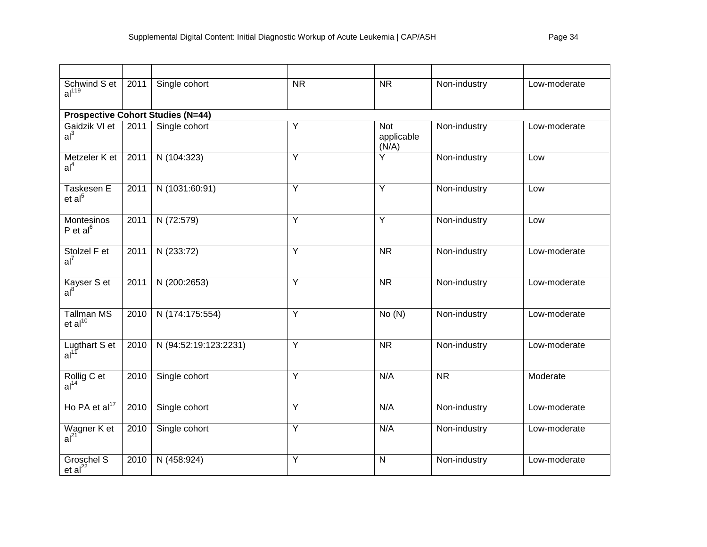| Schwind S et<br>al <sup>119</sup>        | 2011 | Single cohort                            | $\overline{\text{NR}}$ | $\overline{\text{NR}}$            | Non-industry           | Low-moderate |
|------------------------------------------|------|------------------------------------------|------------------------|-----------------------------------|------------------------|--------------|
|                                          |      | <b>Prospective Cohort Studies (N=44)</b> |                        |                                   |                        |              |
| Gaidzik VI et<br>al <sup>3</sup>         | 2011 | Single cohort                            | Υ                      | <b>Not</b><br>applicable<br>(N/A) | Non-industry           | Low-moderate |
| Metzeler K et<br>al <sup>4</sup>         | 2011 | N (104:323)                              | $\overline{Y}$         | Ÿ                                 | Non-industry           | Low          |
| Taskesen E<br>et al <sup>5</sup>         | 2011 | N (1031:60:91)                           | $\overline{Y}$         | $\overline{Y}$                    | Non-industry           | Low          |
| Montesinos<br>P et $al6$                 | 2011 | N (72:579)                               | $\overline{Y}$         | $\overline{Y}$                    | Non-industry           | Low          |
| Stolzel F et<br>$al^7$                   | 2011 | N (233:72)                               | Y                      | <b>NR</b>                         | Non-industry           | Low-moderate |
| Kayser S et<br>al <sup>8</sup>           | 2011 | N (200:2653)                             | Y                      | $\overline{\text{NR}}$            | Non-industry           | Low-moderate |
| <b>Tallman MS</b><br>et al <sup>10</sup> | 2010 | N (174:175:554)                          | Ÿ                      | No(N)                             | Non-industry           | Low-moderate |
| Lugthart S et<br>al <sup>11</sup>        | 2010 | N (94:52:19:123:2231)                    | $\overline{Y}$         | $\overline{\text{NR}}$            | Non-industry           | Low-moderate |
| Rollig C et<br>al <sup>14</sup>          | 2010 | Single cohort                            | $\overline{Y}$         | N/A                               | $\overline{\text{NR}}$ | Moderate     |
| Ho PA et al <sup>17</sup>                | 2010 | Single cohort                            | Y                      | N/A                               | Non-industry           | Low-moderate |
| Wagner K et<br>al <sup>21</sup>          | 2010 | Single cohort                            | Y                      | N/A                               | Non-industry           | Low-moderate |
| Groschel S<br>$et al^{22}$               | 2010 | N (458:924)                              | $\overline{Y}$         | $\mathsf{N}$                      | Non-industry           | Low-moderate |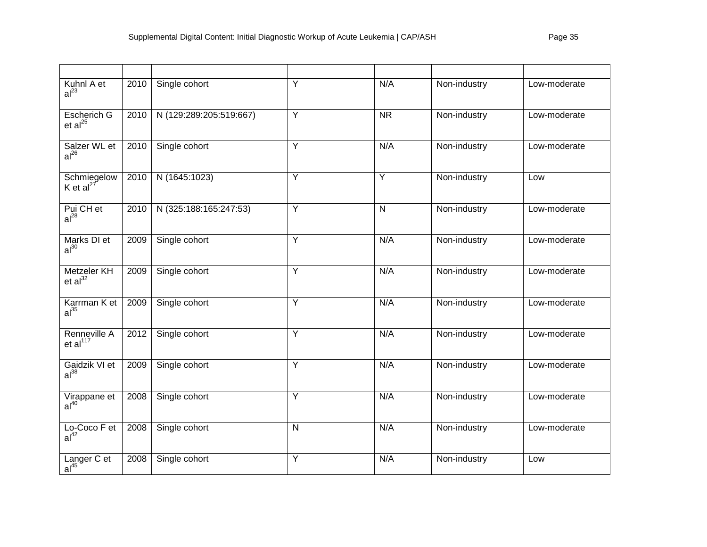| Kuhnl A et<br>al <sup>23</sup>       | 2010 | Single cohort           | $\overline{Y}$ | N/A          | Non-industry | Low-moderate |
|--------------------------------------|------|-------------------------|----------------|--------------|--------------|--------------|
| Escherich G<br>et al <sup>25</sup>   | 2010 | N (129:289:205:519:667) | Y              | <b>NR</b>    | Non-industry | Low-moderate |
| Salzer WL et<br>al <sup>26</sup>     | 2010 | Single cohort           | $\overline{Y}$ | N/A          | Non-industry | Low-moderate |
| Schmiegelow<br>K et al <sup>27</sup> | 2010 | N (1645:1023)           | Y              | Y            | Non-industry | Low          |
| Pui CH et<br>al <sup>28</sup>        | 2010 | N (325:188:165:247:53)  | $\overline{Y}$ | $\mathsf{N}$ | Non-industry | Low-moderate |
| Marks DI et<br>al <sup>30</sup>      | 2009 | Single cohort           | $\overline{Y}$ | N/A          | Non-industry | Low-moderate |
| <b>Metzeler KH</b><br>et $al32$      | 2009 | Single cohort           | Y              | N/A          | Non-industry | Low-moderate |
| Karrman K et<br>al <sup>35</sup>     | 2009 | Single cohort           | Y              | N/A          | Non-industry | Low-moderate |
| Renneville A<br>et al <sup>117</sup> | 2012 | Single cohort           | Y              | N/A          | Non-industry | Low-moderate |
| Gaidzik VI et al <sup>38</sup>       | 2009 | Single cohort           | $\overline{Y}$ | N/A          | Non-industry | Low-moderate |
| Virappane et<br>al <sup>40</sup>     | 2008 | Single cohort           | Y              | N/A          | Non-industry | Low-moderate |
| Lo-Coco F et<br>al <sup>42</sup>     | 2008 | Single cohort           | ${\sf N}$      | N/A          | Non-industry | Low-moderate |
| Langer C et<br>al <sup>45</sup>      | 2008 | Single cohort           | $\overline{Y}$ | N/A          | Non-industry | Low          |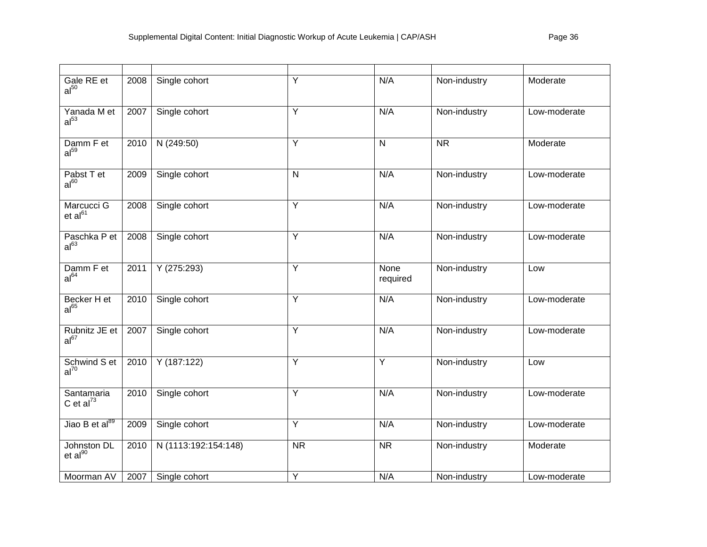| Gale RE et<br>al <sup>50</sup>     | 2008 | Single cohort        | Y                      | N/A                     | Non-industry           | Moderate     |
|------------------------------------|------|----------------------|------------------------|-------------------------|------------------------|--------------|
| Yanada M et<br>al <sup>53</sup>    | 2007 | Single cohort        | $\overline{Y}$         | N/A                     | Non-industry           | Low-moderate |
| Damm F et<br>al <sup>59</sup>      | 2010 | N(249:50)            | $\overline{Y}$         | $\overline{\mathsf{N}}$ | $\overline{\text{NR}}$ | Moderate     |
| Pabst T et<br>$al^{60}$            | 2009 | Single cohort        | $\mathsf{N}$           | N/A                     | Non-industry           | Low-moderate |
| Marcucci G<br>et al <sup>61</sup>  | 2008 | Single cohort        | $\overline{Y}$         | N/A                     | Non-industry           | Low-moderate |
| Paschka P et<br>al <sup>63</sup>   | 2008 | Single cohort        | $\overline{Y}$         | N/A                     | Non-industry           | Low-moderate |
| Damm F et<br>al <sup>64</sup>      | 2011 | Y(275:293)           | $\overline{Y}$         | None<br>required        | Non-industry           | Low          |
| Becker H et<br>$al^{65}$           | 2010 | Single cohort        | Y                      | N/A                     | Non-industry           | Low-moderate |
| Rubnitz JE et<br>$al^{67}$         | 2007 | Single cohort        | $\overline{Y}$         | N/A                     | Non-industry           | Low-moderate |
| Schwind S et<br>$al^{70}$          | 2010 | Y(187:122)           | $\overline{Y}$         | $\overline{Y}$          | Non-industry           | Low          |
| Santamaria<br>C et al $^{73}$      | 2010 | Single cohort        | Y                      | N/A                     | Non-industry           | Low-moderate |
| Jiao B et al <sup>89</sup>         | 2009 | Single cohort        | Y                      | N/A                     | Non-industry           | Low-moderate |
| Johnston DL<br>et al <sup>90</sup> | 2010 | N (1113:192:154:148) | $\overline{\text{NR}}$ | $\overline{\text{NR}}$  | Non-industry           | Moderate     |
| Moorman AV                         | 2007 | Single cohort        | Y                      | N/A                     | Non-industry           | Low-moderate |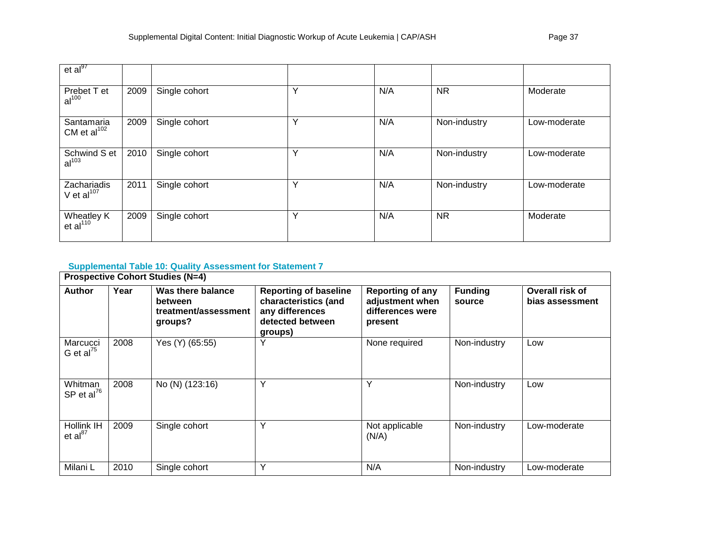| et al <sup>97</sup>               |      |               |   |     |              |              |
|-----------------------------------|------|---------------|---|-----|--------------|--------------|
| Prebet T et<br>al <sup>100</sup>  | 2009 | Single cohort | Y | N/A | <b>NR</b>    | Moderate     |
| Santamaria<br>CM et al $102$      | 2009 | Single cohort | Υ | N/A | Non-industry | Low-moderate |
| Schwind S et<br>al <sup>103</sup> | 2010 | Single cohort | Y | N/A | Non-industry | Low-moderate |
| Zachariadis<br>V et $al^{107}$    | 2011 | Single cohort | Υ | N/A | Non-industry | Low-moderate |
| Wheatley $K$ et al <sup>110</sup> | 2009 | Single cohort | Y | N/A | NR.          | Moderate     |

# **Supplemental Table 10: Quality Assessment for Statement 7**

|                                    |      | <b>Prospective Cohort Studies (N=4)</b>                         |                                                                                                        |                                                                           |                          |                                    |
|------------------------------------|------|-----------------------------------------------------------------|--------------------------------------------------------------------------------------------------------|---------------------------------------------------------------------------|--------------------------|------------------------------------|
| <b>Author</b>                      | Year | Was there balance<br>between<br>treatment/assessment<br>groups? | <b>Reporting of baseline</b><br>characteristics (and<br>any differences<br>detected between<br>groups) | <b>Reporting of any</b><br>adjustment when<br>differences were<br>present | <b>Funding</b><br>source | Overall risk of<br>bias assessment |
| Marcucci<br>G et al $^{75}$        | 2008 | Yes (Y) (65:55)                                                 | Y                                                                                                      | None required                                                             | Non-industry             | Low                                |
| Whitman<br>SP et al $^{76}$        | 2008 | No (N) (123:16)                                                 | Y                                                                                                      | Υ                                                                         | Non-industry             | Low                                |
| <b>Hollink IH</b><br>et al $^{87}$ | 2009 | Single cohort                                                   | Y                                                                                                      | Not applicable<br>(N/A)                                                   | Non-industry             | Low-moderate                       |
| Milani L                           | 2010 | Single cohort                                                   | Υ                                                                                                      | N/A                                                                       | Non-industry             | Low-moderate                       |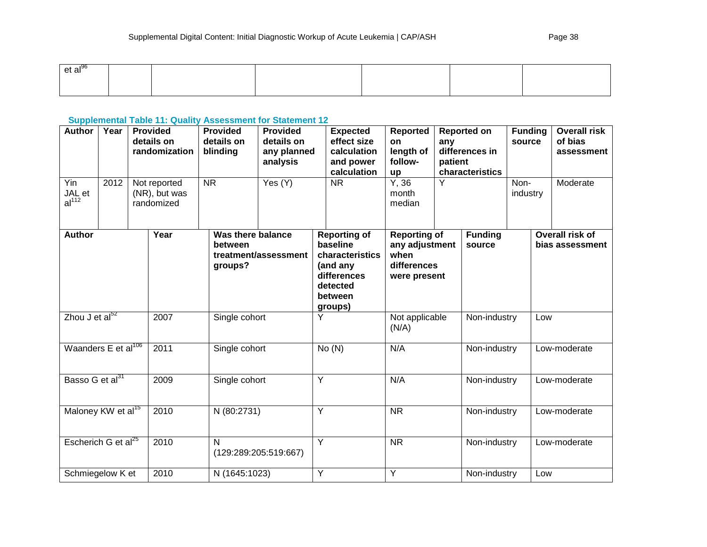| et al <sup>oo</sup><br>. |  |  |  |
|--------------------------|--|--|--|
|                          |  |  |  |
|                          |  |  |  |

## **Supplemental Table 11: Quality Assessment for Statement 12**

| <b>Author</b>                         | Year | <b>Provided</b><br>details on<br>randomization | <b>Provided</b><br>details on<br>blinding | <b>Provided</b><br>details on<br>any planned<br>analysis |   | <b>Expected</b><br>effect size<br>calculation<br>and power<br>calculation                                       | <b>Reported</b><br><b>on</b><br>length of<br>follow-<br>up                   | any<br>patient | <b>Reported on</b><br>differences in<br>characteristics | <b>Funding</b><br>source |     | <b>Overall risk</b><br>of bias<br>assessment |
|---------------------------------------|------|------------------------------------------------|-------------------------------------------|----------------------------------------------------------|---|-----------------------------------------------------------------------------------------------------------------|------------------------------------------------------------------------------|----------------|---------------------------------------------------------|--------------------------|-----|----------------------------------------------|
| $Y$ in<br>JAL et<br>al <sup>112</sup> | 2012 | Not reported<br>(NR), but was<br>randomized    | <b>NR</b>                                 | Yes (Y)                                                  |   | $\overline{\text{NR}}$                                                                                          | Y, 36<br>month<br>median                                                     | Y              |                                                         | Non-<br>industry         |     | Moderate                                     |
| <b>Author</b>                         |      | Year                                           | Was there balance<br>between<br>groups?   | treatment/assessment                                     |   | <b>Reporting of</b><br>baseline<br>characteristics<br>(and any<br>differences<br>detected<br>between<br>groups) | <b>Reporting of</b><br>any adjustment<br>when<br>differences<br>were present |                | <b>Funding</b><br>source                                |                          |     | Overall risk of<br>bias assessment           |
| Zhou $J$ et al $^{52}$                |      | 2007                                           | Single cohort                             |                                                          | Y |                                                                                                                 | Not applicable<br>(N/A)                                                      |                | Non-industry                                            |                          | Low |                                              |
| Waanders E et al <sup>106</sup>       |      | 2011                                           | Single cohort                             |                                                          |   | No(N)                                                                                                           | N/A                                                                          |                | Non-industry                                            |                          |     | Low-moderate                                 |
| Basso G et al <sup>31</sup>           |      | 2009                                           | Single cohort                             |                                                          | Y |                                                                                                                 | N/A                                                                          |                | Non-industry                                            |                          |     | Low-moderate                                 |
| Maloney KW et al <sup>15</sup>        |      | 2010                                           | N (80:2731)                               |                                                          | Ÿ |                                                                                                                 | $\overline{\text{NR}}$                                                       |                | Non-industry                                            |                          |     | Low-moderate                                 |
| Escherich G et al <sup>25</sup>       |      | 2010                                           | N                                         | (129:289:205:519:667)                                    | Y |                                                                                                                 | $\overline{\text{NR}}$                                                       |                | Non-industry                                            |                          |     | Low-moderate                                 |
| Schmiegelow K et                      |      | 2010                                           | N (1645:1023)                             |                                                          | Ÿ |                                                                                                                 | Y                                                                            |                | Non-industry                                            |                          | Low |                                              |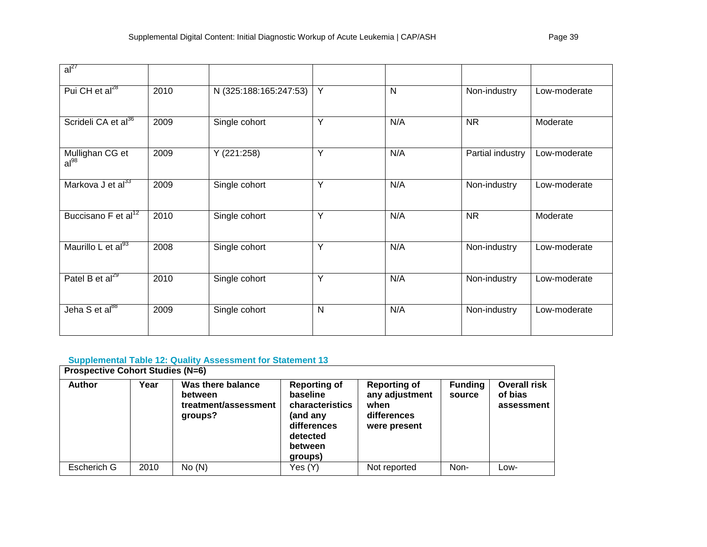| $al^{27}$                       |      |                        |   |     |                  |              |
|---------------------------------|------|------------------------|---|-----|------------------|--------------|
| Pui CH et al <sup>28</sup>      | 2010 | N (325:188:165:247:53) | Y | N   | Non-industry     | Low-moderate |
| Scrideli CA et al <sup>36</sup> | 2009 | Single cohort          | Y | N/A | <b>NR</b>        | Moderate     |
| Mullighan CG et<br>$al^{98}$    | 2009 | Y (221:258)            | Y | N/A | Partial industry | Low-moderate |
| Markova J et al <sup>33</sup>   | 2009 | Single cohort          | Y | N/A | Non-industry     | Low-moderate |
| Buccisano F et al <sup>12</sup> | 2010 | Single cohort          | Y | N/A | <b>NR</b>        | Moderate     |
| Maurillo L et al <sup>93</sup>  | 2008 | Single cohort          | Υ | N/A | Non-industry     | Low-moderate |
| Patel B et $al^{29}$            | 2010 | Single cohort          | Υ | N/A | Non-industry     | Low-moderate |
| Jeha S et al <sup>88</sup>      | 2009 | Single cohort          | N | N/A | Non-industry     | Low-moderate |

## **Supplemental Table 12: Quality Assessment for Statement 13**

| <b>Prospective Cohort Studies (N=6)</b> |      |                                                                 |                                                                                                                 |                                                                              |                          |                                              |  |  |  |
|-----------------------------------------|------|-----------------------------------------------------------------|-----------------------------------------------------------------------------------------------------------------|------------------------------------------------------------------------------|--------------------------|----------------------------------------------|--|--|--|
| <b>Author</b>                           | Year | Was there balance<br>between<br>treatment/assessment<br>groups? | <b>Reporting of</b><br>baseline<br>characteristics<br>(and any<br>differences<br>detected<br>between<br>groups) | <b>Reporting of</b><br>any adjustment<br>when<br>differences<br>were present | <b>Funding</b><br>source | <b>Overall risk</b><br>of bias<br>assessment |  |  |  |
| Escherich G                             | 2010 | No(N)                                                           | Yes (Y)                                                                                                         | Not reported                                                                 | Non-                     | Low-                                         |  |  |  |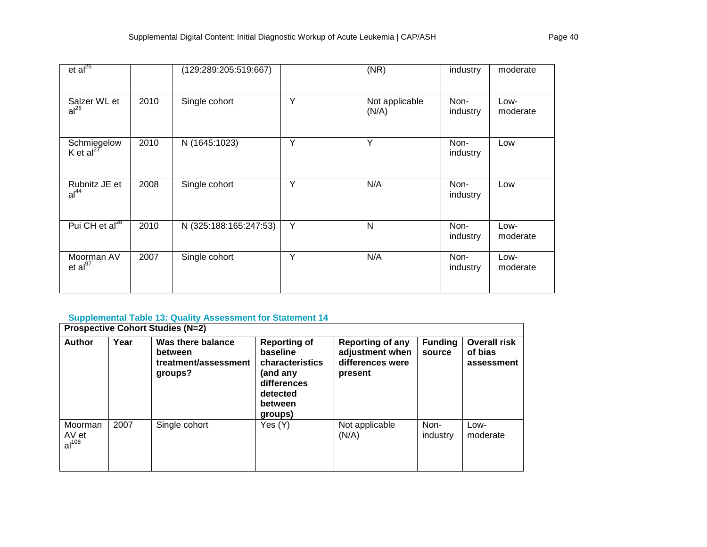| et al <sup>25</sup>                  |      | (129:289:205:519:667)  |   | (NR)                    | industry         | moderate         |
|--------------------------------------|------|------------------------|---|-------------------------|------------------|------------------|
| Salzer WL et<br>al <sup>26</sup>     | 2010 | Single cohort          | Y | Not applicable<br>(N/A) | Non-<br>industry | Low-<br>moderate |
| Schmiegelow<br>K et al <sup>27</sup> | 2010 | N (1645:1023)          | Y | Y                       | Non-<br>industry | Low              |
| Rubnitz JE et<br>al <sup>44</sup>    | 2008 | Single cohort          | Y | N/A                     | Non-<br>industry | Low              |
| Pui CH et al <sup>28</sup>           | 2010 | N (325:188:165:247:53) | Y | N                       | Non-<br>industry | Low-<br>moderate |
| Moorman AV<br>et al <sup>97</sup>    | 2007 | Single cohort          | Y | N/A                     | Non-<br>industry | Low-<br>moderate |

## **Supplemental Table 13: Quality Assessment for Statement 14**

|                                       | <b>Prospective Cohort Studies (N=2)</b> |                                                                 |                                                                                                                 |                                                                           |                          |                                              |  |  |  |  |
|---------------------------------------|-----------------------------------------|-----------------------------------------------------------------|-----------------------------------------------------------------------------------------------------------------|---------------------------------------------------------------------------|--------------------------|----------------------------------------------|--|--|--|--|
| <b>Author</b>                         | Year                                    | Was there balance<br>between<br>treatment/assessment<br>groups? | <b>Reporting of</b><br>baseline<br>characteristics<br>(and anv<br>differences<br>detected<br>between<br>groups) | <b>Reporting of any</b><br>adjustment when<br>differences were<br>present | <b>Funding</b><br>source | <b>Overall risk</b><br>of bias<br>assessment |  |  |  |  |
| Moorman<br>AV et<br>al <sup>108</sup> | 2007                                    | Single cohort                                                   | Yes (Y)                                                                                                         | Not applicable<br>(N/A)                                                   | Non-<br>industry         | Low-<br>moderate                             |  |  |  |  |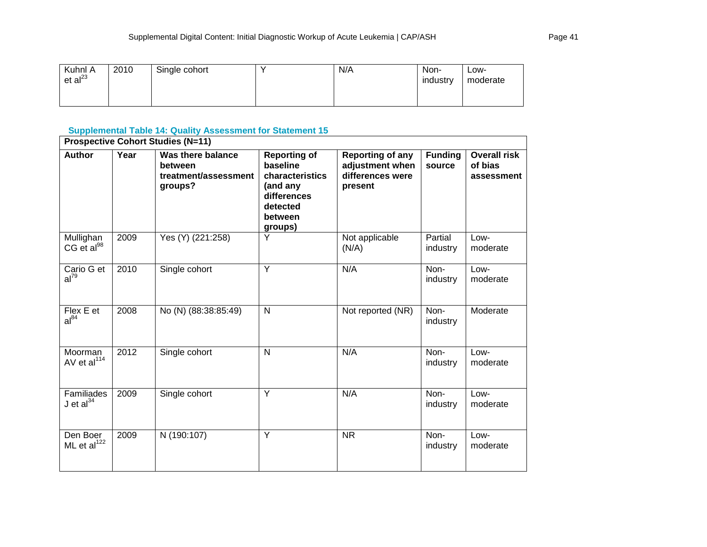| Kuhnl A<br>et al <sup>23</sup> | 2010 | Single cohort | v | N/A | Non-<br>industry | ∟OW-<br>moderate |
|--------------------------------|------|---------------|---|-----|------------------|------------------|
|                                |      |               |   |     |                  |                  |

## **Supplemental Table 14: Quality Assessment for Statement 15**

|                                     | <b>Prospective Cohort Studies (N=11)</b> |                                                                 |                                                                                                                 |                                                                    |                          |                                              |  |  |  |  |
|-------------------------------------|------------------------------------------|-----------------------------------------------------------------|-----------------------------------------------------------------------------------------------------------------|--------------------------------------------------------------------|--------------------------|----------------------------------------------|--|--|--|--|
| <b>Author</b>                       | Year                                     | Was there balance<br>between<br>treatment/assessment<br>groups? | <b>Reporting of</b><br>baseline<br>characteristics<br>(and any<br>differences<br>detected<br>between<br>groups) | Reporting of any<br>adjustment when<br>differences were<br>present | <b>Funding</b><br>source | <b>Overall risk</b><br>of bias<br>assessment |  |  |  |  |
| Mullighan<br>CG et al <sup>98</sup> | 2009                                     | Yes (Y) (221:258)                                               | Y                                                                                                               | Not applicable<br>(N/A)                                            | Partial<br>industry      | Low-<br>moderate                             |  |  |  |  |
| Cario G et<br>$al^{79}$             | 2010                                     | Single cohort                                                   | Y                                                                                                               | N/A                                                                | Non-<br>industry         | Low-<br>moderate                             |  |  |  |  |
| Flex E et<br>$al^{84}$              | 2008                                     | No (N) (88:38:85:49)                                            | N                                                                                                               | Not reported (NR)                                                  | Non-<br>industry         | Moderate                                     |  |  |  |  |
| Moorman<br>AV et al <sup>114</sup>  | 2012                                     | Single cohort                                                   | N                                                                                                               | N/A                                                                | Non-<br>industry         | Low-<br>moderate                             |  |  |  |  |
| Familiades<br>$J$ et al $^{34}$     | 2009                                     | Single cohort                                                   | Y                                                                                                               | N/A                                                                | Non-<br>industry         | Low-<br>moderate                             |  |  |  |  |
| Den Boer<br>ML et $al^{122}$        | 2009                                     | N (190:107)                                                     | Y                                                                                                               | <b>NR</b>                                                          | Non-<br>industry         | Low-<br>moderate                             |  |  |  |  |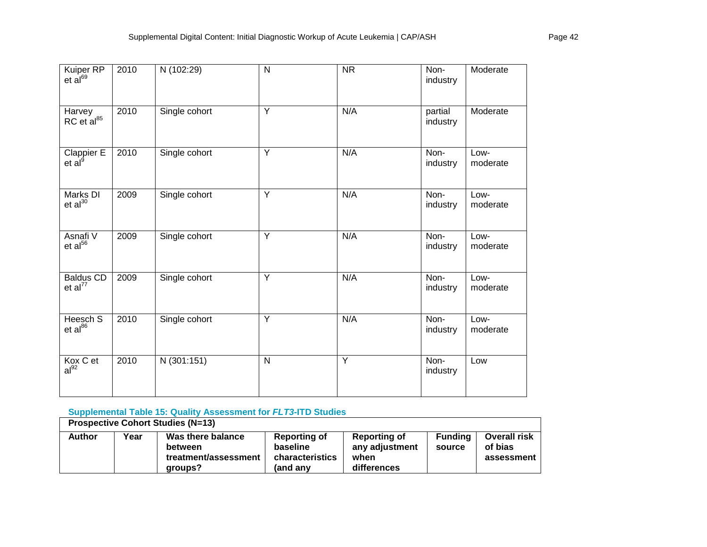| Kuiper RP<br>et al <sup>69</sup>              | 2010 | N (102:29)    | N              | <b>NR</b> | Non-<br>industry    | Moderate         |
|-----------------------------------------------|------|---------------|----------------|-----------|---------------------|------------------|
| Harvey<br>RC et al <sup>85</sup>              | 2010 | Single cohort | Y              | N/A       | partial<br>industry | Moderate         |
| Clappier $\overline{E}$<br>et al <sup>9</sup> | 2010 | Single cohort | Y              | N/A       | Non-<br>industry    | Low-<br>moderate |
| Marks DI<br>et al <sup>30</sup>               | 2009 | Single cohort | Y              | N/A       | Non-<br>industry    | Low-<br>moderate |
| Asnafi V<br>et al <sup>56</sup>               | 2009 | Single cohort | Y              | N/A       | Non-<br>industry    | Low-<br>moderate |
| <b>Baldus CD</b><br>et al <sup>77</sup>       | 2009 | Single cohort | Y              | N/A       | Non-<br>industry    | Low-<br>moderate |
| Heesch S<br>et al <sup>86</sup>               | 2010 | Single cohort | $\overline{Y}$ | N/A       | Non-<br>industry    | Low-<br>moderate |
| Kox C et<br>al <sup>92</sup>                  | 2010 | N (301:151)   | N              | Y         | Non-<br>industry    | Low              |

## **Supplemental Table 15: Quality Assessment for** *FLT3-***ITD Studies**

| <b>Prospective Cohort Studies (N=13)</b> |      |                                                                 |                                                         |                                                              |                          |                                              |  |  |  |
|------------------------------------------|------|-----------------------------------------------------------------|---------------------------------------------------------|--------------------------------------------------------------|--------------------------|----------------------------------------------|--|--|--|
| <b>Author</b>                            | Year | Was there balance<br>between<br>treatment/assessment<br>aroups? | Reporting of<br>baseline<br>characteristics<br>(and anv | <b>Reporting of</b><br>any adjustment<br>when<br>differences | <b>Funding</b><br>source | <b>Overall risk</b><br>of bias<br>assessment |  |  |  |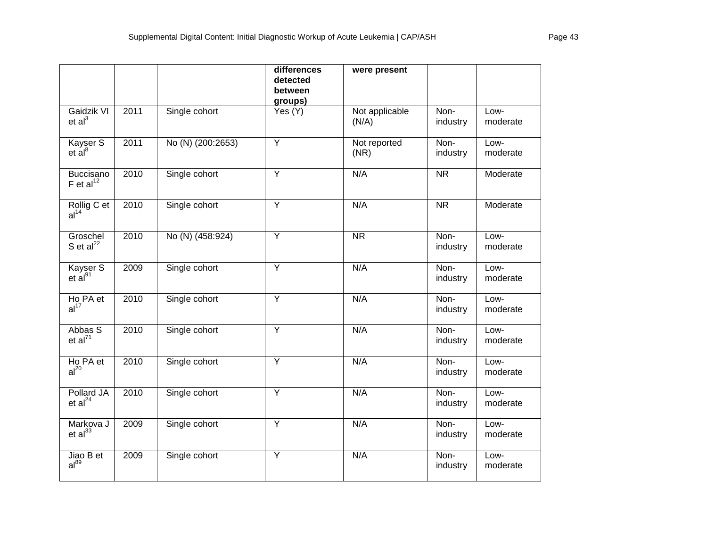|                                      |      |                   | differences<br>detected<br>between<br>groups) | were present            |                  |                  |
|--------------------------------------|------|-------------------|-----------------------------------------------|-------------------------|------------------|------------------|
| Gaidzik VI<br>et al <sup>3</sup>     | 2011 | Single cohort     | Yes (Y)                                       | Not applicable<br>(N/A) | Non-<br>industry | Low-<br>moderate |
| Kayser S<br>$et$ $a8$                | 2011 | No (N) (200:2653) | Y                                             | Not reported<br>(NR)    | Non-<br>industry | Low-<br>moderate |
| Buccisano<br>$F$ et al <sup>12</sup> | 2010 | Single cohort     | Y                                             | N/A                     | <b>NR</b>        | Moderate         |
| Rollig C et<br>al <sup>14</sup>      | 2010 | Single cohort     | $\overline{Y}$                                | N/A                     | <b>NR</b>        | Moderate         |
| Groschel<br>S et $al^{22}$           | 2010 | No (N) (458:924)  | $\overline{Y}$                                | $\overline{\text{NR}}$  | Non-<br>industry | Low-<br>moderate |
| Kayser S<br>$et$ al <sup>91</sup>    | 2009 | Single cohort     | Y                                             | N/A                     | Non-<br>industry | Low-<br>moderate |
| Ho PA et<br>al <sup>17</sup>         | 2010 | Single cohort     | Y                                             | N/A                     | Non-<br>industry | Low-<br>moderate |
| Abbas S<br>et al <sup>71</sup>       | 2010 | Single cohort     | $\overline{Y}$                                | N/A                     | Non-<br>industry | Low-<br>moderate |
| Ho PA et<br>al <sup>20</sup>         | 2010 | Single cohort     | Y                                             | N/A                     | Non-<br>industry | Low-<br>moderate |
| Pollard JA<br>et al <sup>24</sup>    | 2010 | Single cohort     | $\overline{Y}$                                | N/A                     | Non-<br>industry | Low-<br>moderate |
| Markova J<br>$et al^{33}$            | 2009 | Single cohort     | $\overline{Y}$                                | N/A                     | Non-<br>industry | Low-<br>moderate |
| Jiao B et<br>$al^{89}$               | 2009 | Single cohort     | Y                                             | N/A                     | Non-<br>industry | Low-<br>moderate |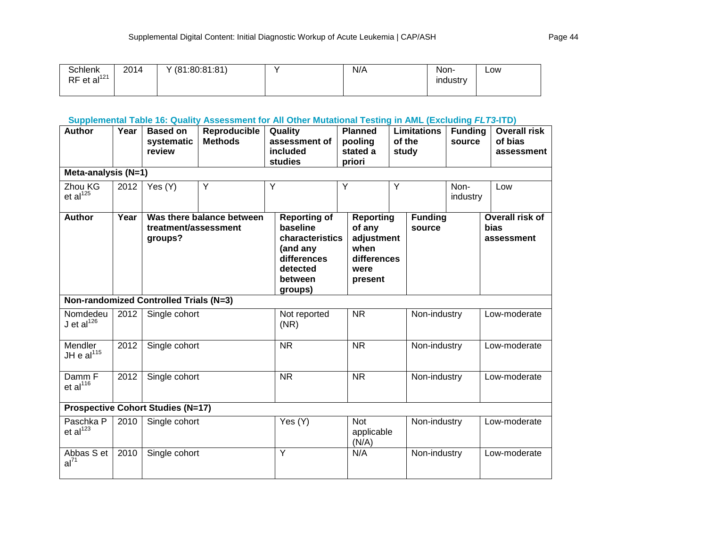| <b>Schlenk</b>            | 2014 | (81:80:81:81) | N/A | Non-     | LOW |
|---------------------------|------|---------------|-----|----------|-----|
| $RF$ et al <sup>121</sup> |      |               |     | industry |     |
|                           |      |               |     |          |     |

# **Supplemental Table 16: Quality Assessment for All Other Mutational Testing in AML (Excluding** *FLT3***-ITD)**

| <b>Author</b><br>Meta-analysis (N=1) | Year | <b>Based on</b><br>systematic<br>review  | Reproducible<br><b>Methods</b> |                                                                                                                 | Quality<br>assessment of<br>included<br>studies | <b>Planned</b><br>pooling<br>stated a<br>priori |                                                                                    | <b>Limitations</b><br>of the<br>study |                          | <b>Funding</b><br>source |  | <b>Overall risk</b><br>of bias<br>assessment |
|--------------------------------------|------|------------------------------------------|--------------------------------|-----------------------------------------------------------------------------------------------------------------|-------------------------------------------------|-------------------------------------------------|------------------------------------------------------------------------------------|---------------------------------------|--------------------------|--------------------------|--|----------------------------------------------|
| Zhou KG<br>et al <sup>125</sup>      | 2012 | Yes (Y)                                  | Y                              | Ÿ                                                                                                               |                                                 | Ÿ                                               |                                                                                    | Y                                     |                          | Non-<br>industry         |  | Low                                          |
| <b>Author</b>                        | Year | treatment/assessment<br>groups?          | Was there balance between      | <b>Reporting of</b><br>baseline<br>characteristics<br>(and any<br>differences<br>detected<br>between<br>groups) |                                                 |                                                 | <b>Reporting</b><br>of any<br>adjustment<br>when<br>differences<br>were<br>present |                                       | <b>Funding</b><br>source |                          |  | Overall risk of<br>bias<br>assessment        |
|                                      |      | Non-randomized Controlled Trials (N=3)   |                                |                                                                                                                 |                                                 |                                                 |                                                                                    |                                       |                          |                          |  |                                              |
| Nomdedeu<br>$J$ et al $^{126}$       | 2012 | Single cohort                            |                                |                                                                                                                 | Not reported<br>(NR)                            |                                                 | <b>NR</b>                                                                          |                                       | Non-industry             |                          |  | Low-moderate                                 |
| Mendler<br>JH e $al115$              | 2012 | Single cohort                            |                                |                                                                                                                 | <b>NR</b>                                       |                                                 | <b>NR</b>                                                                          |                                       | Non-industry             |                          |  | Low-moderate                                 |
| Damm F<br>et $al^{116}$              | 2012 | Single cohort                            |                                |                                                                                                                 | <b>NR</b>                                       |                                                 | <b>NR</b>                                                                          |                                       | Non-industry             |                          |  | Low-moderate                                 |
|                                      |      | <b>Prospective Cohort Studies (N=17)</b> |                                |                                                                                                                 |                                                 |                                                 |                                                                                    |                                       |                          |                          |  |                                              |
| Paschka P<br>et al <sup>123</sup>    | 2010 | Single cohort                            |                                |                                                                                                                 | Yes (Y)                                         |                                                 | <b>Not</b><br>applicable<br>(N/A)                                                  |                                       | Non-industry             |                          |  | Low-moderate                                 |
| Abbas S et<br>$al^{71}$              | 2010 | Single cohort                            |                                |                                                                                                                 | $\overline{Y}$                                  |                                                 | N/A                                                                                |                                       | Non-industry             |                          |  | Low-moderate                                 |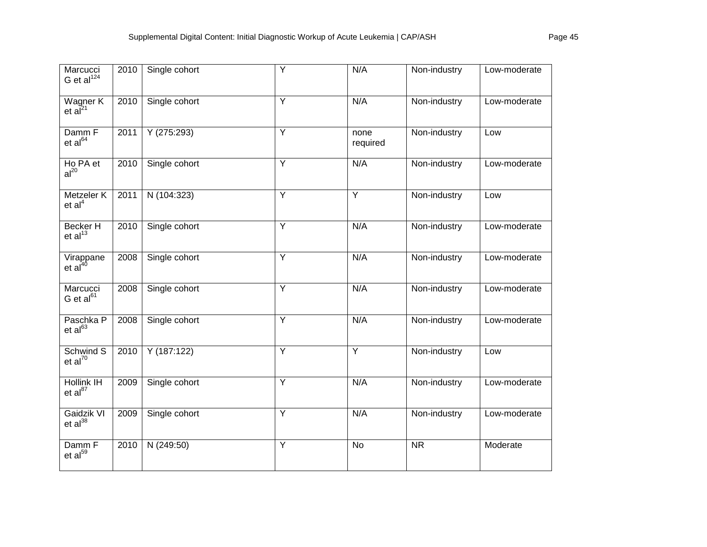| Marcucci<br>G et $al^{124}$                   | 2010 | Single cohort | Y              | N/A              | Non-industry | Low-moderate |
|-----------------------------------------------|------|---------------|----------------|------------------|--------------|--------------|
| Wagner K<br>et $\mathbf{a}^{\mathbf{z}^{21}}$ | 2010 | Single cohort | $\overline{Y}$ | N/A              | Non-industry | Low-moderate |
| Damm F<br>et al <sup>64</sup>                 | 2011 | Y(275:293)    | $\overline{Y}$ | none<br>required | Non-industry | Low          |
| Ho PA et<br>al <sup>20</sup>                  | 2010 | Single cohort | $\overline{Y}$ | N/A              | Non-industry | Low-moderate |
| Metzeler K<br>et al <sup>4</sup>              | 2011 | N (104:323)   | $\overline{Y}$ | $\overline{Y}$   | Non-industry | Low          |
| <b>Becker H</b><br>et al <sup>13</sup>        | 2010 | Single cohort | Y              | N/A              | Non-industry | Low-moderate |
| Virappane<br>et al <sup>40</sup>              | 2008 | Single cohort | $\overline{Y}$ | N/A              | Non-industry | Low-moderate |
| Marcucci<br>G et $al61$                       | 2008 | Single cohort | $\overline{Y}$ | N/A              | Non-industry | Low-moderate |
| Paschka P<br>et al <sup>63</sup>              | 2008 | Single cohort | $\overline{Y}$ | N/A              | Non-industry | Low-moderate |
| Schwind S<br>et al <sup>70</sup>              | 2010 | Y(187:122)    | $\overline{Y}$ | Y                | Non-industry | Low          |
| <b>Hollink IH</b><br>et al <sup>87</sup>      | 2009 | Single cohort | Y              | N/A              | Non-industry | Low-moderate |
| Gaidzik VI<br>$et al^{38}$                    | 2009 | Single cohort | $\overline{Y}$ | N/A              | Non-industry | Low-moderate |
| Damm F<br>et al <sup>59</sup>                 | 2010 | N (249:50)    | Y              | <b>No</b>        | <b>NR</b>    | Moderate     |
|                                               |      |               |                |                  |              |              |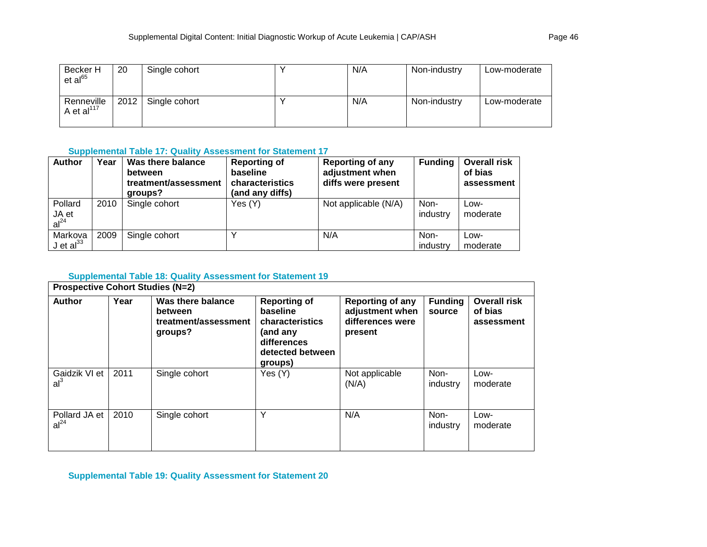| Becker H<br>et al <sup>65</sup> | 20   | Single cohort | N/A | Non-industry | Low-moderate |
|---------------------------------|------|---------------|-----|--------------|--------------|
| Renneville<br>A et al $^{117}$  | 2012 | Single cohort | N/A | Non-industry | Low-moderate |

## **Supplemental Table 17: Quality Assessment for Statement 17**

| <b>Author</b>                        | Year | Was there balance<br>between<br>treatment/assessment<br>groups? | <b>Reporting of</b><br>baseline<br>characteristics<br>(and any diffs) | <b>Reporting of any</b><br>adjustment when<br>diffs were present | <b>Funding</b>   | <b>Overall risk</b><br>of bias<br>assessment |
|--------------------------------------|------|-----------------------------------------------------------------|-----------------------------------------------------------------------|------------------------------------------------------------------|------------------|----------------------------------------------|
| Pollard<br>JA et<br>al <sup>24</sup> | 2010 | Single cohort                                                   | Yes (Y)                                                               | Not applicable (N/A)                                             | Non-<br>industry | Low-<br>moderate                             |
| Markova<br>J et $al33$               | 2009 | Single cohort                                                   |                                                                       | N/A                                                              | Non-<br>industry | Low-<br>moderate                             |

## **Supplemental Table 18: Quality Assessment for Statement 19**

| <b>Prospective Cohort Studies (N=2)</b> |      |                                                                 |                                                                                                              |                                                                           |                          |                                              |  |  |  |  |
|-----------------------------------------|------|-----------------------------------------------------------------|--------------------------------------------------------------------------------------------------------------|---------------------------------------------------------------------------|--------------------------|----------------------------------------------|--|--|--|--|
| <b>Author</b>                           | Year | Was there balance<br>between<br>treatment/assessment<br>groups? | <b>Reporting of</b><br>baseline<br>characteristics<br>(and any<br>differences<br>detected between<br>groups) | <b>Reporting of any</b><br>adjustment when<br>differences were<br>present | <b>Funding</b><br>source | <b>Overall risk</b><br>of bias<br>assessment |  |  |  |  |
| Gaidzik VI et<br>al <sup>3</sup>        | 2011 | Single cohort                                                   | Yes (Y)                                                                                                      | Not applicable<br>(N/A)                                                   | Non-<br>industry         | Low-<br>moderate                             |  |  |  |  |
| Pollard JA et<br>al <sup>24</sup>       | 2010 | Single cohort                                                   | Υ                                                                                                            | N/A                                                                       | Non-<br>industry         | Low-<br>moderate                             |  |  |  |  |

**Supplemental Table 19: Quality Assessment for Statement 20**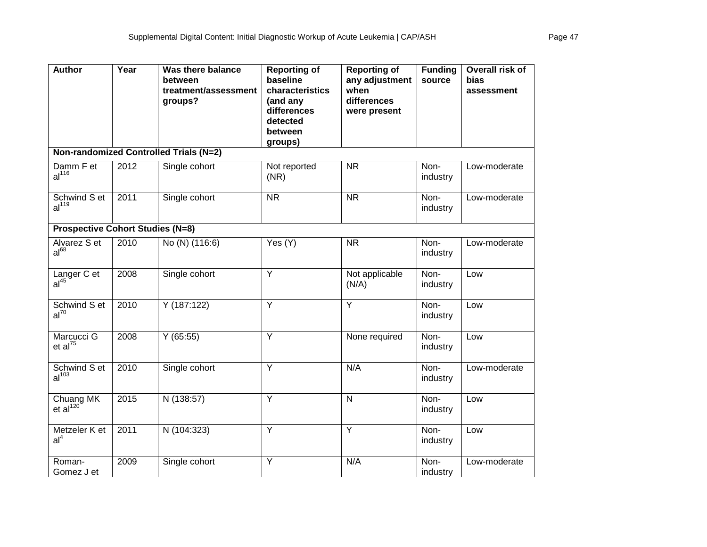| <b>Author</b>                                         | Year | <b>Was there balance</b><br>between<br>treatment/assessment<br>groups? | <b>Reporting of</b><br>baseline<br>characteristics<br>(and any<br>differences<br>detected<br>between<br>groups) | <b>Reporting of</b><br>any adjustment<br>when<br>differences<br>were present | <b>Funding</b><br>source | Overall risk of<br><b>bias</b><br>assessment |
|-------------------------------------------------------|------|------------------------------------------------------------------------|-----------------------------------------------------------------------------------------------------------------|------------------------------------------------------------------------------|--------------------------|----------------------------------------------|
|                                                       |      | Non-randomized Controlled Trials (N=2)                                 |                                                                                                                 |                                                                              |                          |                                              |
| Damm F et<br>al <sup>116</sup>                        | 2012 | Single cohort                                                          | Not reported<br>(NR)                                                                                            | <b>NR</b>                                                                    | Non-<br>industry         | Low-moderate                                 |
| Schwind S et<br>al <sup>119</sup>                     | 2011 | Single cohort                                                          | $\overline{\text{NR}}$                                                                                          | $\overline{\text{NR}}$                                                       | Non-<br>industry         | Low-moderate                                 |
| <b>Prospective Cohort Studies (N=8)</b>               |      |                                                                        |                                                                                                                 |                                                                              |                          |                                              |
| Alvarez S et<br>al <sup>68</sup>                      | 2010 | No (N) (116:6)                                                         | Yes (Y)                                                                                                         | <b>NR</b>                                                                    | Non-<br>industry         | Low-moderate                                 |
| Langer C et<br>al <sup>45</sup>                       | 2008 | Single cohort                                                          | $\overline{Y}$                                                                                                  | Not applicable<br>(N/A)                                                      | Non-<br>industry         | Low                                          |
| Schwind S et<br>$al^{70}$                             | 2010 | Y (187:122)                                                            | $\overline{Y}$                                                                                                  | $\overline{Y}$                                                               | Non-<br>industry         | Low                                          |
| Marcucci G<br>et al <sup>75</sup>                     | 2008 | Y(65:55)                                                               | Y                                                                                                               | None required                                                                | Non-<br>industry         | Low                                          |
| Schwind S et<br>al <sup>103</sup>                     | 2010 | Single cohort                                                          | $\overline{Y}$                                                                                                  | N/A                                                                          | Non-<br>industry         | Low-moderate                                 |
| Chuang $\overline{\text{MK}}$<br>et al <sup>120</sup> | 2015 | N (138:57)                                                             | Y                                                                                                               | $\mathsf{N}$                                                                 | Non-<br>industry         | Low                                          |
| Metzeler K et<br>al <sup>4</sup>                      | 2011 | N (104:323)                                                            | Y                                                                                                               | Y                                                                            | Non-<br>industry         | Low                                          |
| Roman-<br>Gomez J et                                  | 2009 | Single cohort                                                          | Y                                                                                                               | N/A                                                                          | Non-<br>industry         | Low-moderate                                 |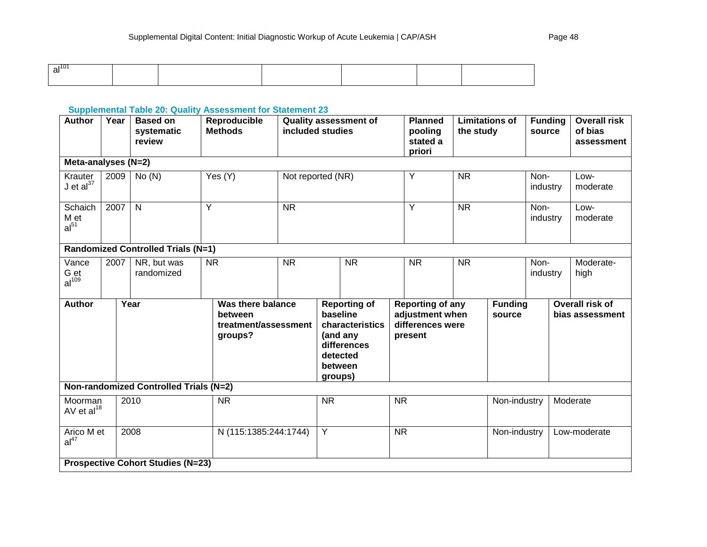## **Supplemental Table 20: Quality Assessment for Statement 23**

| <b>Author</b>                      | Year                                      | <b>Based on</b><br>systematic<br>review  | Reproducible<br><b>Methods</b>            | <b>Quality assessment of</b><br>included studies |                                                                                                                 | <b>Planned</b><br>pooling<br>stated a<br>priori                           | Limitations of<br>the study |                          | <b>Funding</b><br>source |                  | <b>Overall risk</b><br>of bias<br>assessment |                                    |                   |
|------------------------------------|-------------------------------------------|------------------------------------------|-------------------------------------------|--------------------------------------------------|-----------------------------------------------------------------------------------------------------------------|---------------------------------------------------------------------------|-----------------------------|--------------------------|--------------------------|------------------|----------------------------------------------|------------------------------------|-------------------|
| Meta-analyses (N=2)                |                                           |                                          |                                           |                                                  |                                                                                                                 |                                                                           |                             |                          |                          |                  |                                              |                                    |                   |
| Krauter<br>$J$ et al $^{37}$       | 2009                                      | No(N)                                    | Yes (Y)                                   | Not reported (NR)                                |                                                                                                                 |                                                                           | Υ                           | <b>NR</b>                |                          |                  | Non-<br>industry                             | Low-<br>moderate                   |                   |
| Schaich<br>M et<br>$al^{51}$       | 2007                                      | $\mathsf{N}$                             | Y                                         | <b>NR</b>                                        |                                                                                                                 |                                                                           | Y                           | <b>NR</b>                |                          | Non-<br>industry |                                              | Low-<br>moderate                   |                   |
|                                    | <b>Randomized Controlled Trials (N=1)</b> |                                          |                                           |                                                  |                                                                                                                 |                                                                           |                             |                          |                          |                  |                                              |                                    |                   |
| Vance<br>G et<br>al <sup>109</sup> | 2007                                      | NR, but was<br>randomized                | <b>NR</b>                                 | <b>NR</b>                                        |                                                                                                                 | <b>NR</b>                                                                 |                             | <b>NR</b>                | <b>NR</b>                |                  | Non-<br>industry                             |                                    | Moderate-<br>high |
| <b>Author</b><br>Year              |                                           | between<br>groups?                       | Was there balance<br>treatment/assessment |                                                  | <b>Reporting of</b><br>baseline<br>characteristics<br>(and any<br>differences<br>detected<br>between<br>groups) | <b>Reporting of any</b><br>adjustment when<br>differences were<br>present |                             | <b>Funding</b><br>source |                          |                  |                                              | Overall risk of<br>bias assessment |                   |
|                                    |                                           | Non-randomized Controlled Trials (N=2)   |                                           |                                                  |                                                                                                                 |                                                                           |                             |                          |                          |                  |                                              |                                    |                   |
| Moorman<br>AV et $al^{18}$         |                                           | 2010                                     | <b>NR</b>                                 |                                                  | <b>NR</b>                                                                                                       |                                                                           | <b>NR</b>                   |                          |                          | Non-industry     |                                              |                                    | Moderate          |
| Arico M et<br>al <sup>47</sup>     |                                           | 2008                                     | N (115:1385:244:1744)                     |                                                  | Y                                                                                                               |                                                                           | <b>NR</b>                   |                          | Non-industry             |                  |                                              | Low-moderate                       |                   |
|                                    |                                           | <b>Prospective Cohort Studies (N=23)</b> |                                           |                                                  |                                                                                                                 |                                                                           |                             |                          |                          |                  |                                              |                                    |                   |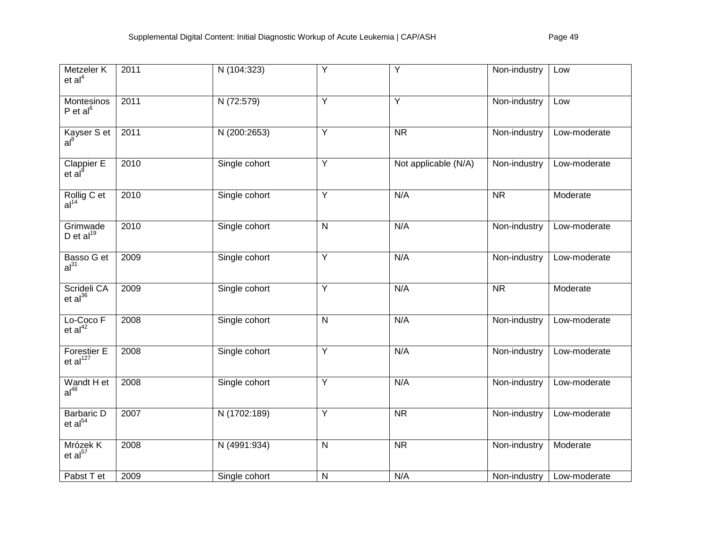| Metzeler K<br>et al <sup>4</sup>         | 2011 | N (104:323)   | Y                       | Y                      | Non-industry           | Low          |
|------------------------------------------|------|---------------|-------------------------|------------------------|------------------------|--------------|
| Montesinos<br>$P$ et al $^{6}$           | 2011 | N (72:579)    | $\overline{Y}$          | $\overline{Y}$         | Non-industry           | Low          |
| Kayser S et<br>al <sup>8</sup>           | 2011 | N (200:2653)  | Y                       | $\overline{\text{NR}}$ | Non-industry           | Low-moderate |
| Clappier E<br>et al <sup>9</sup>         | 2010 | Single cohort | Y                       | Not applicable (N/A)   | Non-industry           | Low-moderate |
| Rollig C et<br>al <sup>14</sup>          | 2010 | Single cohort | Υ                       | N/A                    | $\overline{\text{NR}}$ | Moderate     |
| Grimwade<br>D et $al^{19}$               | 2010 | Single cohort | $\overline{\mathsf{N}}$ | N/A                    | Non-industry           | Low-moderate |
| Basso G et<br>al <sup>31</sup>           | 2009 | Single cohort | $\overline{Y}$          | N/A                    | Non-industry           | Low-moderate |
| Scrideli CA<br>$et al^{36}$              | 2009 | Single cohort | Y                       | N/A                    | $\overline{\text{NR}}$ | Moderate     |
| Lo-Coco F<br>et al <sup>42</sup>         | 2008 | Single cohort | $\overline{\mathsf{N}}$ | N/A                    | Non-industry           | Low-moderate |
| Forestier E<br>et al <sup>127</sup>      | 2008 | Single cohort | Υ                       | N/A                    | Non-industry           | Low-moderate |
| Wandt H et al <sup>48</sup>              | 2008 | Single cohort | $\overline{Y}$          | N/A                    | Non-industry           | Low-moderate |
| <b>Barbaric D</b><br>et al <sup>54</sup> | 2007 | N (1702:189)  | Y                       | $\overline{\text{NR}}$ | Non-industry           | Low-moderate |
| Mrózek K<br>et al <sup>57</sup>          | 2008 | N (4991:934)  | $\overline{\mathsf{N}}$ | <b>NR</b>              | Non-industry           | Moderate     |
| Pabst T et                               | 2009 | Single cohort | N                       | N/A                    | Non-industry           | Low-moderate |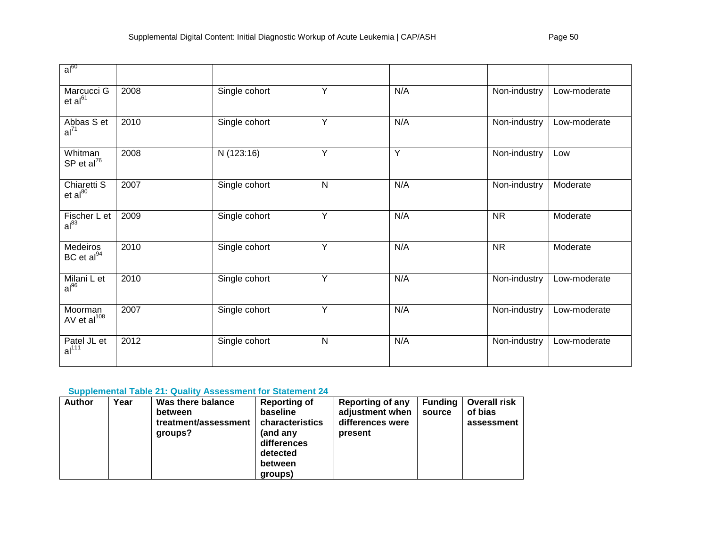| $al^{60}$                          |      |               |   |     |              |              |
|------------------------------------|------|---------------|---|-----|--------------|--------------|
| Marcucci G<br>et al <sup>61</sup>  | 2008 | Single cohort | Y | N/A | Non-industry | Low-moderate |
| Abbas S et<br>al <sup>71</sup>     | 2010 | Single cohort | Ý | N/A | Non-industry | Low-moderate |
| Whitman<br>SP et al <sup>76</sup>  | 2008 | N(123:16)     | Ÿ | Y   | Non-industry | Low          |
| Chiaretti S<br>$et al^{80}$        | 2007 | Single cohort | N | N/A | Non-industry | Moderate     |
| Fischer L et<br>$al^{83}$          | 2009 | Single cohort | Y | N/A | <b>NR</b>    | Moderate     |
| Medeiros<br>BC et al <sup>94</sup> | 2010 | Single cohort | Y | N/A | <b>NR</b>    | Moderate     |
| Milani L et<br>$al^{96}$           | 2010 | Single cohort | Y | N/A | Non-industry | Low-moderate |
| Moorman<br>AV et $al^{108}$        | 2007 | Single cohort | Y | N/A | Non-industry | Low-moderate |
| Patel JL et<br>al <sup>111</sup>   | 2012 | Single cohort | N | N/A | Non-industry | Low-moderate |

# **Supplemental Table 21: Quality Assessment for Statement 24**

| <b>Author</b> | Year | Was there balance<br>between<br>treatment/assessment<br>groups? | <b>Reporting of</b><br>baseline<br>characteristics<br>(and any<br>differences<br>detected<br>between<br>groups) | Reporting of any<br>adjustment when<br>differences were<br>present | <b>Funding</b><br>source | <b>Overall risk</b><br>of bias<br>assessment |
|---------------|------|-----------------------------------------------------------------|-----------------------------------------------------------------------------------------------------------------|--------------------------------------------------------------------|--------------------------|----------------------------------------------|
|---------------|------|-----------------------------------------------------------------|-----------------------------------------------------------------------------------------------------------------|--------------------------------------------------------------------|--------------------------|----------------------------------------------|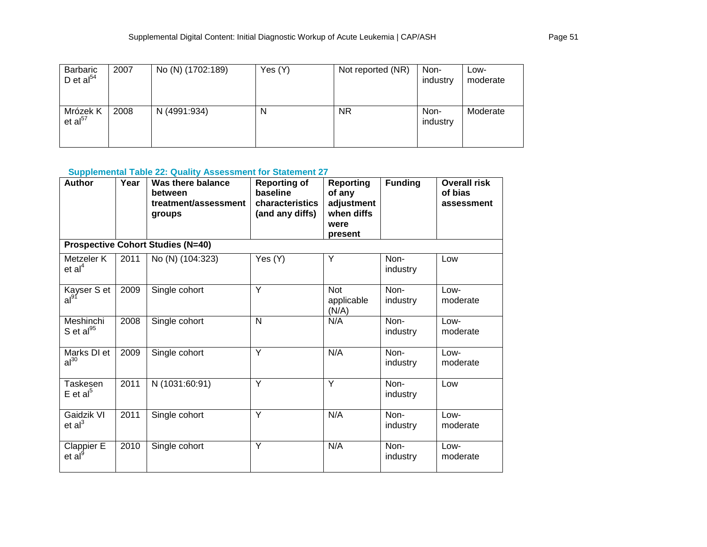| Barbaric<br>D et $al^{54}$      | 2007 | No (N) (1702:189) | Yes (Y) | Not reported (NR) | Non-<br>industry | Low-<br>moderate |
|---------------------------------|------|-------------------|---------|-------------------|------------------|------------------|
| Mrózek K<br>et al <sup>57</sup> | 2008 | N (4991:934)      | N       | <b>NR</b>         | Non-<br>industry | Moderate         |

**Supplemental Table 22: Quality Assessment for Statement 27**

| <b>Author</b>                      | Year | Was there balance<br>between<br>treatment/assessment<br>groups | <b>Reporting of</b><br>baseline<br>characteristics<br>(and any diffs) | <b>Reporting</b><br>of any<br>adjustment<br>when diffs<br>were<br>present | <b>Funding</b>   | <b>Overall risk</b><br>of bias<br>assessment |
|------------------------------------|------|----------------------------------------------------------------|-----------------------------------------------------------------------|---------------------------------------------------------------------------|------------------|----------------------------------------------|
|                                    |      | <b>Prospective Cohort Studies (N=40)</b>                       |                                                                       |                                                                           |                  |                                              |
| Metzeler K<br>et al <sup>4</sup>   | 2011 | No (N) (104:323)                                               | Yes (Y)                                                               | Y                                                                         | Non-<br>industry | Low                                          |
| Kayser S et<br>al <sup>91</sup>    | 2009 | Single cohort                                                  | Y                                                                     | <b>Not</b><br>applicable<br>(N/A)                                         | Non-<br>industry | Low-<br>moderate                             |
| Meshinchi<br>S et al $^{95}$       | 2008 | Single cohort                                                  | N                                                                     | N/A                                                                       | Non-<br>industry | $Low-$<br>moderate                           |
| Marks DI et<br>$al^{30}$           | 2009 | Single cohort                                                  | Y                                                                     | N/A                                                                       | Non-<br>industry | Low-<br>moderate                             |
| Taskesen<br>$E$ et al <sup>5</sup> | 2011 | N (1031:60:91)                                                 | Y                                                                     | Y                                                                         | Non-<br>industry | Low                                          |
| Gaidzik VI<br>et al <sup>3</sup>   | 2011 | Single cohort                                                  | Y                                                                     | N/A                                                                       | Non-<br>industry | Low-<br>moderate                             |
| Clappier E<br>et al <sup>9</sup>   | 2010 | Single cohort                                                  | Y                                                                     | N/A                                                                       | Non-<br>industry | Low-<br>moderate                             |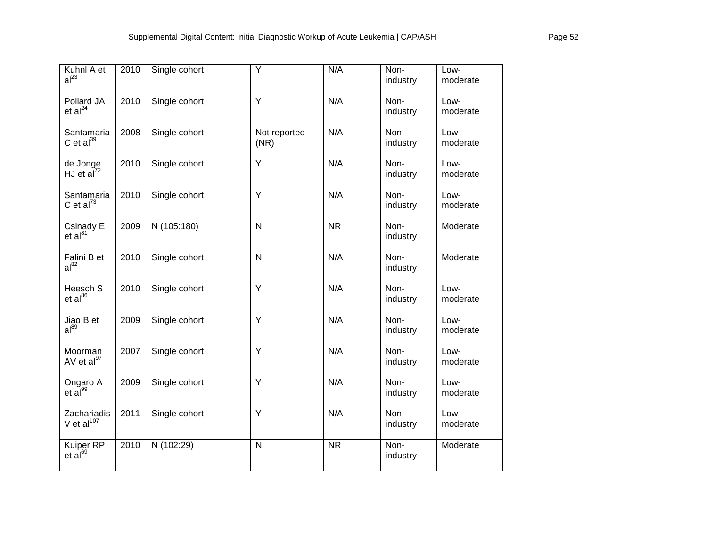| Kuhnl A et<br>al <sup>23</sup>            | 2010 | Single cohort | Υ                    | N/A                    | Non-<br>industry | Low-<br>moderate |
|-------------------------------------------|------|---------------|----------------------|------------------------|------------------|------------------|
| Pollard JA<br>et al <sup>24</sup>         | 2010 | Single cohort | Y                    | N/A                    | Non-<br>industry | Low-<br>moderate |
| Santamaria<br>C et $al^{39}$              | 2008 | Single cohort | Not reported<br>(NR) | N/A                    | Non-<br>industry | Low-<br>moderate |
| de Jonge<br>HJ et $a^{\overline{1}^{72}}$ | 2010 | Single cohort | Y                    | N/A                    | Non-<br>industry | Low-<br>moderate |
| Santamaria<br>C et $al^{73}$              | 2010 | Single cohort | $\overline{Y}$       | N/A                    | Non-<br>industry | Low-<br>moderate |
| Csinady E<br>et al <sup>81</sup>          | 2009 | N (105:180)   | N                    | $\overline{\text{NR}}$ | Non-<br>industry | Moderate         |
| Falini B et<br>$al^{82}$                  | 2010 | Single cohort | $\overline{N}$       | N/A                    | Non-<br>industry | Moderate         |
| Heesch S<br>$et al^{86}$                  | 2010 | Single cohort | Y                    | N/A                    | Non-<br>industry | Low-<br>moderate |
| Jiao B $et$<br>$al^{89}$                  | 2009 | Single cohort | $\overline{Y}$       | N/A                    | Non-<br>industry | Low-<br>moderate |
| Moorman<br>AV et al <sup>97</sup>         | 2007 | Single cohort | $\overline{Y}$       | N/A                    | Non-<br>industry | Low-<br>moderate |
| Ongaro A<br>et al <sup>99</sup>           | 2009 | Single cohort | $\overline{Y}$       | N/A                    | Non-<br>industry | Low-<br>moderate |
| Zachariadis<br>V et $al^{107}$            | 2011 | Single cohort | Ÿ                    | N/A                    | Non-<br>industry | Low-<br>moderate |
| Kuiper RP<br>et al <sup>69</sup>          | 2010 | N (102:29)    | $\mathsf{N}$         | <b>NR</b>              | Non-<br>industry | Moderate         |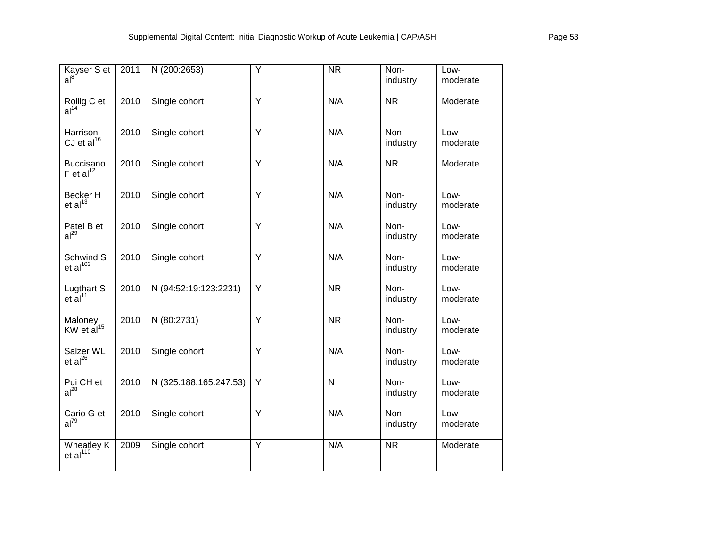| Kayser S et<br>al <sup>8</sup>       | 2011 | N (200:2653)           | Y              | <b>NR</b>               | Non-<br>industry       | Low-<br>moderate |
|--------------------------------------|------|------------------------|----------------|-------------------------|------------------------|------------------|
| Rollig C et<br>al <sup>14</sup>      | 2010 | Single cohort          | $\overline{Y}$ | N/A                     | $\overline{\text{NR}}$ | Moderate         |
| Harrison<br>CJ et $al^{16}$          | 2010 | Single cohort          | Y              | N/A                     | Non-<br>industry       | Low-<br>moderate |
| Buccisano<br>$F$ et al $^{12}$       | 2010 | Single cohort          | Y              | N/A                     | <b>NR</b>              | Moderate         |
| Becker H<br>et al <sup>13</sup>      | 2010 | Single cohort          | $\overline{Y}$ | N/A                     | Non-<br>industry       | Low-<br>moderate |
| Patel B et<br>al <sup>29</sup>       | 2010 | Single cohort          | $\overline{Y}$ | N/A                     | Non-<br>industry       | Low-<br>moderate |
| Schwind S<br>et al <sup>103</sup>    | 2010 | Single cohort          | Y              | N/A                     | Non-<br>industry       | Low-<br>moderate |
| Lugthart S<br>et al <sup>11</sup>    | 2010 | N (94:52:19:123:2231)  | Y              | $\overline{\text{NR}}$  | Non-<br>industry       | Low-<br>moderate |
| Maloney<br>KW et al <sup>15</sup>    | 2010 | N (80:2731)            | Y              | $\overline{\text{NR}}$  | Non-<br>industry       | Low-<br>moderate |
| Salzer WL<br>$et al^{26}$            | 2010 | Single cohort          | Y              | N/A                     | Non-<br>industry       | Low-<br>moderate |
| Pui CH et<br>al <sup>28</sup>        | 2010 | N (325:188:165:247:53) | Y              | $\overline{\mathsf{N}}$ | Non-<br>industry       | Low-<br>moderate |
| Cario G et<br>$al^{79}$              | 2010 | Single cohort          | $\overline{Y}$ | N/A                     | Non-<br>industry       | Low-<br>moderate |
| Wheatley $K$<br>et al <sup>110</sup> | 2009 | Single cohort          | $\overline{Y}$ | N/A                     | $\overline{\text{NR}}$ | Moderate         |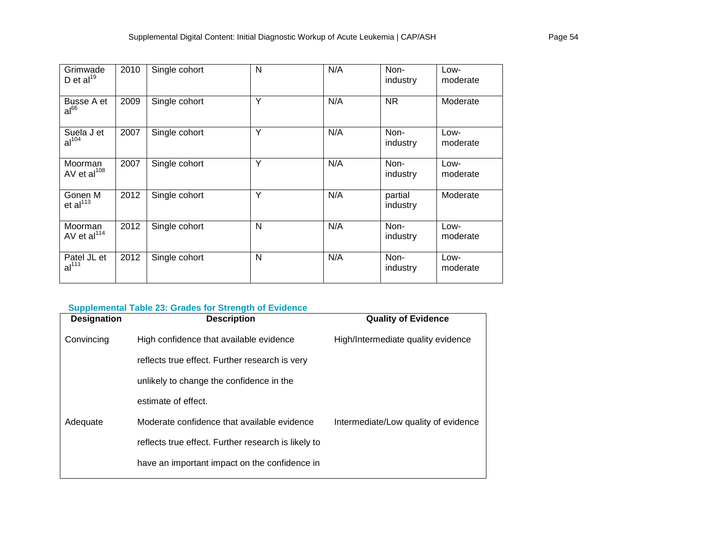| Grimwade<br>D et $al^{19}$       | 2010 | Single cohort | N | N/A | Non-<br>industry    | Low-<br>moderate |
|----------------------------------|------|---------------|---|-----|---------------------|------------------|
| Busse A et<br>$al^{66}$          | 2009 | Single cohort | Y | N/A | <b>NR</b>           | Moderate         |
| Suela J et<br>al <sup>104</sup>  | 2007 | Single cohort | Υ | N/A | Non-<br>industry    | Low-<br>moderate |
| Moorman<br>AV et $al^{108}$      | 2007 | Single cohort | Y | N/A | Non-<br>industry    | Low-<br>moderate |
| Gonen M<br>et al <sup>113</sup>  | 2012 | Single cohort | Y | N/A | partial<br>industry | Moderate         |
| Moorman<br>AV et $al114$         | 2012 | Single cohort | N | N/A | Non-<br>industry    | Low-<br>moderate |
| Patel JL et<br>al <sup>111</sup> | 2012 | Single cohort | N | N/A | Non-<br>industry    | Low-<br>moderate |

# **Supplemental Table 23: Grades for Strength of Evidence**

| <b>Designation</b> | <b>Description</b>                                  | <b>Quality of Evidence</b>           |
|--------------------|-----------------------------------------------------|--------------------------------------|
| Convincing         | High confidence that available evidence             | High/Intermediate quality evidence   |
|                    | reflects true effect. Further research is very      |                                      |
|                    | unlikely to change the confidence in the            |                                      |
|                    | estimate of effect.                                 |                                      |
| Adequate           | Moderate confidence that available evidence         | Intermediate/Low quality of evidence |
|                    | reflects true effect. Further research is likely to |                                      |
|                    | have an important impact on the confidence in       |                                      |
|                    |                                                     |                                      |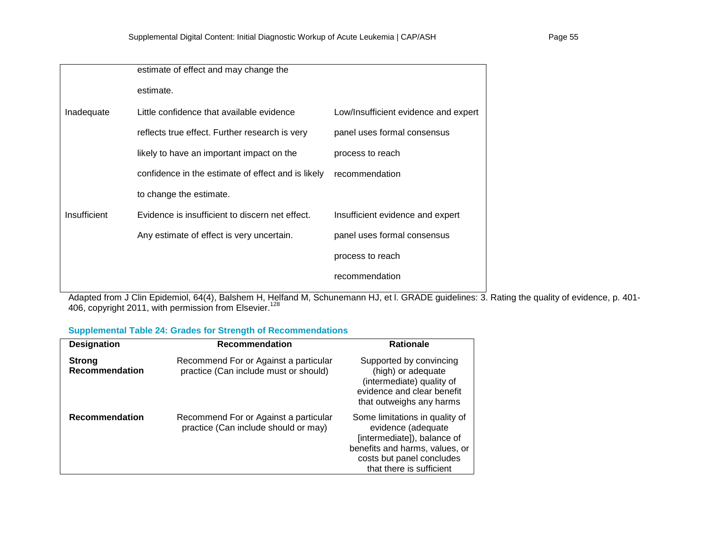|              | estimate of effect and may change the              |                                      |
|--------------|----------------------------------------------------|--------------------------------------|
|              | estimate.                                          |                                      |
| Inadequate   | Little confidence that available evidence          | Low/Insufficient evidence and expert |
|              | reflects true effect. Further research is very     | panel uses formal consensus          |
|              | likely to have an important impact on the          | process to reach                     |
|              | confidence in the estimate of effect and is likely | recommendation                       |
|              | to change the estimate.                            |                                      |
| Insufficient | Evidence is insufficient to discern net effect.    | Insufficient evidence and expert     |
|              | Any estimate of effect is very uncertain.          | panel uses formal consensus          |
|              |                                                    | process to reach                     |
|              |                                                    | recommendation                       |
|              |                                                    |                                      |

Adapted from J Clin Epidemiol, 64(4), Balshem H, Helfand M, Schunemann HJ, et l. GRADE guidelines: 3. Rating the quality of evidence, p. 401- 406, copyright 2011, with permission from Elsevier. $^{128}$ 

## **Supplemental Table 24: Grades for Strength of Recommendations**

| <b>Designation</b>                     | <b>Recommendation</b>                                                          | <b>Rationale</b>                                                                                                                                                               |
|----------------------------------------|--------------------------------------------------------------------------------|--------------------------------------------------------------------------------------------------------------------------------------------------------------------------------|
| <b>Strong</b><br><b>Recommendation</b> | Recommend For or Against a particular<br>practice (Can include must or should) | Supported by convincing<br>(high) or adequate<br>(intermediate) quality of<br>evidence and clear benefit<br>that outweighs any harms                                           |
| <b>Recommendation</b>                  | Recommend For or Against a particular<br>practice (Can include should or may)  | Some limitations in quality of<br>evidence (adequate<br>[intermediate]), balance of<br>benefits and harms, values, or<br>costs but panel concludes<br>that there is sufficient |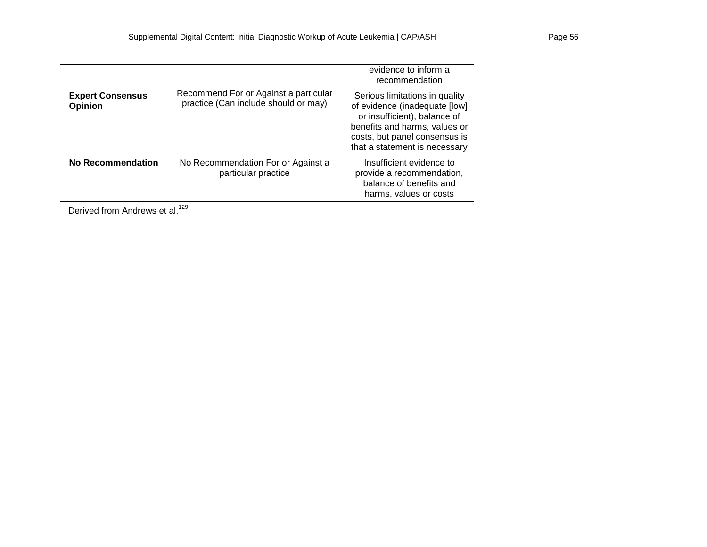|                                           |                                                                               | evidence to inform a<br>recommendation                                                                                                                                                             |
|-------------------------------------------|-------------------------------------------------------------------------------|----------------------------------------------------------------------------------------------------------------------------------------------------------------------------------------------------|
| <b>Expert Consensus</b><br><b>Opinion</b> | Recommend For or Against a particular<br>practice (Can include should or may) | Serious limitations in quality<br>of evidence (inadequate [low]<br>or insufficient), balance of<br>benefits and harms, values or<br>costs, but panel consensus is<br>that a statement is necessary |
| No Recommendation                         | No Recommendation For or Against a<br>particular practice                     | Insufficient evidence to<br>provide a recommendation,<br>balance of benefits and<br>harms, values or costs                                                                                         |

Derived from Andrews et al.<sup>129</sup>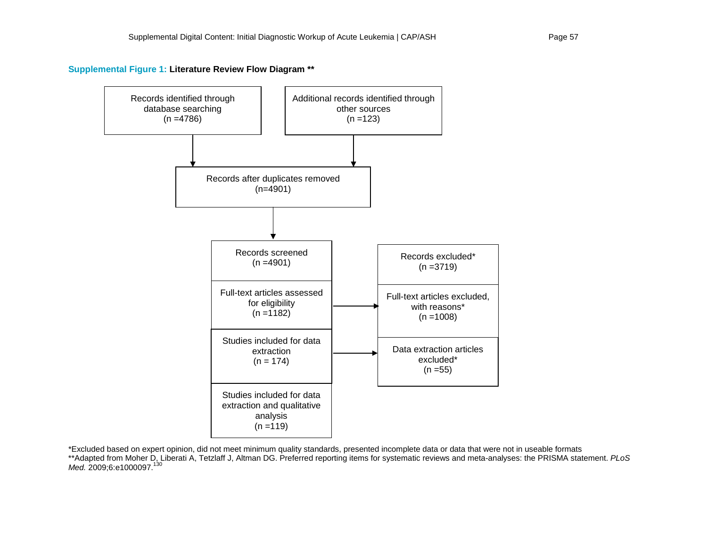**Supplemental Figure 1: Literature Review Flow Diagram \*\***



\*Excluded based on expert opinion, did not meet minimum quality standards, presented incomplete data or data that were not in useable formats \*\*Adapted from Moher D, Liberati A, Tetzlaff J, Altman DG. Preferred reporting items for systematic reviews and meta-analyses: the PRISMA statement. *PLoS Med.* 2009;6:e1000097.<sup>130</sup>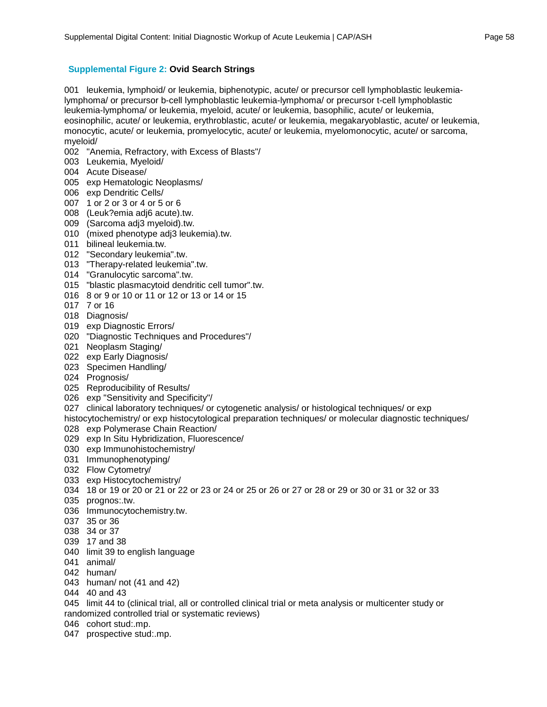## **Supplemental Figure 2: Ovid Search Strings**

001 leukemia, lymphoid/ or leukemia, biphenotypic, acute/ or precursor cell lymphoblastic leukemialymphoma/ or precursor b-cell lymphoblastic leukemia-lymphoma/ or precursor t-cell lymphoblastic leukemia-lymphoma/ or leukemia, myeloid, acute/ or leukemia, basophilic, acute/ or leukemia, eosinophilic, acute/ or leukemia, erythroblastic, acute/ or leukemia, megakaryoblastic, acute/ or leukemia, monocytic, acute/ or leukemia, promyelocytic, acute/ or leukemia, myelomonocytic, acute/ or sarcoma, myeloid/

- 002 "Anemia, Refractory, with Excess of Blasts"/
- 003 Leukemia, Myeloid/
- 004 Acute Disease/
- 005 exp Hematologic Neoplasms/
- 006 exp Dendritic Cells/
- 007 1 or 2 or 3 or 4 or 5 or 6
- 008 (Leuk?emia adj6 acute).tw.
- 009 (Sarcoma adj3 myeloid).tw.
- 010 (mixed phenotype adj3 leukemia).tw.
- 011 bilineal leukemia.tw.
- 012 "Secondary leukemia".tw.
- 013 "Therapy-related leukemia".tw.
- 014 "Granulocytic sarcoma".tw.
- 015 "blastic plasmacytoid dendritic cell tumor".tw.
- 016 8 or 9 or 10 or 11 or 12 or 13 or 14 or 15
- 017 7 or 16
- 018 Diagnosis/
- 019 exp Diagnostic Errors/
- 020 "Diagnostic Techniques and Procedures"/
- 021 Neoplasm Staging/
- 022 exp Early Diagnosis/
- 023 Specimen Handling/
- 024 Prognosis/
- 025 Reproducibility of Results/
- 026 exp "Sensitivity and Specificity"/
- 027 clinical laboratory techniques/ or cytogenetic analysis/ or histological techniques/ or exp
- histocytochemistry/ or exp histocytological preparation techniques/ or molecular diagnostic techniques/ 028 exp Polymerase Chain Reaction/
- 029 exp In Situ Hybridization, Fluorescence/
- 030 exp Immunohistochemistry/
- 031 Immunophenotyping/
- 032 Flow Cytometry/
- 033 exp Histocytochemistry/
- 034 18 or 19 or 20 or 21 or 22 or 23 or 24 or 25 or 26 or 27 or 28 or 29 or 30 or 31 or 32 or 33
- 035 prognos:.tw.
- 036 Immunocytochemistry.tw.
- 037 35 or 36
- 038 34 or 37
- 039 17 and 38
- 040 limit 39 to english language
- 041 animal/
- 042 human/
- 043 human/ not (41 and 42)
- 044 40 and 43
- 045 limit 44 to (clinical trial, all or controlled clinical trial or meta analysis or multicenter study or randomized controlled trial or systematic reviews)
- 046 cohort stud:.mp.
- 047 prospective stud:.mp.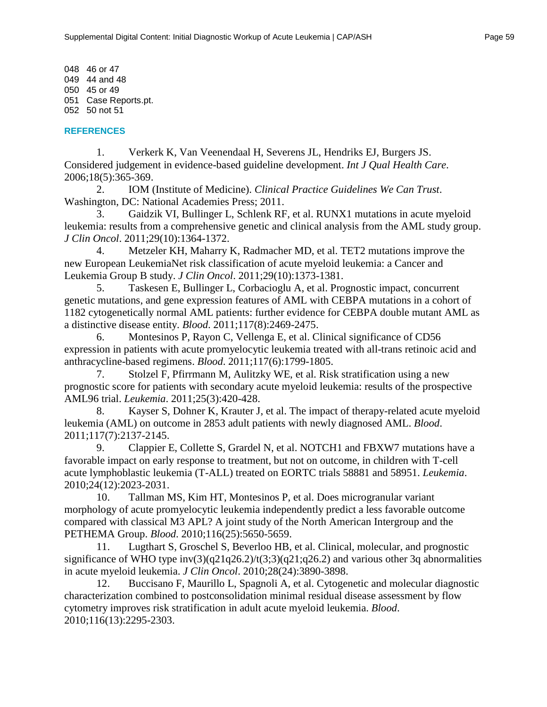048 46 or 47 049 44 and 48 050 45 or 49 051 Case Reports.pt. 052 50 not 51

#### **REFERENCES**

1. Verkerk K, Van Veenendaal H, Severens JL, Hendriks EJ, Burgers JS. Considered judgement in evidence-based guideline development. *Int J Qual Health Care*. 2006;18(5):365-369.

2. IOM (Institute of Medicine). *Clinical Practice Guidelines We Can Trust*. Washington, DC: National Academies Press; 2011.

3. Gaidzik VI, Bullinger L, Schlenk RF, et al. RUNX1 mutations in acute myeloid leukemia: results from a comprehensive genetic and clinical analysis from the AML study group. *J Clin Oncol*. 2011;29(10):1364-1372.

4. Metzeler KH, Maharry K, Radmacher MD, et al. TET2 mutations improve the new European LeukemiaNet risk classification of acute myeloid leukemia: a Cancer and Leukemia Group B study. *J Clin Oncol*. 2011;29(10):1373-1381.

5. Taskesen E, Bullinger L, Corbacioglu A, et al. Prognostic impact, concurrent genetic mutations, and gene expression features of AML with CEBPA mutations in a cohort of 1182 cytogenetically normal AML patients: further evidence for CEBPA double mutant AML as a distinctive disease entity. *Blood*. 2011;117(8):2469-2475.

6. Montesinos P, Rayon C, Vellenga E, et al. Clinical significance of CD56 expression in patients with acute promyelocytic leukemia treated with all-trans retinoic acid and anthracycline-based regimens. *Blood*. 2011;117(6):1799-1805.

7. Stolzel F, Pfirrmann M, Aulitzky WE, et al. Risk stratification using a new prognostic score for patients with secondary acute myeloid leukemia: results of the prospective AML96 trial. *Leukemia*. 2011;25(3):420-428.

8. Kayser S, Dohner K, Krauter J, et al. The impact of therapy-related acute myeloid leukemia (AML) on outcome in 2853 adult patients with newly diagnosed AML. *Blood*. 2011;117(7):2137-2145.

9. Clappier E, Collette S, Grardel N, et al. NOTCH1 and FBXW7 mutations have a favorable impact on early response to treatment, but not on outcome, in children with T-cell acute lymphoblastic leukemia (T-ALL) treated on EORTC trials 58881 and 58951. *Leukemia*. 2010;24(12):2023-2031.

10. Tallman MS, Kim HT, Montesinos P, et al. Does microgranular variant morphology of acute promyelocytic leukemia independently predict a less favorable outcome compared with classical M3 APL? A joint study of the North American Intergroup and the PETHEMA Group. *Blood*. 2010;116(25):5650-5659.

11. Lugthart S, Groschel S, Beverloo HB, et al. Clinical, molecular, and prognostic significance of WHO type inv(3)(q21q26.2)/t(3;3)(q21;q26.2) and various other 3q abnormalities in acute myeloid leukemia. *J Clin Oncol*. 2010;28(24):3890-3898.

12. Buccisano F, Maurillo L, Spagnoli A, et al. Cytogenetic and molecular diagnostic characterization combined to postconsolidation minimal residual disease assessment by flow cytometry improves risk stratification in adult acute myeloid leukemia. *Blood*. 2010;116(13):2295-2303.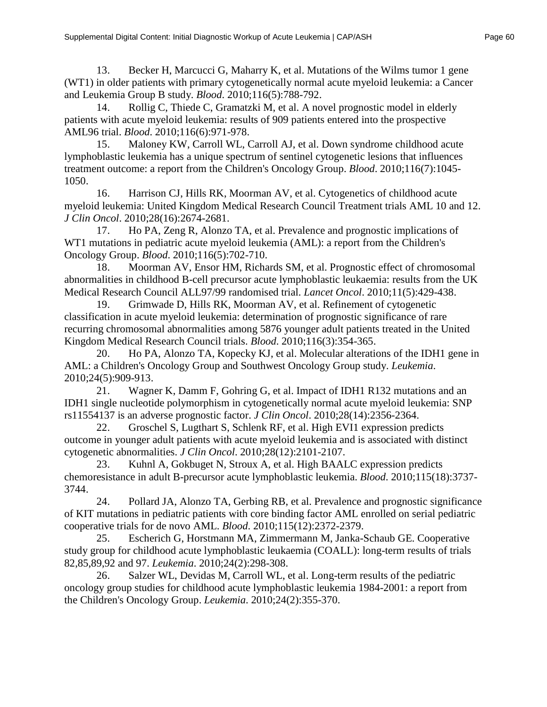13. Becker H, Marcucci G, Maharry K, et al. Mutations of the Wilms tumor 1 gene (WT1) in older patients with primary cytogenetically normal acute myeloid leukemia: a Cancer and Leukemia Group B study. *Blood*. 2010;116(5):788-792.

14. Rollig C, Thiede C, Gramatzki M, et al. A novel prognostic model in elderly patients with acute myeloid leukemia: results of 909 patients entered into the prospective AML96 trial. *Blood*. 2010;116(6):971-978.

15. Maloney KW, Carroll WL, Carroll AJ, et al. Down syndrome childhood acute lymphoblastic leukemia has a unique spectrum of sentinel cytogenetic lesions that influences treatment outcome: a report from the Children's Oncology Group. *Blood*. 2010;116(7):1045- 1050.

16. Harrison CJ, Hills RK, Moorman AV, et al. Cytogenetics of childhood acute myeloid leukemia: United Kingdom Medical Research Council Treatment trials AML 10 and 12. *J Clin Oncol*. 2010;28(16):2674-2681.

17. Ho PA, Zeng R, Alonzo TA, et al. Prevalence and prognostic implications of WT1 mutations in pediatric acute myeloid leukemia (AML): a report from the Children's Oncology Group. *Blood*. 2010;116(5):702-710.

18. Moorman AV, Ensor HM, Richards SM, et al. Prognostic effect of chromosomal abnormalities in childhood B-cell precursor acute lymphoblastic leukaemia: results from the UK Medical Research Council ALL97/99 randomised trial. *Lancet Oncol*. 2010;11(5):429-438.

19. Grimwade D, Hills RK, Moorman AV, et al. Refinement of cytogenetic classification in acute myeloid leukemia: determination of prognostic significance of rare recurring chromosomal abnormalities among 5876 younger adult patients treated in the United Kingdom Medical Research Council trials. *Blood*. 2010;116(3):354-365.

20. Ho PA, Alonzo TA, Kopecky KJ, et al. Molecular alterations of the IDH1 gene in AML: a Children's Oncology Group and Southwest Oncology Group study. *Leukemia*. 2010;24(5):909-913.

21. Wagner K, Damm F, Gohring G, et al. Impact of IDH1 R132 mutations and an IDH1 single nucleotide polymorphism in cytogenetically normal acute myeloid leukemia: SNP rs11554137 is an adverse prognostic factor. *J Clin Oncol*. 2010;28(14):2356-2364.

22. Groschel S, Lugthart S, Schlenk RF, et al. High EVI1 expression predicts outcome in younger adult patients with acute myeloid leukemia and is associated with distinct cytogenetic abnormalities. *J Clin Oncol*. 2010;28(12):2101-2107.

23. Kuhnl A, Gokbuget N, Stroux A, et al. High BAALC expression predicts chemoresistance in adult B-precursor acute lymphoblastic leukemia. *Blood*. 2010;115(18):3737- 3744.

24. Pollard JA, Alonzo TA, Gerbing RB, et al. Prevalence and prognostic significance of KIT mutations in pediatric patients with core binding factor AML enrolled on serial pediatric cooperative trials for de novo AML. *Blood*. 2010;115(12):2372-2379.

25. Escherich G, Horstmann MA, Zimmermann M, Janka-Schaub GE. Cooperative study group for childhood acute lymphoblastic leukaemia (COALL): long-term results of trials 82,85,89,92 and 97. *Leukemia*. 2010;24(2):298-308.

26. Salzer WL, Devidas M, Carroll WL, et al. Long-term results of the pediatric oncology group studies for childhood acute lymphoblastic leukemia 1984-2001: a report from the Children's Oncology Group. *Leukemia*. 2010;24(2):355-370.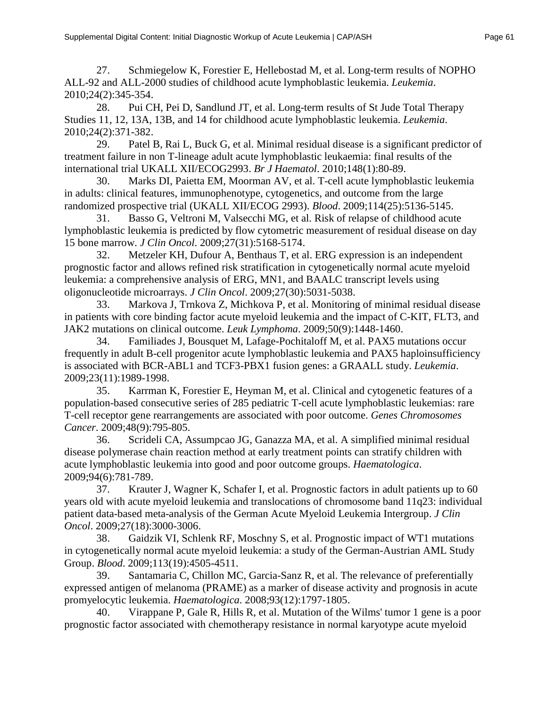27. Schmiegelow K, Forestier E, Hellebostad M, et al. Long-term results of NOPHO ALL-92 and ALL-2000 studies of childhood acute lymphoblastic leukemia. *Leukemia*. 2010;24(2):345-354.

28. Pui CH, Pei D, Sandlund JT, et al. Long-term results of St Jude Total Therapy Studies 11, 12, 13A, 13B, and 14 for childhood acute lymphoblastic leukemia. *Leukemia*. 2010;24(2):371-382.

29. Patel B, Rai L, Buck G, et al. Minimal residual disease is a significant predictor of treatment failure in non T-lineage adult acute lymphoblastic leukaemia: final results of the international trial UKALL XII/ECOG2993. *Br J Haematol*. 2010;148(1):80-89.

30. Marks DI, Paietta EM, Moorman AV, et al. T-cell acute lymphoblastic leukemia in adults: clinical features, immunophenotype, cytogenetics, and outcome from the large randomized prospective trial (UKALL XII/ECOG 2993). *Blood*. 2009;114(25):5136-5145.

31. Basso G, Veltroni M, Valsecchi MG, et al. Risk of relapse of childhood acute lymphoblastic leukemia is predicted by flow cytometric measurement of residual disease on day 15 bone marrow. *J Clin Oncol*. 2009;27(31):5168-5174.

32. Metzeler KH, Dufour A, Benthaus T, et al. ERG expression is an independent prognostic factor and allows refined risk stratification in cytogenetically normal acute myeloid leukemia: a comprehensive analysis of ERG, MN1, and BAALC transcript levels using oligonucleotide microarrays. *J Clin Oncol*. 2009;27(30):5031-5038.

33. Markova J, Trnkova Z, Michkova P, et al. Monitoring of minimal residual disease in patients with core binding factor acute myeloid leukemia and the impact of C-KIT, FLT3, and JAK2 mutations on clinical outcome. *Leuk Lymphoma*. 2009;50(9):1448-1460.

34. Familiades J, Bousquet M, Lafage-Pochitaloff M, et al. PAX5 mutations occur frequently in adult B-cell progenitor acute lymphoblastic leukemia and PAX5 haploinsufficiency is associated with BCR-ABL1 and TCF3-PBX1 fusion genes: a GRAALL study. *Leukemia*. 2009;23(11):1989-1998.

35. Karrman K, Forestier E, Heyman M, et al. Clinical and cytogenetic features of a population-based consecutive series of 285 pediatric T-cell acute lymphoblastic leukemias: rare T-cell receptor gene rearrangements are associated with poor outcome. *Genes Chromosomes Cancer*. 2009;48(9):795-805.

36. Scrideli CA, Assumpcao JG, Ganazza MA, et al. A simplified minimal residual disease polymerase chain reaction method at early treatment points can stratify children with acute lymphoblastic leukemia into good and poor outcome groups. *Haematologica*. 2009;94(6):781-789.

37. Krauter J, Wagner K, Schafer I, et al. Prognostic factors in adult patients up to 60 years old with acute myeloid leukemia and translocations of chromosome band 11q23: individual patient data-based meta-analysis of the German Acute Myeloid Leukemia Intergroup. *J Clin Oncol*. 2009;27(18):3000-3006.

38. Gaidzik VI, Schlenk RF, Moschny S, et al. Prognostic impact of WT1 mutations in cytogenetically normal acute myeloid leukemia: a study of the German-Austrian AML Study Group. *Blood*. 2009;113(19):4505-4511.

39. Santamaria C, Chillon MC, Garcia-Sanz R, et al. The relevance of preferentially expressed antigen of melanoma (PRAME) as a marker of disease activity and prognosis in acute promyelocytic leukemia. *Haematologica*. 2008;93(12):1797-1805.

40. Virappane P, Gale R, Hills R, et al. Mutation of the Wilms' tumor 1 gene is a poor prognostic factor associated with chemotherapy resistance in normal karyotype acute myeloid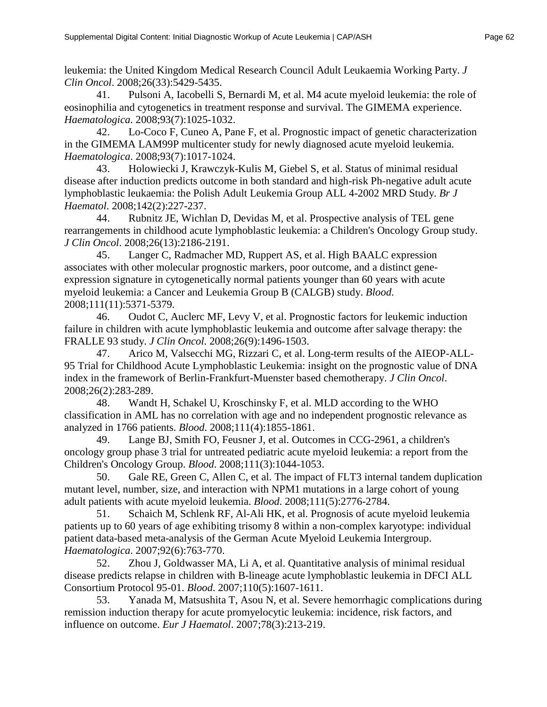leukemia: the United Kingdom Medical Research Council Adult Leukaemia Working Party. *J Clin Oncol*. 2008;26(33):5429-5435.

41. Pulsoni A, Iacobelli S, Bernardi M, et al. M4 acute myeloid leukemia: the role of eosinophilia and cytogenetics in treatment response and survival. The GIMEMA experience. *Haematologica*. 2008;93(7):1025-1032.

42. Lo-Coco F, Cuneo A, Pane F, et al. Prognostic impact of genetic characterization in the GIMEMA LAM99P multicenter study for newly diagnosed acute myeloid leukemia. *Haematologica*. 2008;93(7):1017-1024.

43. Holowiecki J, Krawczyk-Kulis M, Giebel S, et al. Status of minimal residual disease after induction predicts outcome in both standard and high-risk Ph-negative adult acute lymphoblastic leukaemia: the Polish Adult Leukemia Group ALL 4-2002 MRD Study. *Br J Haematol*. 2008;142(2):227-237.

44. Rubnitz JE, Wichlan D, Devidas M, et al. Prospective analysis of TEL gene rearrangements in childhood acute lymphoblastic leukemia: a Children's Oncology Group study. *J Clin Oncol*. 2008;26(13):2186-2191.

45. Langer C, Radmacher MD, Ruppert AS, et al. High BAALC expression associates with other molecular prognostic markers, poor outcome, and a distinct geneexpression signature in cytogenetically normal patients younger than 60 years with acute myeloid leukemia: a Cancer and Leukemia Group B (CALGB) study. *Blood*. 2008;111(11):5371-5379.

46. Oudot C, Auclerc MF, Levy V, et al. Prognostic factors for leukemic induction failure in children with acute lymphoblastic leukemia and outcome after salvage therapy: the FRALLE 93 study. *J Clin Oncol*. 2008;26(9):1496-1503.

47. Arico M, Valsecchi MG, Rizzari C, et al. Long-term results of the AIEOP-ALL-95 Trial for Childhood Acute Lymphoblastic Leukemia: insight on the prognostic value of DNA index in the framework of Berlin-Frankfurt-Muenster based chemotherapy. *J Clin Oncol*. 2008;26(2):283-289.

48. Wandt H, Schakel U, Kroschinsky F, et al. MLD according to the WHO classification in AML has no correlation with age and no independent prognostic relevance as analyzed in 1766 patients. *Blood*. 2008;111(4):1855-1861.

49. Lange BJ, Smith FO, Feusner J, et al. Outcomes in CCG-2961, a children's oncology group phase 3 trial for untreated pediatric acute myeloid leukemia: a report from the Children's Oncology Group. *Blood*. 2008;111(3):1044-1053.

50. Gale RE, Green C, Allen C, et al. The impact of FLT3 internal tandem duplication mutant level, number, size, and interaction with NPM1 mutations in a large cohort of young adult patients with acute myeloid leukemia. *Blood*. 2008;111(5):2776-2784.

51. Schaich M, Schlenk RF, Al-Ali HK, et al. Prognosis of acute myeloid leukemia patients up to 60 years of age exhibiting trisomy 8 within a non-complex karyotype: individual patient data-based meta-analysis of the German Acute Myeloid Leukemia Intergroup. *Haematologica*. 2007;92(6):763-770.

52. Zhou J, Goldwasser MA, Li A, et al. Quantitative analysis of minimal residual disease predicts relapse in children with B-lineage acute lymphoblastic leukemia in DFCI ALL Consortium Protocol 95-01. *Blood*. 2007;110(5):1607-1611.

53. Yanada M, Matsushita T, Asou N, et al. Severe hemorrhagic complications during remission induction therapy for acute promyelocytic leukemia: incidence, risk factors, and influence on outcome. *Eur J Haematol*. 2007;78(3):213-219.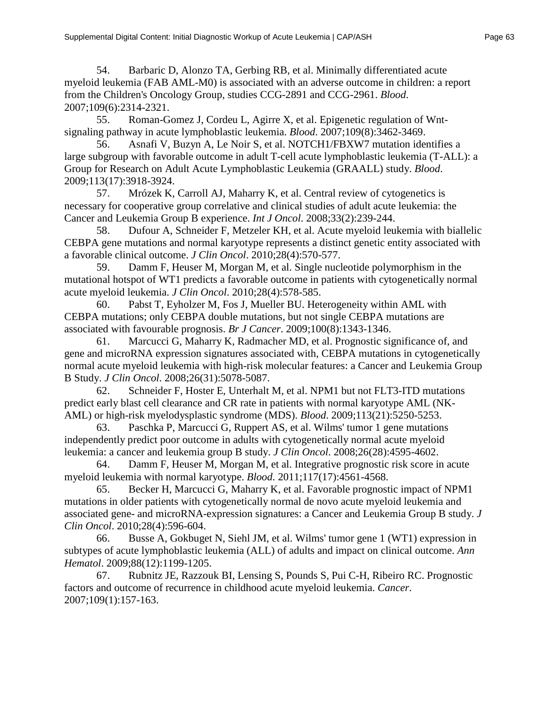54. Barbaric D, Alonzo TA, Gerbing RB, et al. Minimally differentiated acute myeloid leukemia (FAB AML-M0) is associated with an adverse outcome in children: a report from the Children's Oncology Group, studies CCG-2891 and CCG-2961. *Blood*. 2007;109(6):2314-2321.

55. Roman-Gomez J, Cordeu L, Agirre X, et al. Epigenetic regulation of Wntsignaling pathway in acute lymphoblastic leukemia. *Blood*. 2007;109(8):3462-3469.

56. Asnafi V, Buzyn A, Le Noir S, et al. NOTCH1/FBXW7 mutation identifies a large subgroup with favorable outcome in adult T-cell acute lymphoblastic leukemia (T-ALL): a Group for Research on Adult Acute Lymphoblastic Leukemia (GRAALL) study. *Blood*. 2009;113(17):3918-3924.

57. Mrózek K, Carroll AJ, Maharry K, et al. Central review of cytogenetics is necessary for cooperative group correlative and clinical studies of adult acute leukemia: the Cancer and Leukemia Group B experience. *Int J Oncol*. 2008;33(2):239-244.

58. Dufour A, Schneider F, Metzeler KH, et al. Acute myeloid leukemia with biallelic CEBPA gene mutations and normal karyotype represents a distinct genetic entity associated with a favorable clinical outcome. *J Clin Oncol*. 2010;28(4):570-577.

59. Damm F, Heuser M, Morgan M, et al. Single nucleotide polymorphism in the mutational hotspot of WT1 predicts a favorable outcome in patients with cytogenetically normal acute myeloid leukemia. *J Clin Oncol*. 2010;28(4):578-585.

60. Pabst T, Eyholzer M, Fos J, Mueller BU. Heterogeneity within AML with CEBPA mutations; only CEBPA double mutations, but not single CEBPA mutations are associated with favourable prognosis. *Br J Cancer*. 2009;100(8):1343-1346.

61. Marcucci G, Maharry K, Radmacher MD, et al. Prognostic significance of, and gene and microRNA expression signatures associated with, CEBPA mutations in cytogenetically normal acute myeloid leukemia with high-risk molecular features: a Cancer and Leukemia Group B Study. *J Clin Oncol*. 2008;26(31):5078-5087.

62. Schneider F, Hoster E, Unterhalt M, et al. NPM1 but not FLT3-ITD mutations predict early blast cell clearance and CR rate in patients with normal karyotype AML (NK-AML) or high-risk myelodysplastic syndrome (MDS). *Blood*. 2009;113(21):5250-5253.

63. Paschka P, Marcucci G, Ruppert AS, et al. Wilms' tumor 1 gene mutations independently predict poor outcome in adults with cytogenetically normal acute myeloid leukemia: a cancer and leukemia group B study. *J Clin Oncol*. 2008;26(28):4595-4602.

64. Damm F, Heuser M, Morgan M, et al. Integrative prognostic risk score in acute myeloid leukemia with normal karyotype. *Blood*. 2011;117(17):4561-4568.

65. Becker H, Marcucci G, Maharry K, et al. Favorable prognostic impact of NPM1 mutations in older patients with cytogenetically normal de novo acute myeloid leukemia and associated gene- and microRNA-expression signatures: a Cancer and Leukemia Group B study. *J Clin Oncol*. 2010;28(4):596-604.

66. Busse A, Gokbuget N, Siehl JM, et al. Wilms' tumor gene 1 (WT1) expression in subtypes of acute lymphoblastic leukemia (ALL) of adults and impact on clinical outcome. *Ann Hematol*. 2009;88(12):1199-1205.

67. Rubnitz JE, Razzouk BI, Lensing S, Pounds S, Pui C-H, Ribeiro RC. Prognostic factors and outcome of recurrence in childhood acute myeloid leukemia. *Cancer*. 2007;109(1):157-163.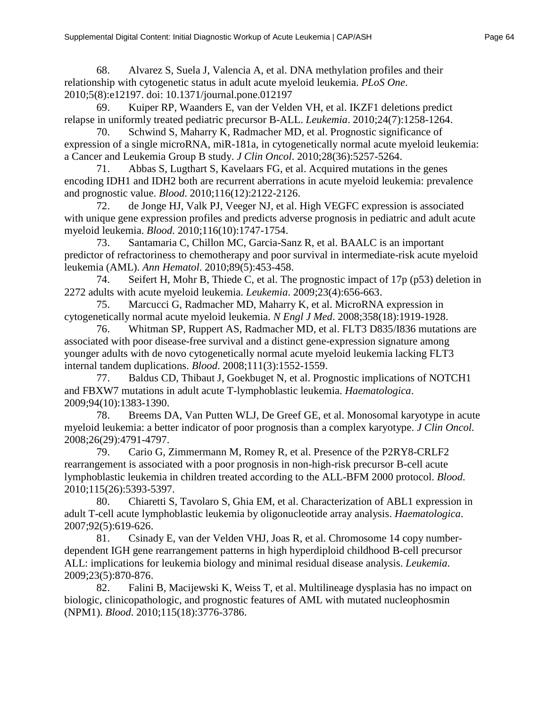68. Alvarez S, Suela J, Valencia A, et al. DNA methylation profiles and their relationship with cytogenetic status in adult acute myeloid leukemia. *PLoS One*. 2010;5(8):e12197. doi: 10.1371/journal.pone.012197

69. Kuiper RP, Waanders E, van der Velden VH, et al. IKZF1 deletions predict relapse in uniformly treated pediatric precursor B-ALL. *Leukemia*. 2010;24(7):1258-1264.

70. Schwind S, Maharry K, Radmacher MD, et al. Prognostic significance of expression of a single microRNA, miR-181a, in cytogenetically normal acute myeloid leukemia: a Cancer and Leukemia Group B study. *J Clin Oncol*. 2010;28(36):5257-5264.

71. Abbas S, Lugthart S, Kavelaars FG, et al. Acquired mutations in the genes encoding IDH1 and IDH2 both are recurrent aberrations in acute myeloid leukemia: prevalence and prognostic value. *Blood*. 2010;116(12):2122-2126.

72. de Jonge HJ, Valk PJ, Veeger NJ, et al. High VEGFC expression is associated with unique gene expression profiles and predicts adverse prognosis in pediatric and adult acute myeloid leukemia. *Blood*. 2010;116(10):1747-1754.

73. Santamaria C, Chillon MC, Garcia-Sanz R, et al. BAALC is an important predictor of refractoriness to chemotherapy and poor survival in intermediate-risk acute myeloid leukemia (AML). *Ann Hematol*. 2010;89(5):453-458.

74. Seifert H, Mohr B, Thiede C, et al. The prognostic impact of 17p (p53) deletion in 2272 adults with acute myeloid leukemia. *Leukemia*. 2009;23(4):656-663.

75. Marcucci G, Radmacher MD, Maharry K, et al. MicroRNA expression in cytogenetically normal acute myeloid leukemia. *N Engl J Med*. 2008;358(18):1919-1928.

76. Whitman SP, Ruppert AS, Radmacher MD, et al. FLT3 D835/I836 mutations are associated with poor disease-free survival and a distinct gene-expression signature among younger adults with de novo cytogenetically normal acute myeloid leukemia lacking FLT3 internal tandem duplications. *Blood*. 2008;111(3):1552-1559.

77. Baldus CD, Thibaut J, Goekbuget N, et al. Prognostic implications of NOTCH1 and FBXW7 mutations in adult acute T-lymphoblastic leukemia. *Haematologica*. 2009;94(10):1383-1390.

78. Breems DA, Van Putten WLJ, De Greef GE, et al. Monosomal karyotype in acute myeloid leukemia: a better indicator of poor prognosis than a complex karyotype. *J Clin Oncol*. 2008;26(29):4791-4797.

79. Cario G, Zimmermann M, Romey R, et al. Presence of the P2RY8-CRLF2 rearrangement is associated with a poor prognosis in non-high-risk precursor B-cell acute lymphoblastic leukemia in children treated according to the ALL-BFM 2000 protocol. *Blood*. 2010;115(26):5393-5397.

80. Chiaretti S, Tavolaro S, Ghia EM, et al. Characterization of ABL1 expression in adult T-cell acute lymphoblastic leukemia by oligonucleotide array analysis. *Haematologica*. 2007;92(5):619-626.

81. Csinady E, van der Velden VHJ, Joas R, et al. Chromosome 14 copy numberdependent IGH gene rearrangement patterns in high hyperdiploid childhood B-cell precursor ALL: implications for leukemia biology and minimal residual disease analysis. *Leukemia*. 2009;23(5):870-876.

82. Falini B, Macijewski K, Weiss T, et al. Multilineage dysplasia has no impact on biologic, clinicopathologic, and prognostic features of AML with mutated nucleophosmin (NPM1). *Blood*. 2010;115(18):3776-3786.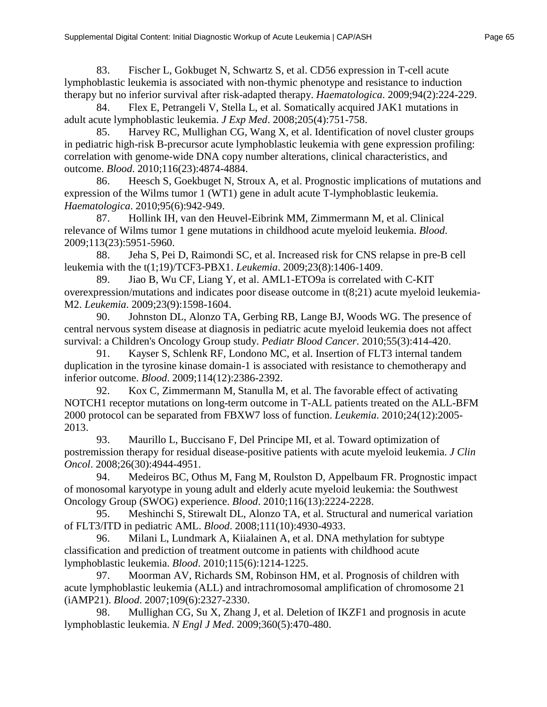83. Fischer L, Gokbuget N, Schwartz S, et al. CD56 expression in T-cell acute lymphoblastic leukemia is associated with non-thymic phenotype and resistance to induction therapy but no inferior survival after risk-adapted therapy. *Haematologica*. 2009;94(2):224-229.

84. Flex E, Petrangeli V, Stella L, et al. Somatically acquired JAK1 mutations in adult acute lymphoblastic leukemia. *J Exp Med*. 2008;205(4):751-758.

85. Harvey RC, Mullighan CG, Wang X, et al. Identification of novel cluster groups in pediatric high-risk B-precursor acute lymphoblastic leukemia with gene expression profiling: correlation with genome-wide DNA copy number alterations, clinical characteristics, and outcome. *Blood*. 2010;116(23):4874-4884.

86. Heesch S, Goekbuget N, Stroux A, et al. Prognostic implications of mutations and expression of the Wilms tumor 1 (WT1) gene in adult acute T-lymphoblastic leukemia. *Haematologica*. 2010;95(6):942-949.

87. Hollink IH, van den Heuvel-Eibrink MM, Zimmermann M, et al. Clinical relevance of Wilms tumor 1 gene mutations in childhood acute myeloid leukemia. *Blood*. 2009;113(23):5951-5960.

88. Jeha S, Pei D, Raimondi SC, et al. Increased risk for CNS relapse in pre-B cell leukemia with the t(1;19)/TCF3-PBX1. *Leukemia*. 2009;23(8):1406-1409.

89. Jiao B, Wu CF, Liang Y, et al. AML1-ETO9a is correlated with C-KIT overexpression/mutations and indicates poor disease outcome in t(8;21) acute myeloid leukemia-M2. *Leukemia*. 2009;23(9):1598-1604.

90. Johnston DL, Alonzo TA, Gerbing RB, Lange BJ, Woods WG. The presence of central nervous system disease at diagnosis in pediatric acute myeloid leukemia does not affect survival: a Children's Oncology Group study. *Pediatr Blood Cancer*. 2010;55(3):414-420.

91. Kayser S, Schlenk RF, Londono MC, et al. Insertion of FLT3 internal tandem duplication in the tyrosine kinase domain-1 is associated with resistance to chemotherapy and inferior outcome. *Blood*. 2009;114(12):2386-2392.

92. Kox C, Zimmermann M, Stanulla M, et al. The favorable effect of activating NOTCH1 receptor mutations on long-term outcome in T-ALL patients treated on the ALL-BFM 2000 protocol can be separated from FBXW7 loss of function. *Leukemia*. 2010;24(12):2005- 2013.

93. Maurillo L, Buccisano F, Del Principe MI, et al. Toward optimization of postremission therapy for residual disease-positive patients with acute myeloid leukemia. *J Clin Oncol*. 2008;26(30):4944-4951.

94. Medeiros BC, Othus M, Fang M, Roulston D, Appelbaum FR. Prognostic impact of monosomal karyotype in young adult and elderly acute myeloid leukemia: the Southwest Oncology Group (SWOG) experience. *Blood*. 2010;116(13):2224-2228.

95. Meshinchi S, Stirewalt DL, Alonzo TA, et al. Structural and numerical variation of FLT3/ITD in pediatric AML. *Blood*. 2008;111(10):4930-4933.

96. Milani L, Lundmark A, Kiialainen A, et al. DNA methylation for subtype classification and prediction of treatment outcome in patients with childhood acute lymphoblastic leukemia. *Blood*. 2010;115(6):1214-1225.

97. Moorman AV, Richards SM, Robinson HM, et al. Prognosis of children with acute lymphoblastic leukemia (ALL) and intrachromosomal amplification of chromosome 21 (iAMP21). *Blood*. 2007;109(6):2327-2330.

98. Mullighan CG, Su X, Zhang J, et al. Deletion of IKZF1 and prognosis in acute lymphoblastic leukemia. *N Engl J Med*. 2009;360(5):470-480.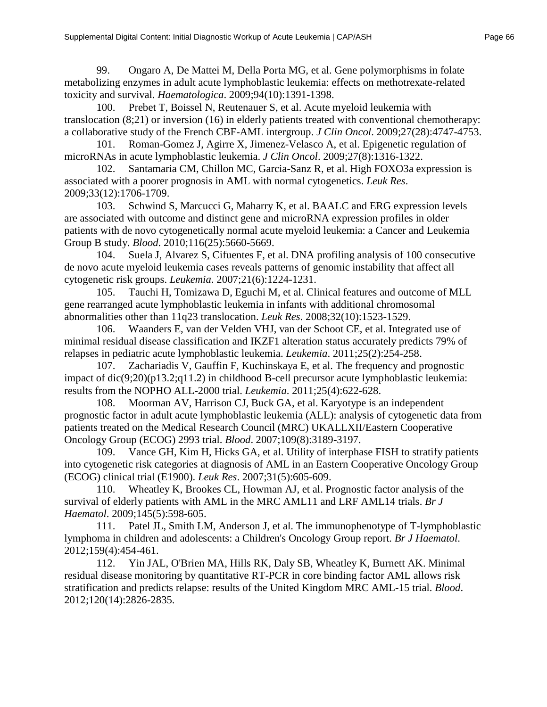toxicity and survival. *Haematologica*. 2009;94(10):1391-1398. 100. Prebet T, Boissel N, Reutenauer S, et al. Acute myeloid leukemia with translocation (8;21) or inversion (16) in elderly patients treated with conventional chemotherapy: a collaborative study of the French CBF-AML intergroup. *J Clin Oncol*. 2009;27(28):4747-4753.

101. Roman-Gomez J, Agirre X, Jimenez-Velasco A, et al. Epigenetic regulation of microRNAs in acute lymphoblastic leukemia. *J Clin Oncol*. 2009;27(8):1316-1322.

102. Santamaria CM, Chillon MC, Garcia-Sanz R, et al. High FOXO3a expression is associated with a poorer prognosis in AML with normal cytogenetics. *Leuk Res*. 2009;33(12):1706-1709.

103. Schwind S, Marcucci G, Maharry K, et al. BAALC and ERG expression levels are associated with outcome and distinct gene and microRNA expression profiles in older patients with de novo cytogenetically normal acute myeloid leukemia: a Cancer and Leukemia Group B study. *Blood*. 2010;116(25):5660-5669.

104. Suela J, Alvarez S, Cifuentes F, et al. DNA profiling analysis of 100 consecutive de novo acute myeloid leukemia cases reveals patterns of genomic instability that affect all cytogenetic risk groups. *Leukemia*. 2007;21(6):1224-1231.

105. Tauchi H, Tomizawa D, Eguchi M, et al. Clinical features and outcome of MLL gene rearranged acute lymphoblastic leukemia in infants with additional chromosomal abnormalities other than 11q23 translocation. *Leuk Res*. 2008;32(10):1523-1529.

106. Waanders E, van der Velden VHJ, van der Schoot CE, et al. Integrated use of minimal residual disease classification and IKZF1 alteration status accurately predicts 79% of relapses in pediatric acute lymphoblastic leukemia. *Leukemia*. 2011;25(2):254-258.

107. Zachariadis V, Gauffin F, Kuchinskaya E, et al. The frequency and prognostic impact of dic(9;20)(p13.2;q11.2) in childhood B-cell precursor acute lymphoblastic leukemia: results from the NOPHO ALL-2000 trial. *Leukemia*. 2011;25(4):622-628.

108. Moorman AV, Harrison CJ, Buck GA, et al. Karyotype is an independent prognostic factor in adult acute lymphoblastic leukemia (ALL): analysis of cytogenetic data from patients treated on the Medical Research Council (MRC) UKALLXII/Eastern Cooperative Oncology Group (ECOG) 2993 trial. *Blood*. 2007;109(8):3189-3197.

109. Vance GH, Kim H, Hicks GA, et al. Utility of interphase FISH to stratify patients into cytogenetic risk categories at diagnosis of AML in an Eastern Cooperative Oncology Group (ECOG) clinical trial (E1900). *Leuk Res*. 2007;31(5):605-609.

110. Wheatley K, Brookes CL, Howman AJ, et al. Prognostic factor analysis of the survival of elderly patients with AML in the MRC AML11 and LRF AML14 trials. *Br J Haematol*. 2009;145(5):598-605.

111. Patel JL, Smith LM, Anderson J, et al. The immunophenotype of T-lymphoblastic lymphoma in children and adolescents: a Children's Oncology Group report. *Br J Haematol*. 2012;159(4):454-461.

112. Yin JAL, O'Brien MA, Hills RK, Daly SB, Wheatley K, Burnett AK. Minimal residual disease monitoring by quantitative RT-PCR in core binding factor AML allows risk stratification and predicts relapse: results of the United Kingdom MRC AML-15 trial. *Blood*. 2012;120(14):2826-2835.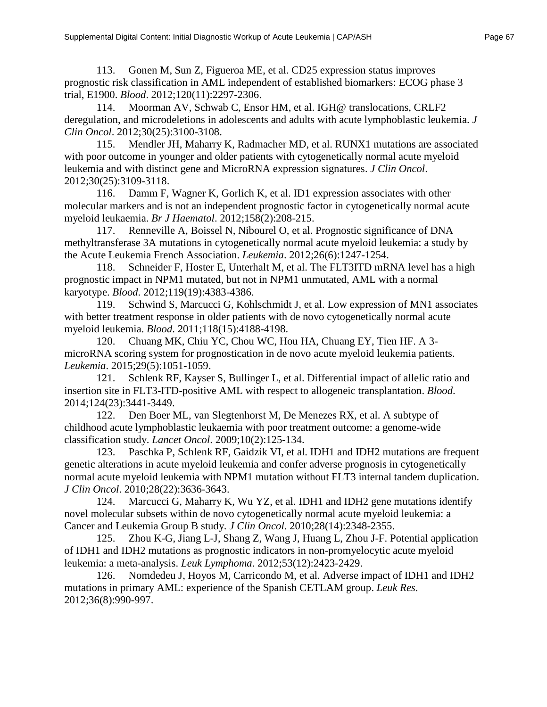113. Gonen M, Sun Z, Figueroa ME, et al. CD25 expression status improves prognostic risk classification in AML independent of established biomarkers: ECOG phase 3 trial, E1900. *Blood*. 2012;120(11):2297-2306.

114. Moorman AV, Schwab C, Ensor HM, et al. IGH@ translocations, CRLF2 deregulation, and microdeletions in adolescents and adults with acute lymphoblastic leukemia. *J Clin Oncol*. 2012;30(25):3100-3108.

115. Mendler JH, Maharry K, Radmacher MD, et al. RUNX1 mutations are associated with poor outcome in younger and older patients with cytogenetically normal acute myeloid leukemia and with distinct gene and MicroRNA expression signatures. *J Clin Oncol*. 2012;30(25):3109-3118.

116. Damm F, Wagner K, Gorlich K, et al. ID1 expression associates with other molecular markers and is not an independent prognostic factor in cytogenetically normal acute myeloid leukaemia. *Br J Haematol*. 2012;158(2):208-215.

117. Renneville A, Boissel N, Nibourel O, et al. Prognostic significance of DNA methyltransferase 3A mutations in cytogenetically normal acute myeloid leukemia: a study by the Acute Leukemia French Association. *Leukemia*. 2012;26(6):1247-1254.

118. Schneider F, Hoster E, Unterhalt M, et al. The FLT3ITD mRNA level has a high prognostic impact in NPM1 mutated, but not in NPM1 unmutated, AML with a normal karyotype. *Blood*. 2012;119(19):4383-4386.

119. Schwind S, Marcucci G, Kohlschmidt J, et al. Low expression of MN1 associates with better treatment response in older patients with de novo cytogenetically normal acute myeloid leukemia. *Blood*. 2011;118(15):4188-4198.

120. Chuang MK, Chiu YC, Chou WC, Hou HA, Chuang EY, Tien HF. A 3 microRNA scoring system for prognostication in de novo acute myeloid leukemia patients. *Leukemia*. 2015;29(5):1051-1059.

121. Schlenk RF, Kayser S, Bullinger L, et al. Differential impact of allelic ratio and insertion site in FLT3-ITD-positive AML with respect to allogeneic transplantation. *Blood*. 2014;124(23):3441-3449.

122. Den Boer ML, van Slegtenhorst M, De Menezes RX, et al. A subtype of childhood acute lymphoblastic leukaemia with poor treatment outcome: a genome-wide classification study. *Lancet Oncol*. 2009;10(2):125-134.

123. Paschka P, Schlenk RF, Gaidzik VI, et al. IDH1 and IDH2 mutations are frequent genetic alterations in acute myeloid leukemia and confer adverse prognosis in cytogenetically normal acute myeloid leukemia with NPM1 mutation without FLT3 internal tandem duplication. *J Clin Oncol*. 2010;28(22):3636-3643.

124. Marcucci G, Maharry K, Wu YZ, et al. IDH1 and IDH2 gene mutations identify novel molecular subsets within de novo cytogenetically normal acute myeloid leukemia: a Cancer and Leukemia Group B study. *J Clin Oncol*. 2010;28(14):2348-2355.

125. Zhou K-G, Jiang L-J, Shang Z, Wang J, Huang L, Zhou J-F. Potential application of IDH1 and IDH2 mutations as prognostic indicators in non-promyelocytic acute myeloid leukemia: a meta-analysis. *Leuk Lymphoma*. 2012;53(12):2423-2429.

126. Nomdedeu J, Hoyos M, Carricondo M, et al. Adverse impact of IDH1 and IDH2 mutations in primary AML: experience of the Spanish CETLAM group. *Leuk Res*. 2012;36(8):990-997.